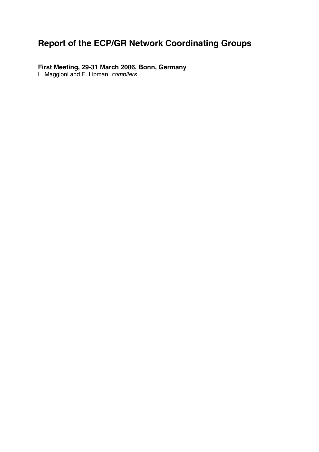# **Report of the ECP/GR Network Coordinating Groups**

**First Meeting, 29-31 March 2006, Bonn, Germany** 

L. Maggioni and E. Lipman, *compilers*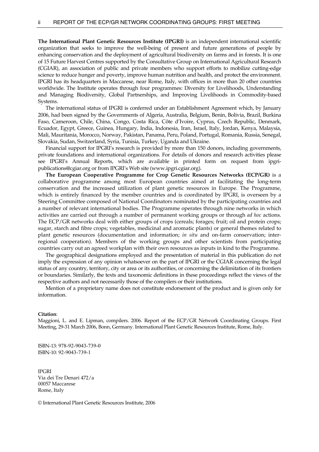**The International Plant Genetic Resources Institute (IPGRI)** is an independent international scientific organization that seeks to improve the well-being of present and future generations of people by enhancing conservation and the deployment of agricultural biodiversity on farms and in forests. It is one of 15 Future Harvest Centres supported by the Consultative Group on International Agricultural Research (CGIAR), an association of public and private members who support efforts to mobilize cutting-edge science to reduce hunger and poverty, improve human nutrition and health, and protect the environment. IPGRI has its headquarters in Maccarese, near Rome, Italy, with offices in more than 20 other countries worldwide. The Institute operates through four programmes: Diversity for Livelihoods, Understanding and Managing Biodiversity, Global Partnerships, and Improving Livelihoods in Commodity-based Systems.

The international status of IPGRI is conferred under an Establishment Agreement which, by January 2006, had been signed by the Governments of Algeria, Australia, Belgium, Benin, Bolivia, Brazil, Burkina Faso, Cameroon, Chile, China, Congo, Costa Rica, Côte d'Ivoire, Cyprus, Czech Republic, Denmark, Ecuador, Egypt, Greece, Guinea, Hungary, India, Indonesia, Iran, Israel, Italy, Jordan, Kenya, Malaysia, Mali, Mauritania, Morocco, Norway, Pakistan, Panama, Peru, Poland, Portugal, Romania, Russia, Senegal, Slovakia, Sudan, Switzerland, Syria, Tunisia, Turkey, Uganda and Ukraine.

 Financial support for IPGRI's research is provided by more than 150 donors, including governments, private foundations and international organizations. For details of donors and research activities please see IPGRI's Annual Reports, which are available in printed form on request from ipgripublications@cgiar.org or from IPGRI's Web site (www.ipgri.cgiar.org).

 **The European Cooperative Programme for Crop Genetic Resources Networks (ECP/GR)** is a collaborative programme among most European countries aimed at facilitating the long-term conservation and the increased utilization of plant genetic resources in Europe. The Programme, which is entirely financed by the member countries and is coordinated by IPGRI, is overseen by a Steering Committee composed of National Coordinators nominated by the participating countries and a number of relevant international bodies. The Programme operates through nine networks in which activities are carried out through a number of permanent working groups or through *ad hoc* actions. The ECP/GR networks deal with either groups of crops (cereals; forages; fruit; oil and protein crops; sugar, starch and fibre crops; vegetables, medicinal and aromatic plants) or general themes related to plant genetic resources (documentation and information; *in situ* and on-farm conservation; interregional cooperation). Members of the working groups and other scientists from participating countries carry out an agreed workplan with their own resources as inputs in kind to the Programme.

 The geographical designations employed and the presentation of material in this publication do not imply the expression of any opinion whatsoever on the part of IPGRI or the CGIAR concerning the legal status of any country, territory, city or area or its authorities, or concerning the delimitation of its frontiers or boundaries. Similarly, the texts and taxonomic definitions in these proceedings reflect the views of the respective authors and not necessarily those of the compilers or their institutions.

 Mention of a proprietary name does not constitute endorsement of the product and is given only for information.

**Citation**:

Maggioni, L. and E. Lipman, compilers. 2006. Report of the ECP/GR Network Coordinating Groups. First Meeting, 29-31 March 2006, Bonn, Germany. International Plant Genetic Resources Institute, Rome, Italy.

ISBN-13: 978-92-9043-739-0 ISBN-10: 92-9043-739-1

IPGRI Via dei Tre Denari 472/a 00057 Maccarese Rome, Italy

© International Plant Genetic Resources Institute, 2006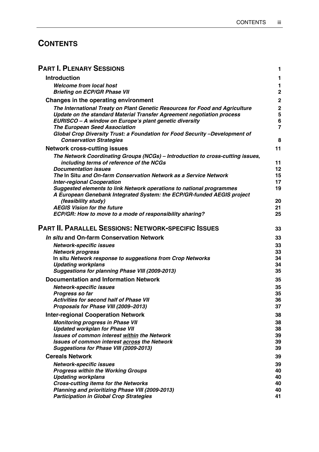## **CONTENTS**

| <b>PART I. PLENARY SESSIONS</b>                                                                                                                                                                                                                          | 1                |
|----------------------------------------------------------------------------------------------------------------------------------------------------------------------------------------------------------------------------------------------------------|------------------|
| <b>Introduction</b>                                                                                                                                                                                                                                      | 1                |
| <b>Welcome from local host</b><br><b>Briefing on ECP/GR Phase VII</b>                                                                                                                                                                                    | 1<br>2           |
| Changes in the operating environment                                                                                                                                                                                                                     | $\overline{c}$   |
| The International Treaty on Plant Genetic Resources for Food and Agriculture<br>Update on the standard Material Transfer Agreement negotiation process<br>EURISCO - A window on Europe's plant genetic diversity<br><b>The European Seed Association</b> | 2<br>5<br>6<br>7 |
| Global Crop Diversity Trust: a Foundation for Food Security -Development of<br><b>Conservation Strategies</b>                                                                                                                                            | 8                |
| <b>Network cross-cutting issues</b>                                                                                                                                                                                                                      | 11               |
| The Network Coordinating Groups (NCGs) - Introduction to cross-cutting issues,<br>including terms of reference of the NCGs                                                                                                                               | 11               |
| <b>Documentation issues</b>                                                                                                                                                                                                                              | 12               |
| The In Situ and On-farm Conservation Network as a Service Network<br><b>Inter-regional Cooperation</b>                                                                                                                                                   | 15<br>17         |
| Suggested elements to link Network operations to national programmes<br>A European Genebank Integrated System: the ECP/GR-funded AEGIS project                                                                                                           | 19               |
| (feasibility study)                                                                                                                                                                                                                                      | 20               |
| <b>AEGIS Vision for the future</b>                                                                                                                                                                                                                       | 21               |
| ECP/GR: How to move to a mode of responsibility sharing?                                                                                                                                                                                                 | 25               |
| <b>PART II. PARALLEL SESSIONS: NETWORK-SPECIFIC ISSUES</b>                                                                                                                                                                                               | 33               |
| In situ and On-farm Conservation Network                                                                                                                                                                                                                 | 33               |
| Network-specific issues                                                                                                                                                                                                                                  | 33               |
| <b>Network progress</b>                                                                                                                                                                                                                                  | 33<br>34         |
| In situ Network response to suggestions from Crop Networks<br><b>Updating workplans</b>                                                                                                                                                                  | 34               |
| Suggestions for planning Phase VIII (2009-2013)                                                                                                                                                                                                          | 35               |
| <b>Documentation and Information Network</b>                                                                                                                                                                                                             | 35               |
| <b>Network-specific issues</b>                                                                                                                                                                                                                           | 35               |
| Progress so far                                                                                                                                                                                                                                          | 35               |
| <b>Activities for second half of Phase VII</b>                                                                                                                                                                                                           | 36               |
| Proposals for Phase VIII (2009–2013)                                                                                                                                                                                                                     | 37               |
| <b>Inter-regional Cooperation Network</b>                                                                                                                                                                                                                | 38               |
| <b>Monitoring progress in Phase VII</b>                                                                                                                                                                                                                  | 38               |
| <b>Updated workplan for Phase VII</b>                                                                                                                                                                                                                    | 38               |
| <b>Issues of common interest within the Network</b><br><b>Issues of common interest across the Network</b>                                                                                                                                               | 39<br>39         |
| Suggestions for Phase VIII (2009-2013)                                                                                                                                                                                                                   | 39               |
| <b>Cereals Network</b>                                                                                                                                                                                                                                   | 39               |
| <b>Network-specific issues</b>                                                                                                                                                                                                                           | 39               |
| <b>Progress within the Working Groups</b>                                                                                                                                                                                                                | 40               |
| <b>Updating workplans</b>                                                                                                                                                                                                                                | 40               |
| <b>Cross-cutting items for the Networks</b>                                                                                                                                                                                                              | 40               |
| Planning and prioritizing Phase VIII (2009-2013)<br><b>Participation in Global Crop Strategies</b>                                                                                                                                                       | 40<br>41         |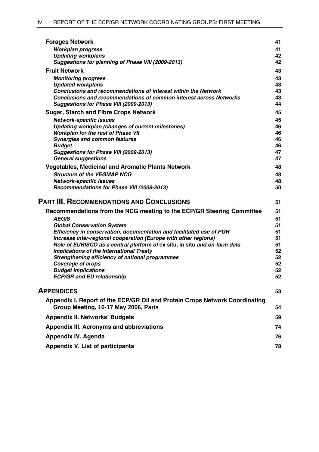|                                                                                                                     | 41       |
|---------------------------------------------------------------------------------------------------------------------|----------|
| <b>Workplan progress</b>                                                                                            | 41       |
| <b>Updating workplans</b>                                                                                           | 42       |
| Suggestions for planning of Phase VIII (2009-2013)                                                                  | 42       |
| <b>Fruit Network</b>                                                                                                | 43       |
| <b>Monitoring progress</b>                                                                                          | 43       |
| <b>Updated workplans</b>                                                                                            | 43       |
| Conclusions and recommendations of interest within the Network                                                      | 43       |
| <b>Conclusions and recommendations of common interest across Networks</b><br>Suggestions for Phase VIII (2009-2013) | 43<br>44 |
| <b>Sugar, Starch and Fibre Crops Network</b>                                                                        | 45       |
| <b>Network-specific issues</b>                                                                                      | 45       |
| Updating workplan (changes of current milestones)                                                                   | 46       |
| <b>Workplan for the rest of Phase VII</b>                                                                           | 46       |
| <b>Synergies and common features</b>                                                                                | 46       |
| <b>Budget</b>                                                                                                       | 46       |
| Suggestions for Phase VIII (2009-2013)<br><b>General suggestions</b>                                                | 47<br>47 |
|                                                                                                                     |          |
| <b>Vegetables, Medicinal and Aromatic Plants Network</b>                                                            | 48       |
| <b>Structure of the VEGMAP NCG</b><br><b>Network-specific issues</b>                                                | 48<br>48 |
| Recommendations for Phase VIII (2009-2013)                                                                          | 50       |
|                                                                                                                     |          |
|                                                                                                                     |          |
| <b>PART III. RECOMMENDATIONS AND CONCLUSIONS</b>                                                                    | 51       |
| Recommendations from the NCG meeting to the ECP/GR Steering Committee                                               | 51       |
| <b>AEGIS</b>                                                                                                        | 51       |
| <b>Global Conservation System</b>                                                                                   | 51       |
| Efficiency in conservation, documentation and facilitated use of PGR                                                | 51       |
| Increase inter-regional cooperation (Europe with other regions)                                                     | 51       |
| Role of EURISCO as a central platform of ex situ, in situ and on-farm data                                          | 51       |
| Implications of the International Treaty                                                                            | 52       |
| Strengthening efficiency of national programmes                                                                     | 52<br>52 |
| <b>Coverage of crops</b><br><b>Budget implications</b>                                                              | 52       |
| <b>ECP/GR and EU relationship</b>                                                                                   | 52       |
| <b>APPENDICES</b>                                                                                                   | 53       |
| Appendix I. Report of the ECP/GR Oil and Protein Crops Network Coordinating<br>Group Meeting, 16-17 May 2006, Paris | 54       |
| <b>Appendix II. Networks' Budgets</b>                                                                               | 59       |
| Appendix III. Acronyms and abbreviations                                                                            | 74       |
| <b>Appendix IV. Agenda</b>                                                                                          | 76       |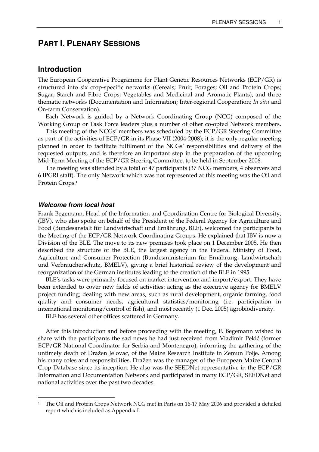## **PART I. PLENARY SESSIONS**

## **Introduction**

The European Cooperative Programme for Plant Genetic Resources Networks (ECP/GR) is structured into six crop-specific networks (Cereals; Fruit; Forages; Oil and Protein Crops; Sugar, Starch and Fibre Crops; Vegetables and Medicinal and Aromatic Plants), and three thematic networks (Documentation and Information; Inter-regional Cooperation; *In situ* and On-farm Conservation).

 Each Network is guided by a Network Coordinating Group (NCG) composed of the Working Group or Task Force leaders plus a number of other co-opted Network members.

 This meeting of the NCGs' members was scheduled by the ECP/GR Steering Committee as part of the activities of ECP/GR in its Phase VII (2004-2008); it is the only regular meeting planned in order to facilitate fulfilment of the NCGs' responsibilities and delivery of the requested outputs, and is therefore an important step in the preparation of the upcoming Mid-Term Meeting of the ECP/GR Steering Committee, to be held in September 2006.

 The meeting was attended by a total of 47 participants (37 NCG members, 4 observers and 6 IPGRI staff). The only Network which was not represented at this meeting was the Oil and Protein Crops.1

## *Welcome from local host*

 $\overline{a}$ 

Frank Begemann, Head of the Information and Coordination Centre for Biological Diversity, (IBV), who also spoke on behalf of the President of the Federal Agency for Agriculture and Food (Bundesanstalt für Landwirtschaft und Ernährung, BLE), welcomed the participants to the Meeting of the ECP/GR Network Coordinating Groups. He explained that IBV is now a Division of the BLE. The move to its new premises took place on 1 December 2005. He then described the structure of the BLE, the largest agency in the Federal Ministry of Food, Agriculture and Consumer Protection (Bundesministerium für Ernährung, Landwirtschaft und Verbraucherschutz, BMELV), giving a brief historical review of the development and reorganization of the German institutes leading to the creation of the BLE in 1995.

 BLE's tasks were primarily focused on market intervention and import/export. They have been extended to cover new fields of activities: acting as the executive agency for BMELV project funding; dealing with new areas, such as rural development, organic farming, food quality and consumer needs, agricultural statistics/monitoring (i.e. participation in international monitoring/control of fish), and most recently (1 Dec. 2005) agrobiodiversity.

BLE has several other offices scattered in Germany.

 After this introduction and before proceeding with the meeting, F. Begemann wished to share with the participants the sad news he had just received from Vladimir Pekić (former ECP/GR National Coordinator for Serbia and Montenegro), informing the gathering of the untimely death of Dražen Jelovac, of the Maize Research Institute in Zemun Polje. Among his many roles and responsibilities, Dražen was the manager of the European Maize Central Crop Database since its inception. He also was the SEEDNet representative in the ECP/GR Information and Documentation Network and participated in many ECP/GR, SEEDNet and national activities over the past two decades.

<sup>1</sup> The Oil and Protein Crops Network NCG met in Paris on 16-17 May 2006 and provided a detailed report which is included as Appendix I.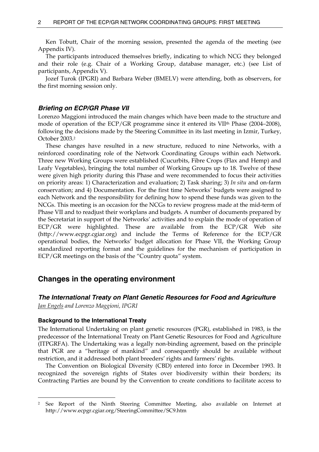Ken Tobutt, Chair of the morning session, presented the agenda of the meeting (see Appendix IV).

 The participants introduced themselves briefly, indicating to which NCG they belonged and their role (e.g. Chair of a Working Group, database manager, etc.) (see List of participants, Appendix V).

 Jozef Turok (IPGRI) and Barbara Weber (BMELV) were attending, both as observers, for the first morning session only.

## *Briefing on ECP/GR Phase VII*

Lorenzo Maggioni introduced the main changes which have been made to the structure and mode of operation of the ECP/GR programme since it entered its VII<sup>th</sup> Phase (2004–2008), following the decisions made by the Steering Committee in its last meeting in Izmir, Turkey, October 2003.2

 These changes have resulted in a new structure, reduced to nine Networks, with a reinforced coordinating role of the Network Coordinating Groups within each Network. Three new Working Groups were established (Cucurbits, Fibre Crops (Flax and Hemp) and Leafy Vegetables), bringing the total number of Working Groups up to 18. Twelve of these were given high priority during this Phase and were recommended to focus their activities on priority areas: 1) Characterization and evaluation; 2) Task sharing; 3) *In situ* and on-farm conservation; and 4) Documentation. For the first time Networks' budgets were assigned to each Network and the responsibility for defining how to spend these funds was given to the NCGs. This meeting is an occasion for the NCGs to review progress made at the mid-term of Phase VII and to readjust their workplans and budgets. A number of documents prepared by the Secretariat in support of the Networks' activities and to explain the mode of operation of ECP/GR were highlighted. These are available from the ECP/GR Web site (http://www.ecpgr.cgiar.org) and include the Terms of Reference for the ECP/GR operational bodies, the Networks' budget allocation for Phase VII, the Working Group standardized reporting format and the guidelines for the mechanism of participation in ECP/GR meetings on the basis of the "Country quota" system.

## **Changes in the operating environment**

# *The International Treaty on Plant Genetic Resources for Food and Agriculture*

*Jan Engels and Lorenzo Maggioni, IPGRI* 

 $\overline{a}$ 

## **Background to the International Treaty**

The International Undertaking on plant genetic resources (PGR), established in 1983, is the predecessor of the International Treaty on Plant Genetic Resources for Food and Agriculture (ITPGRFA). The Undertaking was a legally non-binding agreement, based on the principle that PGR are a "heritage of mankind" and consequently should be available without restriction, and it addressed both plant breeders' rights and farmers' rights.

 The Convention on Biological Diversity (CBD) entered into force in December 1993. It recognized the sovereign rights of States over biodiversity within their borders; its Contracting Parties are bound by the Convention to create conditions to facilitate access to

<sup>2</sup> See Report of the Ninth Steering Committee Meeting, also available on Internet at http://www.ecpgr.cgiar.org/SteeringCommittee/SC9.htm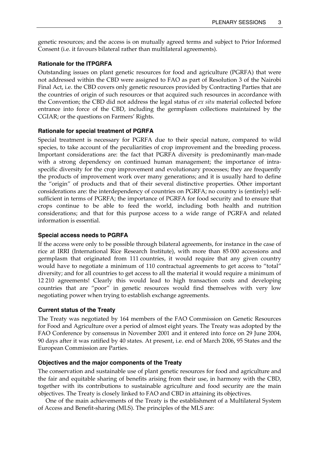genetic resources; and the access is on mutually agreed terms and subject to Prior Informed Consent (i.e. it favours bilateral rather than multilateral agreements).

## **Rationale for the ITPGRFA**

Outstanding issues on plant genetic resources for food and agriculture (PGRFA) that were not addressed within the CBD were assigned to FAO as part of Resolution 3 of the Nairobi Final Act, i.e. the CBD covers only genetic resources provided by Contracting Parties that are the countries of origin of such resources or that acquired such resources in accordance with the Convention; the CBD did not address the legal status of *ex situ* material collected before entrance into force of the CBD, including the germplasm collections maintained by the CGIAR; or the questions on Farmers' Rights.

## **Rationale for special treatment of PGRFA**

Special treatment is necessary for PGRFA due to their special nature, compared to wild species, to take account of the peculiarities of crop improvement and the breeding process. Important considerations are: the fact that PGRFA diversity is predominantly man-made with a strong dependency on continued human management; the importance of intraspecific diversity for the crop improvement and evolutionary processes; they are frequently the products of improvement work over many generations; and it is usually hard to define the "origin" of products and that of their several distinctive properties. Other important considerations are: the interdependency of countries on PGRFA; no country is (entirely) selfsufficient in terms of PGRFA; the importance of PGRFA for food security and to ensure that crops continue to be able to feed the world, including both health and nutrition considerations; and that for this purpose access to a wide range of PGRFA and related information is essential.

## **Special access needs to PGRFA**

If the access were only to be possible through bilateral agreements, for instance in the case of rice at IRRI (International Rice Research Institute), with more than 85 000 accessions and germplasm that originated from 111 countries, it would require that any given country would have to negotiate a minimum of 110 contractual agreements to get access to "total" diversity; and for all countries to get access to all the material it would require a minimum of 12 210 agreements! Clearly this would lead to high transaction costs and developing countries that are "poor" in genetic resources would find themselves with very low negotiating power when trying to establish exchange agreements.

## **Current status of the Treaty**

The Treaty was negotiated by 164 members of the FAO Commission on Genetic Resources for Food and Agriculture over a period of almost eight years. The Treaty was adopted by the FAO Conference by consensus in November 2001 and it entered into force on 29 June 2004, 90 days after it was ratified by 40 states. At present, i.e. end of March 2006, 95 States and the European Commission are Parties.

## **Objectives and the major components of the Treaty**

The conservation and sustainable use of plant genetic resources for food and agriculture and the fair and equitable sharing of benefits arising from their use, in harmony with the CBD, together with its contributions to sustainable agriculture and food security are the main objectives. The Treaty is closely linked to FAO and CBD in attaining its objectives.

 One of the main achievements of the Treaty is the establishment of a Multilateral System of Access and Benefit-sharing (MLS). The principles of the MLS are: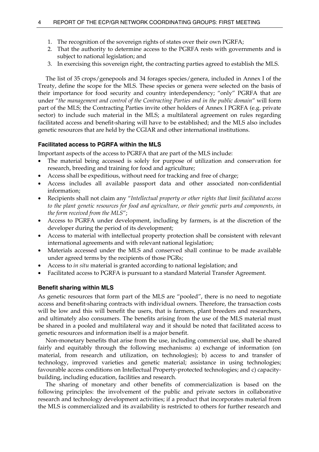- 1. The recognition of the sovereign rights of states over their own PGRFA;
- 2. That the authority to determine access to the PGRFA rests with governments and is subject to national legislation; and
- 3. In exercising this sovereign right, the contracting parties agreed to establish the MLS.

 The list of 35 crops/genepools and 34 forages species/genera, included in Annex I of the Treaty, define the scope for the MLS. These species or genera were selected on the basis of their importance for food security and country interdependency; "only" PGRFA that are under "*the management and control of the Contracting Parties and in the public domain*" will form part of the MLS; the Contracting Parties invite other holders of Annex I PGRFA (e.g. private sector) to include such material in the MLS; a multilateral agreement on rules regarding facilitated access and benefit-sharing will have to be established; and the MLS also includes genetic resources that are held by the CGIAR and other international institutions.

## **Facilitated access to PGRFA within the MLS**

Important aspects of the access to PGRFA that are part of the MLS include:

- The material being accessed is solely for purpose of utilization and conservation for research, breeding and training for food and agriculture;
- Access shall be expeditious, without need for tracking and free of charge;
- Access includes all available passport data and other associated non-confidential information;
- Recipients shall not claim any "*Intellectual property or other rights that limit facilitated access to the plant genetic resources for food and agriculture, or their genetic parts and components, in the form received from the MLS*";
- Access to PGRFA under development, including by farmers, is at the discretion of the developer during the period of its development;
- Access to material with intellectual property protection shall be consistent with relevant international agreements and with relevant national legislation;
- Materials accessed under the MLS and conserved shall continue to be made available under agreed terms by the recipients of those PGRs;
- Access to *in situ* material is granted according to national legislation; and
- Facilitated access to PGRFA is pursuant to a standard Material Transfer Agreement.

### **Benefit sharing within MLS**

As genetic resources that form part of the MLS are "pooled", there is no need to negotiate access and benefit-sharing contracts with individual owners. Therefore, the transaction costs will be low and this will benefit the users, that is farmers, plant breeders and researchers, and ultimately also consumers. The benefits arising from the use of the MLS material must be shared in a pooled and multilateral way and it should be noted that facilitated access to genetic resources and information itself is a major benefit.

 Non-monetary benefits that arise from the use, including commercial use, shall be shared fairly and equitably through the following mechanisms: a) exchange of information (on material, from research and utilization, on technologies); b) access to and transfer of technology, improved varieties and genetic material; assistance in using technologies; favourable access conditions on Intellectual Property-protected technologies; and c) capacitybuilding, including education, facilities and research.

 The sharing of monetary and other benefits of commercialization is based on the following principles: the involvement of the public and private sectors in collaborative research and technology development activities; if a product that incorporates material from the MLS is commercialized and its availability is restricted to others for further research and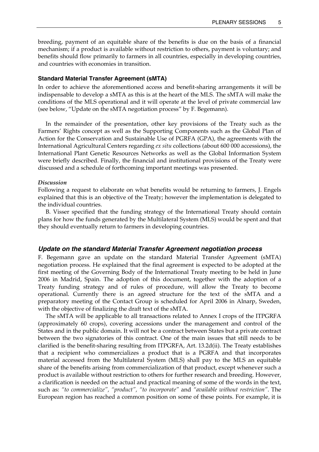breeding, payment of an equitable share of the benefits is due on the basis of a financial mechanism; if a product is available without restriction to others, payment is voluntary; and benefits should flow primarily to farmers in all countries, especially in developing countries, and countries with economies in transition.

#### **Standard Material Transfer Agreement (sMTA)**

In order to achieve the aforementioned access and benefit-sharing arrangements it will be indispensable to develop a sMTA as this is at the heart of the MLS. The sMTA will make the conditions of the MLS operational and it will operate at the level of private commercial law (see below, "Update on the sMTA negotiation process" by F. Begemann).

 In the remainder of the presentation, other key provisions of the Treaty such as the Farmers' Rights concept as well as the Supporting Components such as the Global Plan of Action for the Conservation and Sustainable Use of PGRFA (GPA), the agreements with the International Agricultural Centers regarding *ex situ* collections (about 600 000 accessions), the International Plant Genetic Resources Networks as well as the Global Information System were briefly described. Finally, the financial and institutional provisions of the Treaty were discussed and a schedule of forthcoming important meetings was presented.

#### *Discussion*

Following a request to elaborate on what benefits would be returning to farmers, J. Engels explained that this is an objective of the Treaty; however the implementation is delegated to the individual countries.

 B. Visser specified that the funding strategy of the International Treaty should contain plans for how the funds generated by the Multilateral System (MLS) would be spent and that they should eventually return to farmers in developing countries.

## *Update on the standard Material Transfer Agreement negotiation process*

F. Begemann gave an update on the standard Material Transfer Agreement (sMTA) negotiation process. He explained that the final agreement is expected to be adopted at the first meeting of the Governing Body of the International Treaty meeting to be held in June 2006 in Madrid, Spain. The adoption of this document, together with the adoption of a Treaty funding strategy and of rules of procedure, will allow the Treaty to become operational. Currently there is an agreed structure for the text of the sMTA and a preparatory meeting of the Contact Group is scheduled for April 2006 in Alnarp, Sweden, with the objective of finalizing the draft text of the sMTA.

 The sMTA will be applicable to all transactions related to Annex I crops of the ITPGRFA (approximately 60 crops), covering accessions under the management and control of the States and in the public domain. It will not be a contract between States but a private contract between the two signatories of this contract. One of the main issues that still needs to be clarified is the benefit-sharing resulting from ITPGRFA, Art. 13.2d(ii). The Treaty establishes that a recipient who commercializes a product that is a PGRFA and that incorporates material accessed from the Multilateral System (MLS) shall pay to the MLS an equitable share of the benefits arising from commercialization of that product, except whenever such a product is available without restriction to others for further research and breeding. However, a clarification is needed on the actual and practical meaning of some of the words in the text, such as: *"to commercialize", "product", "to incorporate"* and *"available without restriction"*. The European region has reached a common position on some of these points. For example, it is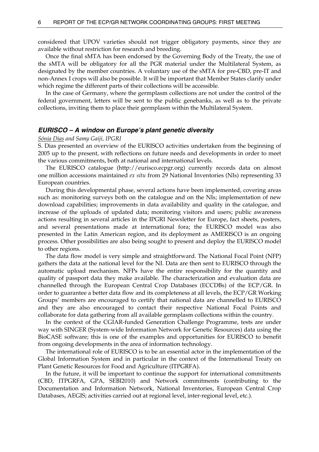considered that UPOV varieties should not trigger obligatory payments, since they are available without restriction for research and breeding.

 Once the final sMTA has been endorsed by the Governing Body of the Treaty, the use of the sMTA will be obligatory for all the PGR material under the Multilateral System, as designated by the member countries. A voluntary use of the sMTA for pre-CBD, pre-IT and non-Annex I crops will also be possible. It will be important that Member States clarify under which regime the different parts of their collections will be accessible.

 In the case of Germany, where the germplasm collections are not under the control of the federal government, letters will be sent to the public genebanks, as well as to the private collections, inviting them to place their germplasm within the Multilateral System.

## *EURISCO – A window on Europe's plant genetic diversity*

#### *Sónia Dias and Samy Gaiji, IPGRI*

S. Dias presented an overview of the EURISCO activities undertaken from the beginning of 2005 up to the present, with reflections on future needs and developments in order to meet the various commitments, both at national and international levels.

 The EURISCO catalogue (http://eurisco.ecpgr.org) currently records data on almost one million accessions maintained *ex situ* from 29 National Inventories (NIs) representing 33 European countries.

 During this developmental phase, several actions have been implemented, covering areas such as: monitoring surveys both on the catalogue and on the NIs; implementation of new download capabilities; improvements in data availability and quality in the catalogue, and increase of the uploads of updated data; monitoring visitors and users; public awareness actions resulting in several articles in the IPGRI Newsletter for Europe, fact sheets, posters, and several presentations made at international fora; the EURISCO model was also presented in the Latin American region, and its deployment as AMERISCO is an ongoing process. Other possibilities are also being sought to present and deploy the EURISCO model to other regions.

 The data flow model is very simple and straightforward. The National Focal Point (NFP) gathers the data at the national level for the NI. Data are then sent to EURISCO through the automatic upload mechanism. NFPs have the entire responsibility for the quantity and quality of passport data they make available. The characterization and evaluation data are channelled through the European Central Crop Databases (ECCDBs) of the ECP/GR. In order to guarantee a better data flow and its completeness at all levels, the ECP/GR Working Groups' members are encouraged to certify that national data are channelled to EURISCO and they are also encouraged to contact their respective National Focal Points and collaborate for data gathering from all available germplasm collections within the country.

 In the context of the CGIAR-funded Generation Challenge Programme, tests are under way with SINGER (System-wide Information Network for Genetic Resources) data using the BioCASE software; this is one of the examples and opportunities for EURISCO to benefit from ongoing developments in the area of information technology.

 The international role of EURISCO is to be an essential actor in the implementation of the Global Information System and in particular in the context of the International Treaty on Plant Genetic Resources for Food and Agriculture (ITPGRFA).

 In the future, it will be important to continue the support for international commitments (CBD, ITPGRFA, GPA, SEBI2010) and Network commitments (contributing to the Documentation and Information Network, National Inventories, European Central Crop Databases, AEGIS; activities carried out at regional level, inter-regional level, etc.).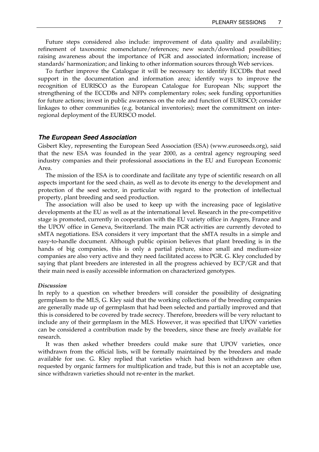Future steps considered also include: improvement of data quality and availability; refinement of taxonomic nomenclature/references; new search/download possibilities; raising awareness about the importance of PGR and associated information; increase of standards' harmonization; and linking to other information sources through Web services.

 To further improve the Catalogue it will be necessary to: identify ECCDBs that need support in the documentation and information area; identify ways to improve the recognition of EURISCO as the European Catalogue for European NIs; support the strengthening of the ECCDBs and NFPs complementary roles; seek funding opportunities for future actions; invest in public awareness on the role and function of EURISCO; consider linkages to other communities (e.g. botanical inventories); meet the commitment on interregional deployment of the EURISCO model.

## *The European Seed Association*

Gisbert Kley, representing the European Seed Association (ESA) (www.euroseeds.org), said that the new ESA was founded in the year 2000, as a central agency regrouping seed industry companies and their professional associations in the EU and European Economic Area.

 The mission of the ESA is to coordinate and facilitate any type of scientific research on all aspects important for the seed chain, as well as to devote its energy to the development and protection of the seed sector, in particular with regard to the protection of intellectual property, plant breeding and seed production.

 The association will also be used to keep up with the increasing pace of legislative developments at the EU as well as at the international level. Research in the pre-competitive stage is promoted, currently in cooperation with the EU variety office in Angers, France and the UPOV office in Geneva, Switzerland. The main PGR activities are currently devoted to sMTA negotiations. ESA considers it very important that the sMTA results in a simple and easy-to-handle document. Although public opinion believes that plant breeding is in the hands of big companies, this is only a partial picture, since small and medium-size companies are also very active and they need facilitated access to PGR. G. Kley concluded by saying that plant breeders are interested in all the progress achieved by ECP/GR and that their main need is easily accessible information on characterized genotypes.

#### *Discussion*

In reply to a question on whether breeders will consider the possibility of designating germplasm to the MLS, G. Kley said that the working collections of the breeding companies are generally made up of germplasm that had been selected and partially improved and that this is considered to be covered by trade secrecy. Therefore, breeders will be very reluctant to include any of their germplasm in the MLS. However, it was specified that UPOV varieties can be considered a contribution made by the breeders, since these are freely available for research.

 It was then asked whether breeders could make sure that UPOV varieties, once withdrawn from the official lists, will be formally maintained by the breeders and made available for use. G. Kley replied that varieties which had been withdrawn are often requested by organic farmers for multiplication and trade, but this is not an acceptable use, since withdrawn varieties should not re-enter in the market.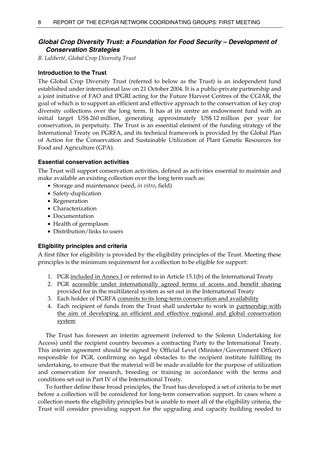## *Global Crop Diversity Trust: a Foundation for Food Security – Development of Conservation Strategies*

*B. Laliberté, Global Crop Diversity Trust* 

## **Introduction to the Trust**

The Global Crop Diversity Trust (referred to below as the Trust) is an independent fund established under international law on 21 October 2004. It is a public-private partnership and a joint initiative of FAO and IPGRI acting for the Future Harvest Centres of the CGIAR, the goal of which is to support an efficient and effective approach to the conservation of key crop diversity collections over the long term. It has at its centre an endowment fund with an initial target US\$ 260 million, generating approximately US\$ 12 million per year for conservation, in perpetuity. The Trust is an essential element of the funding strategy of the International Treaty on PGRFA, and its technical framework is provided by the Global Plan of Action for the Conservation and Sustainable Utilization of Plant Genetic Resources for Food and Agriculture (GPA).

## **Essential conservation activities**

The Trust will support conservation activities, defined as activities essential to maintain and make available an existing collection over the long term such as:

- Storage and maintenance (seed, *in vitro*, field)
- Safety-duplication
- Regeneration
- Characterization
- Documentation
- Health of germplasm
- Distribution/links to users

## **Eligibility principles and criteria**

A first filter for eligibility is provided by the eligibility principles of the Trust. Meeting these principles is the minimum requirement for a collection to be eligible for support:

- 1. PGR included in Annex I or referred to in Article 15.1(b) of the International Treaty
- 2. PGR accessible under internationally agreed terms of access and benefit sharing provided for in the multilateral system as set out in the International Treaty
- 3. Each holder of PGRFA commits to its long-term conservation and availability
- 4. Each recipient of funds from the Trust shall undertake to work in partnership with the aim of developing an efficient and effective regional and global conservation system

 The Trust has foreseen an interim agreement (referred to the Solemn Undertaking for Access) until the recipient country becomes a contracting Party to the International Treaty. This interim agreement should be signed by Official Level (Minister/Government Officer) responsible for PGR, confirming no legal obstacles to the recipient institute fulfilling its undertaking, to ensure that the material will be made available for the purpose of utilization and conservation for research, breeding or training in accordance with the terms and conditions set out in Part IV of the International Treaty.

 To further define these broad principles, the Trust has developed a set of criteria to be met before a collection will be considered for long-term conservation support. In cases where a collection meets the eligibility principles but is unable to meet all of the eligibility criteria, the Trust will consider providing support for the upgrading and capacity building needed to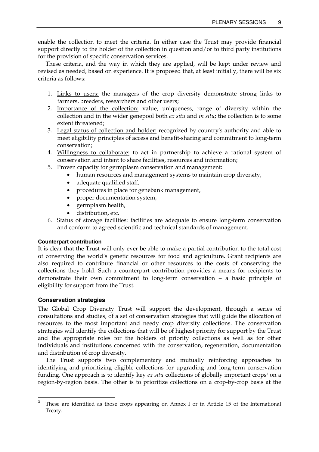enable the collection to meet the criteria. In either case the Trust may provide financial support directly to the holder of the collection in question and/or to third party institutions for the provision of specific conservation services.

 These criteria, and the way in which they are applied, will be kept under review and revised as needed, based on experience. It is proposed that, at least initially, there will be six criteria as follows:

- 1. Links to users: the managers of the crop diversity demonstrate strong links to farmers, breeders, researchers and other users;
- 2. Importance of the collection: value, uniqueness, range of diversity within the collection and in the wider genepool both *ex situ* and *in situ*; the collection is to some extent threatened;
- 3. Legal status of collection and holder: recognized by country's authority and able to meet eligibility principles of access and benefit-sharing and commitment to long-term conservation;
- 4. Willingness to collaborate: to act in partnership to achieve a rational system of conservation and intent to share facilities, resources and information;
- 5. Proven capacity for germplasm conservation and management:
	- human resources and management systems to maintain crop diversity,
	- adequate qualified staff,
	- procedures in place for genebank management,
	- proper documentation system,
	- germplasm health,
	- distribution, etc.
- 6. Status of storage facilities: facilities are adequate to ensure long-term conservation and conform to agreed scientific and technical standards of management.

## **Counterpart contribution**

It is clear that the Trust will only ever be able to make a partial contribution to the total cost of conserving the world's genetic resources for food and agriculture. Grant recipients are also required to contribute financial or other resources to the costs of conserving the collections they hold. Such a counterpart contribution provides a means for recipients to demonstrate their own commitment to long-term conservation – a basic principle of eligibility for support from the Trust.

## **Conservation strategies**

 $\overline{a}$ 

The Global Crop Diversity Trust will support the development, through a series of consultations and studies, of a set of conservation strategies that will guide the allocation of resources to the most important and needy crop diversity collections. The conservation strategies will identify the collections that will be of highest priority for support by the Trust and the appropriate roles for the holders of priority collections as well as for other individuals and institutions concerned with the conservation, regeneration, documentation and distribution of crop diversity.

 The Trust supports two complementary and mutually reinforcing approaches to identifying and prioritizing eligible collections for upgrading and long-term conservation funding. One approach is to identify key *ex situ* collections of globally important crops<sup>3</sup> on a region-by-region basis. The other is to prioritize collections on a crop-by-crop basis at the

<sup>3</sup> These are identified as those crops appearing on Annex I or in Article 15 of the International Treaty.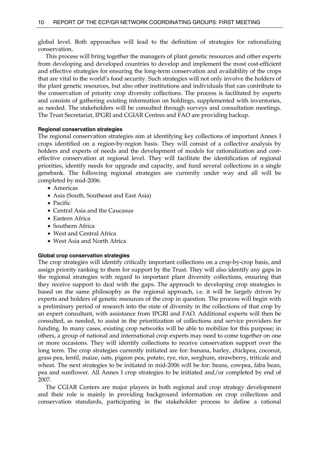global level. Both approaches will lead to the definition of strategies for rationalizing conservation.

 This process will bring together the managers of plant genetic resources and other experts from developing and developed countries to develop and implement the most cost-efficient and effective strategies for ensuring the long-term conservation and availability of the crops that are vital to the world's food security. Such strategies will not only involve the holders of the plant genetic resources, but also other institutions and individuals that can contribute to the conservation of priority crop diversity collections. The process is facilitated by experts and consists of gathering existing information on holdings, supplemented with inventories, as needed. The stakeholders will be consulted through surveys and consultation meetings. The Trust Secretariat, IPGRI and CGIAR Centres and FAO are providing backup.

### **Regional conservation strategies**

The regional conservation strategies aim at identifying key collections of important Annex I crops identified on a region-by-region basis. They will consist of a collective analysis by holders and experts of needs and the development of models for rationalization and costeffective conservation at regional level. They will facilitate the identification of regional priorities, identify needs for upgrade and capacity, and fund several collections in a single genebank. The following regional strategies are currently under way and all will be completed by mid-2006:

- Americas
- Asia (South, Southeast and East Asia)
- Pacific
- Central Asia and the Caucasus
- Eastern Africa
- Southern Africa
- West and Central Africa
- West Asia and North Africa

## **Global crop conservation strategies**

The crop strategies will identify critically important collections on a crop-by-crop basis, and assign priority ranking to them for support by the Trust. They will also identify any gaps in the regional strategies with regard to important plant diversity collections, ensuring that they receive support to deal with the gaps. The approach to developing crop strategies is based on the same philosophy as the regional approach, i.e. it will be largely driven by experts and holders of genetic resources of the crop in question. The process will begin with a preliminary period of research into the state of diversity in the collections of that crop by an expert consultant, with assistance from IPGRI and FAO. Additional experts will then be consulted, as needed, to assist in the prioritization of collections and service providers for funding. In many cases, existing crop networks will be able to mobilize for this purpose; in others, a group of national and international crop experts may need to come together on one or more occasions. They will identify collections to receive conservation support over the long term. The crop strategies currently initiated are for: banana, barley, chickpea, coconut, grass pea, lentil, maize, oats, pigeon pea, potato, rye, rice, sorghum, strawberry, triticale and wheat. The next strategies to be initiated in mid-2006 will be for: beans, cowpea, faba bean, pea and sunflower. All Annex I crop strategies to be initiated and/or completed by end of 2007.

 The CGIAR Centers are major players in both regional and crop strategy development and their role is mainly in providing background information on crop collections and conservation standards, participating in the stakeholder process to define a rational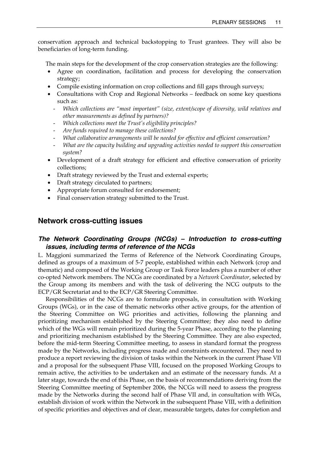conservation approach and technical backstopping to Trust grantees. They will also be beneficiaries of long-term funding.

The main steps for the development of the crop conservation strategies are the following:

- Agree on coordination, facilitation and process for developing the conservation strategy;
- Compile existing information on crop collections and fill gaps through surveys;
- Consultations with Crop and Regional Networks feedback on some key questions such as:
	- *Which collections are "most important" (size, extent/scope of diversity, wild relatives and other measurements as defined by partners)?*
	- *Which collections meet the Trust's eligibility principles?*
	- *Are funds required to manage these collections?*
	- *What collaborative arrangements will be needed for effective and efficient conservation?*
	- *What are the capacity building and upgrading activities needed to support this conservation system?*
- Development of a draft strategy for efficient and effective conservation of priority collections;
- Draft strategy reviewed by the Trust and external experts;
- Draft strategy circulated to partners;
- Appropriate forum consulted for endorsement;
- Final conservation strategy submitted to the Trust.

## **Network cross-cutting issues**

## *The Network Coordinating Groups (NCGs) – Introduction to cross-cutting issues, including terms of reference of the NCGs*

L. Maggioni summarized the Terms of Reference of the Network Coordinating Groups, defined as groups of a maximum of 5-7 people, established within each Network (crop and thematic) and composed of the Working Group or Task Force leaders plus a number of other co-opted Network members. The NCGs are coordinated by a *Network Coordinator*, selected by the Group among its members and with the task of delivering the NCG outputs to the ECP/GR Secretariat and to the ECP/GR Steering Committee.

 Responsibilities of the NCGs are to formulate proposals, in consultation with Working Groups (WGs), or in the case of thematic networks other active groups, for the attention of the Steering Committee on WG priorities and activities, following the planning and prioritizing mechanism established by the Steering Committee; they also need to define which of the WGs will remain prioritized during the 5-year Phase, according to the planning and prioritizing mechanism established by the Steering Committee. They are also expected, before the mid-term Steering Committee meeting, to assess in standard format the progress made by the Networks, including progress made and constraints encountered. They need to produce a report reviewing the division of tasks within the Network in the current Phase VII and a proposal for the subsequent Phase VIII, focused on the proposed Working Groups to remain active, the activities to be undertaken and an estimate of the necessary funds. At a later stage, towards the end of this Phase, on the basis of recommendations deriving from the Steering Committee meeting of September 2006, the NCGs will need to assess the progress made by the Networks during the second half of Phase VII and, in consultation with WGs, establish division of work within the Network in the subsequent Phase VIII, with a definition of specific priorities and objectives and of clear, measurable targets, dates for completion and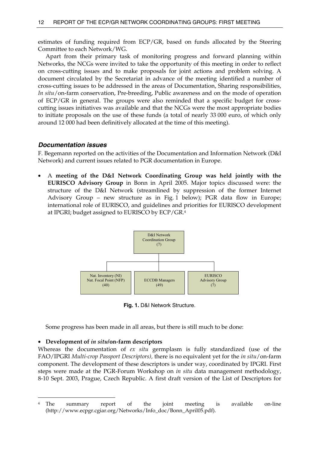estimates of funding required from ECP/GR, based on funds allocated by the Steering Committee to each Network/WG.

 Apart from their primary task of monitoring progress and forward planning within Networks, the NCGs were invited to take the opportunity of this meeting in order to reflect on cross-cutting issues and to make proposals for joint actions and problem solving. A document circulated by the Secretariat in advance of the meeting identified a number of cross-cutting issues to be addressed in the areas of Documentation, Sharing responsibilities, *In situ*/on-farm conservation, Pre-breeding, Public awareness and on the mode of operation of ECP/GR in general. The groups were also reminded that a specific budget for crosscutting issues initiatives was available and that the NCGs were the most appropriate bodies to initiate proposals on the use of these funds (a total of nearly 33 000 euro, of which only around 12 000 had been definitively allocated at the time of this meeting).

## *Documentation issues*

F. Begemann reported on the activities of the Documentation and Information Network (D&I Network) and current issues related to PGR documentation in Europe.

• A **meeting of the D&I Network Coordinating Group was held jointly with the EURISCO Advisory Group** in Bonn in April 2005. Major topics discussed were: the structure of the D&I Network (streamlined by suppression of the former Internet Advisory Group – new structure as in Fig. 1 below); PGR data flow in Europe; international role of EURISCO, and guidelines and priorities for EURISCO development at IPGRI; budget assigned to EURISCO by ECP/GR.4



**Fig. 1.** D&I Network Structure.

Some progress has been made in all areas, but there is still much to be done:

#### • **Development of** *in situ***/on-farm descriptors**

 $\overline{a}$ 

Whereas the documentation of *ex situ* germplasm is fully standardized (use of the FAO/IPGRI *Multi-crop Passport Descriptors),* there is no equivalent yet for the *in situ*/on-farm component. The development of these descriptors is under way, coordinated by IPGRI. First steps were made at the PGR-Forum Workshop on *in situ* data management methodology, 8-10 Sept. 2003, Prague, Czech Republic. A first draft version of the List of Descriptors for

<sup>4</sup> The summary report of the joint meeting is available on-line (http://www.ecpgr.cgiar.org/Networks/Info\_doc/Bonn\_April05.pdf).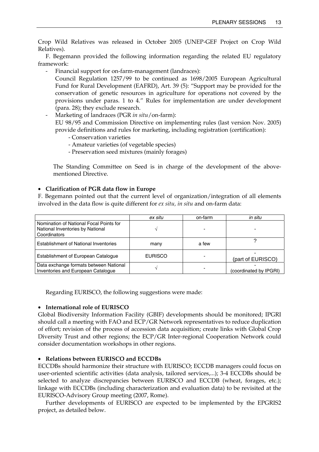Crop Wild Relatives was released in October 2005 (UNEP-GEF Project on Crop Wild Relatives).

 F. Begemann provided the following information regarding the related EU regulatory framework:

Financial support for on-farm-management (landraces):

Council Regulation 1257/99 to be continued as 1698/2005 European Agricultural Fund for Rural Development (EAFRD), Art. 39 (5): "Support may be provided for the conservation of genetic resources in agriculture for operations not covered by the provisions under paras. 1 to 4." Rules for implementation are under development (para. 28); they exclude research.

- Marketing of landraces (PGR *in situ*/on-farm):

EU 98/95 and Commission Directive on implementing rules (last version Nov. 2005) provide definitions and rules for marketing, including registration (certification):

- Conservation varieties
- Amateur varieties (of vegetable species)
- Preservation seed mixtures (mainly forages)

The Standing Committee on Seed is in charge of the development of the abovementioned Directive.

## • **Clarification of PGR data flow in Europe**

F. Begemann pointed out that the current level of organization/integration of all elements involved in the data flow is quite different for *ex situ, in situ* and on-farm data:

|                                                                                             | ex situ        | on-farm | in situ                |
|---------------------------------------------------------------------------------------------|----------------|---------|------------------------|
| Nomination of National Focal Points for<br>National Inventories by National<br>Coordinators |                |         |                        |
| <b>Establishment of National Inventories</b>                                                | many           | a few   |                        |
| Establishment of European Catalogue                                                         | <b>EURISCO</b> |         | (part of EURISCO)      |
| Data exchange formats between National<br>Inventories and European Catalogue                |                |         | (coordinated by IPGRI) |

Regarding EURISCO, the following suggestions were made:

## • **International role of EURISCO**

Global Biodiversity Information Facility (GBIF) developments should be monitored; IPGRI should call a meeting with FAO and ECP/GR Network representatives to reduce duplication of effort; revision of the process of accession data acquisition; create links with Global Crop Diversity Trust and other regions; the ECP/GR Inter-regional Cooperation Network could consider documentation workshops in other regions.

## • **Relations between EURISCO and ECCDBs**

ECCDBs should harmonize their structure with EURISCO; ECCDB managers could focus on user-oriented scientific activities (data analysis, tailored services,...); 3-4 ECCDBs should be selected to analyze discrepancies between EURISCO and ECCDB (wheat, forages, etc.); linkage with ECCDBs (including characterization and evaluation data) to be revisited at the EURISCO-Advisory Group meeting (2007, Rome).

 Further developments of EURISCO are expected to be implemented by the EPGRIS2 project, as detailed below.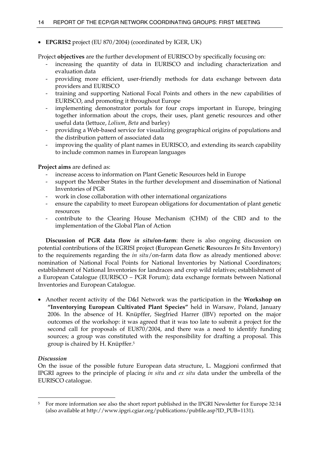## • **EPGRIS2** project (EU 870/2004) (coordinated by IGER, UK)

Project **objectives** are the further development of EURISCO by specifically focusing on:

- increasing the quantity of data in EURISCO and including characterization and evaluation data
- providing more efficient, user-friendly methods for data exchange between data providers and EURISCO
- training and supporting National Focal Points and others in the new capabilities of EURISCO, and promoting it throughout Europe
- implementing demonstrator portals for four crops important in Europe, bringing together information about the crops, their uses, plant genetic resources and other useful data (lettuce, *Lolium*, *Beta* and barley)
- providing a Web-based service for visualizing geographical origins of populations and the distribution pattern of associated data
- improving the quality of plant names in EURISCO, and extending its search capability to include common names in European languages

**Project aims** are defined as:

- increase access to information on Plant Genetic Resources held in Europe
- support the Member States in the further development and dissemination of National Inventories of PGR
- work in close collaboration with other international organizations
- ensure the capability to meet European obligations for documentation of plant genetic resources
- contribute to the Clearing House Mechanism (CHM) of the CBD and to the implementation of the Global Plan of Action

**Discussion of PGR data flow** *in situ***/on-farm**: there is also ongoing discussion on potential contributions of the EGRISI project (**E**uropean **G**enetic **R**esources *In Situ* **I**nventory) to the requirements regarding the *in situ*/on-farm data flow as already mentioned above: nomination of National Focal Points for National Inventories by National Coordinators; establishment of National Inventories for landraces and crop wild relatives; establishment of a European Catalogue (EURISCO – PGR Forum); data exchange formats between National Inventories and European Catalogue.

• Another recent activity of the D&I Network was the participation in the **Workshop on "Inventorying European Cultivated Plant Species"** held in Warsaw, Poland, January 2006. In the absence of H. Knüpffer, Siegfried Harrer (IBV) reported on the major outcomes of the workshop: it was agreed that it was too late to submit a project for the second call for proposals of EU870/2004, and there was a need to identify funding sources; a group was constituted with the responsibility for drafting a proposal. This group is chaired by H. Knüpffer.5

## *Discussion*

 $\overline{a}$ 

On the issue of the possible future European data structure, L. Maggioni confirmed that IPGRI agrees to the principle of placing *in situ* and *ex situ* data under the umbrella of the EURISCO catalogue.

<sup>5</sup> For more information see also the short report published in the IPGRI Newsletter for Europe 32:14 (also available at http://www.ipgri.cgiar.org/publications/pubfile.asp?ID\_PUB=1131).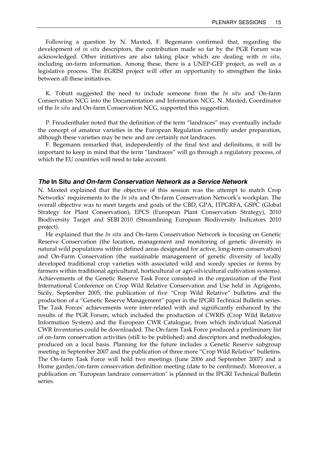Following a question by N. Maxted, F. Begemann confirmed that, regarding the development of *in situ* descriptors, the contribution made so far by the PGR Forum was acknowledged. Other initiatives are also taking place which are dealing with *in situ*, including on-farm information. Among these, there is a UNEP-GEF project, as well as a legislative process. The EGRISI project will offer an opportunity to strengthen the links between all these initiatives.

 K. Tobutt suggested the need to include someone from the *In situ* and On-farm Conservation NCG into the Documentation and Information NCG. N. Maxted, Coordinator of the *In situ* and On-farm Conservation NCG, supported this suggestion.

 P. Freudenthaler noted that the definition of the term "landraces" may eventually include the concept of amateur varieties in the European Regulation currently under preparation, although these varieties may be new and are certainly not landraces.

 F. Begemann remarked that, independently of the final text and definitions, it will be important to keep in mind that the term "landraces" will go through a regulatory process, of which the EU countries will need to take account.

## *The* **In Situ** *and On-farm Conservation Network as a Service Network*

N. Maxted explained that the objective of this session was the attempt to match Crop Networks' requirements to the *In situ* and On-farm Conservation Network's workplan. The overall objective was to meet targets and goals of the CBD, GPA, ITPGRFA, GSPC (Global Strategy for Plant Conservation), EPCS (European Plant Conservation Strategy), 2010 Biodiversity Target and SEBI 2010 (Streamlining European Biodiversity Indicators 2010 project).

 He explained that the *In situ* and On-farm Conservation Network is focusing on Genetic Reserve Conservation (the location, management and monitoring of genetic diversity in natural wild populations within defined areas designated for active, long-term conservation) and On-Farm Conservation (the sustainable management of genetic diversity of locally developed traditional crop varieties with associated wild and weedy species or forms by farmers within traditional agricultural, horticultural or agri-silvicultural cultivation systems). Achievements of the Genetic Reserve Task Force consisted in the organization of the First International Conference on Crop Wild Relative Conservation and Use held in Agrigento, Sicily, September 2005, the publication of five "Crop Wild Relative" bulletins and the production of a "Genetic Reserve Management" paper in the IPGRI Technical Bulletin series. The Task Forces' achievements were inter-related with and significantly enhanced by the results of the PGR Forum, which included the production of CWRIS (Crop Wild Relative Information System) and the European CWR Catalogue, from which individual National CWR Inventories could be downloaded. The On-farm Task Force produced a preliminary list of on-farm conservation activities (still to be published) and descriptors and methodologies, produced on a local basis. Planning for the future includes a Genetic Reserve subgroup meeting in September 2007 and the publication of three more "Crop Wild Relative" bulletins. The On-farm Task Force will hold two meetings (June 2006 and September 2007) and a Home garden/on-farm conservation definition meeting (date to be confirmed). Moreover, a publication on "European landrace conservation" is planned in the IPGRI Technical Bulletin series.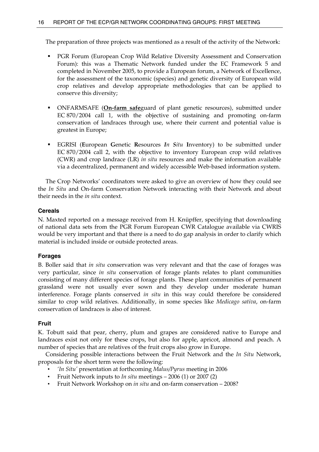The preparation of three projects was mentioned as a result of the activity of the Network:

- PGR Forum (European Crop Wild Relative Diversity Assessment and Conservation Forum): this was a Thematic Network funded under the EC Framework 5 and completed in November 2005, to provide a European forum, a Network of Excellence, for the assessment of the taxonomic (species) and genetic diversity of European wild crop relatives and develop appropriate methodologies that can be applied to conserve this diversity;
- ONFARMSAFE (**On-farm safe**guard of plant genetic resources), submitted under EC 870/2004 call 1, with the objective of sustaining and promoting on-farm conservation of landraces through use, where their current and potential value is greatest in Europe;
- EGRISI (**E**uropean **G**enetic **R**esources *In Situ* **I**nventory) to be submitted under EC 870/2004 call 2, with the objective to inventory European crop wild relatives (CWR) and crop landrace (LR) *in situ* resources and make the information available via a decentralized, permanent and widely accessible Web-based information system.

 The Crop Networks' coordinators were asked to give an overview of how they could see the *In Situ* and On-farm Conservation Network interacting with their Network and about their needs in the *in situ* context.

## **Cereals**

N. Maxted reported on a message received from H. Knüpffer, specifying that downloading of national data sets from the PGR Forum European CWR Catalogue available via CWRIS would be very important and that there is a need to do gap analysis in order to clarify which material is included inside or outside protected areas.

### **Forages**

B. Boller said that *in situ* conservation was very relevant and that the case of forages was very particular, since *in situ* conservation of forage plants relates to plant communities consisting of many different species of forage plants. These plant communities of permanent grassland were not usually ever sown and they develop under moderate human interference. Forage plants conserved *in situ* in this way could therefore be considered similar to crop wild relatives. Additionally, in some species like *Medicago sativa*, on-farm conservation of landraces is also of interest.

### **Fruit**

K. Tobutt said that pear, cherry, plum and grapes are considered native to Europe and landraces exist not only for these crops, but also for apple, apricot, almond and peach. A number of species that are relatives of the fruit crops also grow in Europe.

 Considering possible interactions between the Fruit Network and the *In Situ* Network, proposals for the short term were the following:

- *'In Situ'* presentation at forthcoming *Malus/Pyrus* meeting in 2006
- Fruit Network inputs to *In situ* meetings 2006 (1) or 2007 (2)
- Fruit Network Workshop on *in situ* and on-farm conservation 2008?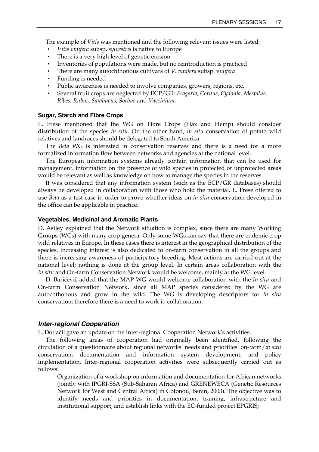The example of *Vitis* was mentioned and the following relevant issues were listed:

- *Vitis vinifera* subsp. *sylvestris* is native to Europe
- There is a very high level of genetic erosion
- Inventories of populations were made, but no reintroduction is practiced
- There are many autochthonous cultivars of *V. vinifera* subsp. v*inifera*
- Funding is needed
- Public awareness is needed to involve companies, growers, regions, etc.
- Several fruit crops are neglected by ECP/GR: *Fragaria, Cornus, Cydonia, Mespilus, Ribes, Rubus, Sambucus, Sorbus* and *Vaccinium*.

#### **Sugar, Starch and Fibre Crops**

L. Frese mentioned that the WG on Fibre Crops (Flax and Hemp) should consider distribution of the species *in situ*. On the other hand, *in situ* conservation of potato wild relatives and landraces should be delegated to South America.

 The *Beta* WG is interested in conservation reserves and there is a need for a more formalized information flow between networks and agencies at the national level.

 The European information systems already contain information that can be used for management. Information on the presence of wild species in protected or unprotected areas would be relevant as well as knowledge on how to manage the species in the reserves.

 It was considered that any information system (such as the ECP/GR databases) should always be developed in collaboration with those who hold the material. L. Frese offered to use *Beta* as a test case in order to prove whether ideas on *in situ* conservation developed in the office can be applicable in practice.

#### **Vegetables, Medicinal and Aromatic Plants**

D. Astley explained that the Network situation is complex, since there are many Working Groups (WGs) with many crop genera. Only some WGs can say that there are endemic crop wild relatives in Europe. In these cases there is interest in the geographical distribution of the species. Increasing interest is also dedicated to on-farm conservation in all the groups and there is increasing awareness of participatory breeding. Most actions are carried out at the national level; nothing is done at the group level. In certain areas collaboration with the *In situ* and On-farm Conservation Network would be welcome, mainly at the WG level.

 D. Baričevič added that the MAP WG would welcome collaboration with the *In situ* and On-farm Conservation Network, since all MAP species considered by the WG are autochthonous and grow in the wild. The WG is developing descriptors for *in situ* conservation; therefore there is a need to work in collaboration.

#### *Inter-regional Cooperation*

L. Dotlačil gave an update on the Inter-regional Cooperation Network's activities.

 The following areas of cooperation had originally been identified, following the circulation of a questionnaire about regional networks' needs and priorities: on-farm/*in situ* conservation; documentation and information system development; and policy implementation. Inter-regional cooperation activities were subsequently carried out as follows:

- Organization of a workshop on information and documentation for African networks (jointly with IPGRI-SSA (Sub-Saharan Africa) and GRENEWECA (Genetic Resources Network for West and Central Africa) in Cotonou, Benin, 2003). The objective was to identify needs and priorities in documentation, training, infrastructure and institutional support, and establish links with the EC-funded project EPGRIS;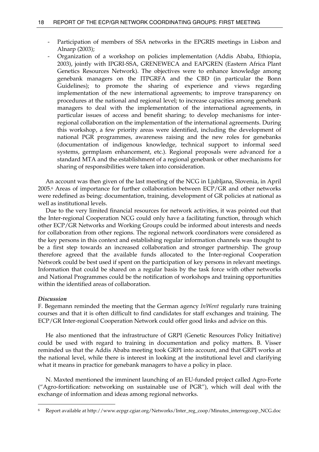- Participation of members of SSA networks in the EPGRIS meetings in Lisbon and Alnarp (2003);
- Organization of a workshop on policies implementation (Addis Ababa, Ethiopia, 2003), jointly with IPGRI-SSA, GRENEWECA and EAPGREN (Eastern Africa Plant Genetics Resources Network). The objectives were to enhance knowledge among genebank managers on the ITPGRFA and the CBD (in particular the Bonn Guidelines); to promote the sharing of experience and views regarding implementation of the new international agreements; to improve transparency on procedures at the national and regional level; to increase capacities among genebank managers to deal with the implementation of the international agreements, in particular issues of access and benefit sharing; to develop mechanisms for interregional collaboration on the implementation of the international agreements. During this workshop, a few priority areas were identified, including the development of national PGR programmes, awareness raising and the new roles for genebanks (documentation of indigenous knowledge, technical support to informal seed systems, germplasm enhancement, etc.). Regional proposals were advanced for a standard MTA and the establishment of a regional genebank or other mechanisms for sharing of responsibilities were taken into consideration.

 An account was then given of the last meeting of the NCG in Ljubljana, Slovenia, in April 2005.6 Areas of importance for further collaboration between ECP/GR and other networks were redefined as being: documentation, training, development of GR policies at national as well as institutional levels.

 Due to the very limited financial resources for network activities, it was pointed out that the Inter-regional Cooperation NCG could only have a facilitating function, through which other ECP/GR Networks and Working Groups could be informed about interests and needs for collaboration from other regions. The regional network coordinators were considered as the key persons in this context and establishing regular information channels was thought to be a first step towards an increased collaboration and stronger partnership. The group therefore agreed that the available funds allocated to the Inter-regional Cooperation Network could be best used if spent on the participation of key persons in relevant meetings. Information that could be shared on a regular basis by the task force with other networks and National Programmes could be the notification of workshops and training opportunities within the identified areas of collaboration.

## *Discussion*

 $\overline{a}$ 

F. Begemann reminded the meeting that the German agency *InWent* regularly runs training courses and that it is often difficult to find candidates for staff exchanges and training. The ECP/GR Inter-regional Cooperation Network could offer good links and advice on this.

 He also mentioned that the infrastructure of GRPI (Genetic Resources Policy Initiative) could be used with regard to training in documentation and policy matters. B. Visser reminded us that the Addis Ababa meeting took GRPI into account, and that GRPI works at the national level, while there is interest in looking at the institutional level and clarifying what it means in practice for genebank managers to have a policy in place.

 N. Maxted mentioned the imminent launching of an EU-funded project called Agro-Forte ("Agro-fortification: networking on sustainable use of PGR"), which will deal with the exchange of information and ideas among regional networks.

<sup>6</sup> Report available at http://www.ecpgr.cgiar.org/Networks/Inter\_reg\_coop/Minutes\_interregcoop\_NCG.doc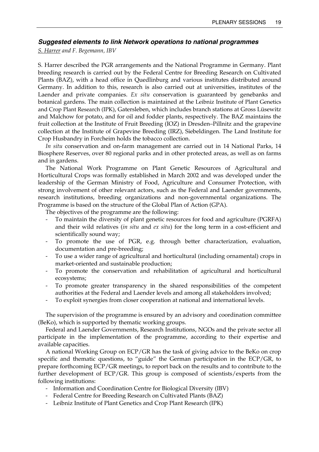## *Suggested elements to link Network operations to national programmes*

*S. Harrer and F. Begemann, IBV* 

S. Harrer described the PGR arrangements and the National Programme in Germany. Plant breeding research is carried out by the Federal Centre for Breeding Research on Cultivated Plants (BAZ), with a head office in Quedlinburg and various institutes distributed around Germany. In addition to this, research is also carried out at universities, institutes of the Laender and private companies. *Ex situ* conservation is guaranteed by genebanks and botanical gardens. The main collection is maintained at the Leibniz Institute of Plant Genetics and Crop Plant Research (IPK), Gatersleben, which includes branch stations at Gross Lüsewitz and Malchow for potato, and for oil and fodder plants, respectively. The BAZ maintains the fruit collection at the Institute of Fruit Breeding (IOZ) in Dresden–Pillnitz and the grapevine collection at the Institute of Grapevine Breeding (IRZ), Siebeldingen. The Land Institute for Crop Husbandry in Forcheim holds the tobacco collection.

 *In situ* conservation and on-farm management are carried out in 14 National Parks, 14 Biosphere Reserves, over 80 regional parks and in other protected areas, as well as on farms and in gardens.

 The National Work Programme on Plant Genetic Resources of Agricultural and Horticultural Crops was formally established in March 2002 and was developed under the leadership of the German Ministry of Food, Agriculture and Consumer Protection, with strong involvement of other relevant actors, such as the Federal and Laender governments, research institutions, breeding organizations and non-governmental organizations. The Programme is based on the structure of the Global Plan of Action (GPA).

The objectives of the programme are the following:

- To maintain the diversity of plant genetic resources for food and agriculture (PGRFA) and their wild relatives (*in situ* and *ex situ*) for the long term in a cost-efficient and scientifically sound way;
- To promote the use of PGR, e.g. through better characterization, evaluation, documentation and pre-breeding;
- To use a wider range of agricultural and horticultural (including ornamental) crops in market-oriented and sustainable production;
- To promote the conservation and rehabilitation of agricultural and horticultural ecosystems;
- To promote greater transparency in the shared responsibilities of the competent authorities at the Federal and Laender levels and among all stakeholders involved;
- To exploit synergies from closer cooperation at national and international levels.

 The supervision of the programme is ensured by an advisory and coordination committee (BeKo), which is supported by thematic working groups.

 Federal and Laender Governments, Research Institutions, NGOs and the private sector all participate in the implementation of the programme, according to their expertise and available capacities.

 A national Working Group on ECP/GR has the task of giving advice to the BeKo on crop specific and thematic questions, to "guide" the German participation in the ECP/GR, to prepare forthcoming ECP/GR meetings, to report back on the results and to contribute to the further development of ECP/GR. This group is composed of scientists/experts from the following institutions:

- Information and Coordination Centre for Biological Diversity (IBV)
- Federal Centre for Breeding Research on Cultivated Plants (BAZ)
- Leibniz Institute of Plant Genetics and Crop Plant Research (IPK)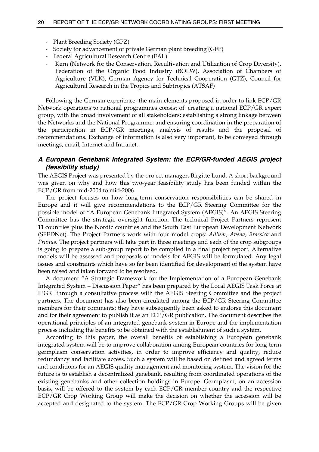- Plant Breeding Society (GPZ)
- Society for advancement of private German plant breeding (GFP)
- Federal Agricultural Research Centre (FAL)
- Kern (Network for the Conservation, Recultivation and Utilization of Crop Diversity), Federation of the Organic Food Industry (BÖLW), Association of Chambers of Agriculture (VLK), German Agency for Technical Cooperation (GTZ), Council for Agricultural Research in the Tropics and Subtropics (ATSAF)

 Following the German experience, the main elements proposed in order to link ECP/GR Network operations to national programmes consist of: creating a national ECP/GR expert group, with the broad involvement of all stakeholders; establishing a strong linkage between the Networks and the National Programme; and ensuring coordination in the preparation of the participation in ECP/GR meetings, analysis of results and the proposal of recommendations. Exchange of information is also very important, to be conveyed through meetings, email, Internet and Intranet.

## *A European Genebank Integrated System: the ECP/GR-funded AEGIS project (feasibility study)*

The AEGIS Project was presented by the project manager, Birgitte Lund. A short background was given on why and how this two-year feasibility study has been funded within the ECP/GR from mid-2004 to mid-2006.

 The project focuses on how long-term conservation responsibilities can be shared in Europe and it will give recommendations to the ECP/GR Steering Committee for the possible model of "A European Genebank Integrated System (AEGIS)". An AEGIS Steering Committee has the strategic oversight function. The technical Project Partners represent 11 countries plus the Nordic countries and the South East European Development Network (SEEDNet). The Project Partners work with four model crops: *Allium*, *Avena*, *Brassica* and *Prunus*. The project partners will take part in three meetings and each of the crop subgroups is going to prepare a sub-group report to be compiled in a final project report. Alternative models will be assessed and proposals of models for AEGIS will be formulated. Any legal issues and constraints which have so far been identified for development of the system have been raised and taken forward to be resolved.

 A document "A Strategic Framework for the Implementation of a European Genebank Integrated System – Discussion Paper" has been prepared by the Local AEGIS Task Force at IPGRI through a consultative process with the AEGIS Steering Committee and the project partners. The document has also been circulated among the ECP/GR Steering Committee members for their comments: they have subsequently been asked to endorse this document and for their agreement to publish it as an ECP/GR publication. The document describes the operational principles of an integrated genebank system in Europe and the implementation process including the benefits to be obtained with the establishment of such a system.

 According to this paper, the overall benefits of establishing a European genebank integrated system will be to improve collaboration among European countries for long-term germplasm conservation activities, in order to improve efficiency and quality, reduce redundancy and facilitate access. Such a system will be based on defined and agreed terms and conditions for an AEGIS quality management and monitoring system. The vision for the future is to establish a decentralized genebank, resulting from coordinated operations of the existing genebanks and other collection holdings in Europe. Germplasm, on an accession basis, will be offered to the system by each ECP/GR member country and the respective ECP/GR Crop Working Group will make the decision on whether the accession will be accepted and designated to the system. The ECP/GR Crop Working Groups will be given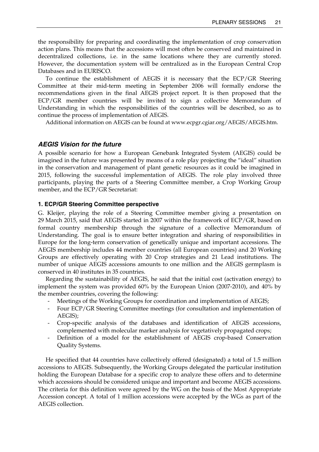the responsibility for preparing and coordinating the implementation of crop conservation action plans. This means that the accessions will most often be conserved and maintained in decentralized collections, i.e. in the same locations where they are currently stored. However, the documentation system will be centralized as in the European Central Crop Databases and in EURISCO.

 To continue the establishment of AEGIS it is necessary that the ECP/GR Steering Committee at their mid-term meeting in September 2006 will formally endorse the recommendations given in the final AEGIS project report. It is then proposed that the ECP/GR member countries will be invited to sign a collective Memorandum of Understanding in which the responsibilities of the countries will be described, so as to continue the process of implementation of AEGIS.

Additional information on AEGIS can be found at www.ecpgr.cgiar.org/AEGIS/AEGIS.htm.

## *AEGIS Vision for the future*

A possible scenario for how a European Genebank Integrated System (AEGIS) could be imagined in the future was presented by means of a role play projecting the "ideal" situation in the conservation and management of plant genetic resources as it could be imagined in 2015, following the successful implementation of AEGIS. The role play involved three participants, playing the parts of a Steering Committee member, a Crop Working Group member, and the ECP/GR Secretariat:

#### **1. ECP/GR Steering Committee perspective**

G. Kleijer, playing the role of a Steering Committee member giving a presentation on 29 March 2015, said that AEGIS started in 2007 within the framework of ECP/GR, based on formal country membership through the signature of a collective Memorandum of Understanding. The goal is to ensure better integration and sharing of responsibilities in Europe for the long-term conservation of genetically unique and important accessions. The AEGIS membership includes 44 member countries (all European countries) and 20 Working Groups are effectively operating with 20 Crop strategies and 21 Lead institutions. The number of unique AEGIS accessions amounts to one million and the AEGIS germplasm is conserved in 40 institutes in 35 countries.

 Regarding the sustainability of AEGIS, he said that the initial cost (activation energy) to implement the system was provided 60% by the European Union (2007-2010), and 40% by the member countries, covering the following:

- Meetings of the Working Groups for coordination and implementation of AEGIS;
- Four ECP/GR Steering Committee meetings (for consultation and implementation of AEGIS);
- Crop-specific analysis of the databases and identification of AEGIS accessions, complemented with molecular marker analysis for vegetatively propagated crops;
- Definition of a model for the establishment of AEGIS crop-based Conservation Quality Systems.

 He specified that 44 countries have collectively offered (designated) a total of 1.5 million accessions to AEGIS. Subsequently, the Working Groups delegated the particular institution holding the European Database for a specific crop to analyze these offers and to determine which accessions should be considered unique and important and become AEGIS accessions. The criteria for this definition were agreed by the WG on the basis of the Most Appropriate Accession concept. A total of 1 million accessions were accepted by the WGs as part of the AEGIS collection.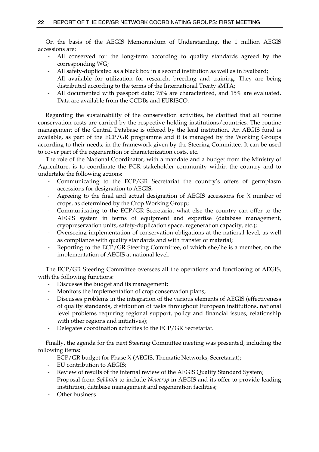On the basis of the AEGIS Memorandum of Understanding, the 1 million AEGIS accessions are:

- All conserved for the long-term according to quality standards agreed by the corresponding WG;
- All safety-duplicated as a black box in a second institution as well as in Svalbard;
- All available for utilization for research, breeding and training. They are being distributed according to the terms of the International Treaty sMTA;
- All documented with passport data; 75% are characterized, and 15% are evaluated. Data are available from the CCDBs and EURISCO.

 Regarding the sustainability of the conservation activities, he clarified that all routine conservation costs are carried by the respective holding institutions/countries. The routine management of the Central Database is offered by the lead institution. An AEGIS fund is available, as part of the ECP/GR programme and it is managed by the Working Groups according to their needs, in the framework given by the Steering Committee. It can be used to cover part of the regeneration or characterization costs, etc.

 The role of the National Coordinator, with a mandate and a budget from the Ministry of Agriculture, is to coordinate the PGR stakeholder community within the country and to undertake the following actions:

- Communicating to the ECP/GR Secretariat the country's offers of germplasm accessions for designation to AEGIS;
- Agreeing to the final and actual designation of AEGIS accessions for X number of crops, as determined by the Crop Working Group;
- Communicating to the ECP/GR Secretariat what else the country can offer to the AEGIS system in terms of equipment and expertise (database management, cryopreservation units, safety-duplication space, regeneration capacity, etc.);
- Overseeing implementation of conservation obligations at the national level, as well as compliance with quality standards and with transfer of material;
- Reporting to the ECP/GR Steering Committee, of which she/he is a member, on the implementation of AEGIS at national level.

 The ECP/GR Steering Committee oversees all the operations and functioning of AEGIS, with the following functions:

- Discusses the budget and its management;
- Monitors the implementation of crop conservation plans;
- Discusses problems in the integration of the various elements of AEGIS (effectiveness of quality standards, distribution of tasks throughout European institutions, national level problems requiring regional support, policy and financial issues, relationship with other regions and initiatives);
- Delegates coordination activities to the ECP/GR Secretariat.

 Finally, the agenda for the next Steering Committee meeting was presented, including the following items:

- ECP/GR budget for Phase X (AEGIS, Thematic Networks, Secretariat);
- EU contribution to AEGIS;
- Review of results of the internal review of the AEGIS Quality Standard System;
- Proposal from *Syldavia* to include *Newcrop* in AEGIS and its offer to provide leading institution, database management and regeneration facilities;
- Other business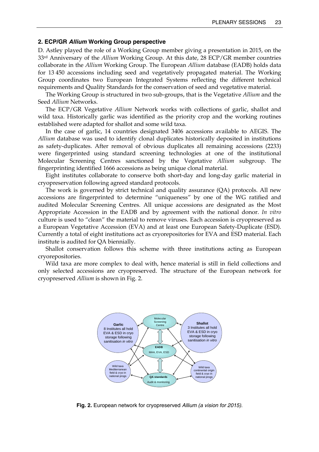#### **2. ECP/GR** *Allium* **Working Group perspective**

D. Astley played the role of a Working Group member giving a presentation in 2015, on the 33rd Anniversary of the *Allium* Working Group. At this date, 28 ECP/GR member countries collaborate in the *Allium* Working Group. The European *Allium* database (EADB) holds data for 13 450 accessions including seed and vegetatively propagated material. The Working Group coordinates two European Integrated Systems reflecting the different technical requirements and Quality Standards for the conservation of seed and vegetative material.

 The Working Group is structured in two sub-groups, that is the Vegetative *Allium* and the Seed *Allium* Networks.

 The ECP/GR Vegetative *Allium* Network works with collections of garlic, shallot and wild taxa. Historically garlic was identified as the priority crop and the working routines established were adapted for shallot and some wild taxa.

 In the case of garlic, 14 countries designated 3406 accessions available to AEGIS. The *Allium* database was used to identify clonal duplicates historically deposited in institutions as safety-duplicates. After removal of obvious duplicates all remaining accessions (2233) were fingerprinted using standard screening technologies at one of the institutional Molecular Screening Centres sanctioned by the Vegetative *Allium* subgroup. The fingerprinting identified 1666 accessions as being unique clonal material.

 Eight institutes collaborate to conserve both short-day and long-day garlic material in cryopreservation following agreed standard protocols.

 The work is governed by strict technical and quality assurance (QA) protocols. All new accessions are fingerprinted to determine "uniqueness" by one of the WG ratified and audited Molecular Screening Centres. All unique accessions are designated as the Most Appropriate Accession in the EADB and by agreement with the national donor. *In vitro* culture is used to "clean" the material to remove viruses. Each accession is cryopreserved as a European Vegetative Accession (EVA) and at least one European Safety-Duplicate (ESD). Currently a total of eight institutions act as cryorepositories for EVA and ESD material. Each institute is audited for QA biennially.

 Shallot conservation follows this scheme with three institutions acting as European cryorepositories.

 Wild taxa are more complex to deal with, hence material is still in field collections and only selected accessions are cryopreserved. The structure of the European network for cryopreserved *Allium* is shown in Fig. 2.



**Fig. 2.** European network for cryopreserved *Allium (a vision for 2015)*.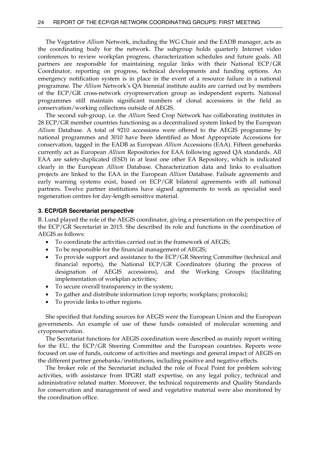The Vegetative *Allium* Network, including the WG Chair and the EADB manager, acts as the coordinating body for the network. The subgroup holds quarterly Internet video conferences to review workplan progress, characterization schedules and future goals. All partners are responsible for maintaining regular links with their National ECP/GR Coordinator, reporting on progress, technical developments and funding options. An emergency notification system is in place in the event of a resource failure in a national programme. The *Allium* Network's QA biennial institute audits are carried out by members of the ECP/GR cross-network cryopreservation group as independent experts. National programmes still maintain significant numbers of clonal accessions in the field as conservation/working collections outside of AEGIS.

 The second sub-group, i.e. the *Allium* Seed Crop Network has collaborating institutes in 28 ECP/GR member countries functioning as a decentralized system linked by the European *Allium* Database. A total of 9210 accessions were offered to the AEGIS programme by national programmes and 3010 have been identified as Most Appropriate Accessions for conservation, tagged in the EADB as European *Allium* Accessions (EAA). Fifteen genebanks currently act as European *Allium* Repositories for EAA following agreed QA standards. All EAA are safety-duplicated (ESD) in at least one other EA Repository, which is indicated clearly in the European *Allium* Database. Characterization data and links to evaluation projects are linked to the EAA in the European *Allium* Database. Failsafe agreements and early warning systems exist, based on ECP/GR bilateral agreements with all national partners. Twelve partner institutions have signed agreements to work as specialist seed regeneration centres for day-length sensitive material.

## **3. ECP/GR Secretariat perspective**

B. Lund played the role of the AEGIS coordinator, giving a presentation on the perspective of the ECP/GR Secretariat in 2015. She described its role and functions in the coordination of AEGIS as follows:

- To coordinate the activities carried out in the framework of AEGIS;
- To be responsible for the financial management of AEGIS;
- To provide support and assistance to the ECP/GR Steering Committee (technical and financial reports), the National ECP/GR Coordinators (during the process of designation of AEGIS accessions), and the Working Groups (facilitating implementation of workplan activities;
- To secure overall transparency in the system;
- To gather and distribute information (crop reports; workplans; protocols);
- To provide links to other regions.

 She specified that funding sources for AEGIS were the European Union and the European governments. An example of use of these funds consisted of molecular screening and cryopreservation.

 The Secretariat functions for AEGIS coordination were described as mainly report writing for the EU, the ECP/GR Steering Committee and the European countries. Reports were focused on use of funds, outcome of activities and meetings and general impact of AEGIS on the different partner genebanks/institutions, including positive and negative effects.

 The broker role of the Secretariat included the role of Focal Point for problem solving activities, with assistance from IPGRI staff expertise, on any legal policy, technical and administrative related matter. Moreover, the technical requirements and Quality Standards for conservation and management of seed and vegetative material were also monitored by the coordination office.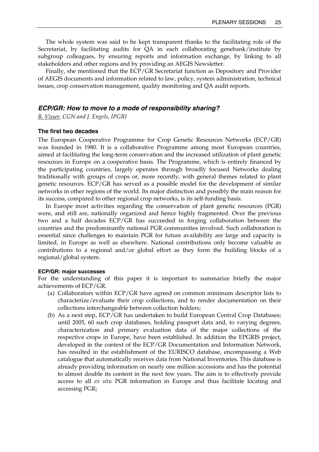The whole system was said to be kept transparent thanks to the facilitating role of the Secretariat, by facilitating audits for QA in each collaborating genebank/institute by subgroup colleagues, by ensuring reports and information exchange, by linking to all stakeholders and other regions and by providing an AEGIS Newsletter.

 Finally, she mentioned that the ECP/GR Secretariat function as Depository and Provider of AEGIS documents and information related to law, policy, system administration, technical issues, crop conservation management, quality monitoring and QA audit reports.

## *ECP/GR: How to move to a mode of responsibility sharing?*

*B. Visser, CGN and J. Engels, IPGRI* 

## **The first two decades**

The European Cooperative Programme for Crop Genetic Resources Networks (ECP/GR) was founded in 1980. It is a collaborative Programme among most European countries, aimed at facilitating the long-term conservation and the increased utilization of plant genetic resources in Europe on a cooperative basis. The Programme, which is entirely financed by the participating countries, largely operates through broadly focused Networks dealing traditionally with groups of crops or, more recently, with general themes related to plant genetic resources. ECP/GR has served as a possible model for the development of similar networks in other regions of the world. Its major distinction and possibly the main reason for its success, compared to other regional crop networks, is its self-funding basis.

 In Europe most activities regarding the conservation of plant genetic resources (PGR) were, and still are, nationally organized and hence highly fragmented. Over the previous two and a half decades ECP/GR has succeeded in forging collaboration between the countries and the predominantly national PGR communities involved. Such collaboration is essential since challenges to maintain PGR for future availability are large and capacity is limited, in Europe as well as elsewhere. National contributions only become valuable as contributions to a regional and/or global effort as they form the building blocks of a regional/global system.

#### **ECP/GR: major successes**

For the understanding of this paper it is important to summarize briefly the major achievements of ECP/GR.

- (a) Collaborators within ECP/GR have agreed on common minimum descriptor lists to characterize/evaluate their crop collections, and to render documentation on their collections interchangeable between collection holders;
- (b) As a next step, ECP/GR has undertaken to build European Central Crop Databases; until 2005, 60 such crop databases, holding passport data and, to varying degrees, characterization and primary evaluation data of the major collections of the respective crops in Europe, have been established. In addition the EPGRIS project, developed in the context of the ECP/GR Documentation and Information Network, has resulted in the establishment of the EURISCO database, encompassing a Web catalogue that automatically receives data from National Inventories. This database is already providing information on nearly one million accessions and has the potential to almost double its content in the next few years. The aim is to effectively provide access to all *ex situ* PGR information in Europe and thus facilitate locating and accessing PGR;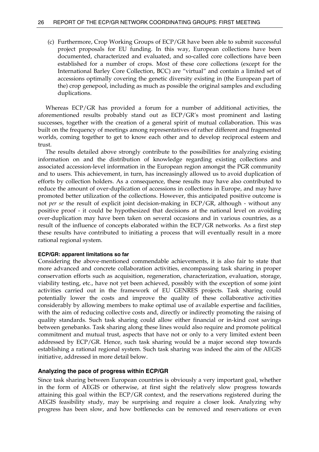(c) Furthermore, Crop Working Groups of ECP/GR have been able to submit successful project proposals for EU funding. In this way, European collections have been documented, characterized and evaluated, and so-called core collections have been established for a number of crops. Most of these core collections (except for the International Barley Core Collection, BCC) are "virtual" and contain a limited set of accessions optimally covering the genetic diversity existing in (the European part of the) crop genepool, including as much as possible the original samples and excluding duplications.

 Whereas ECP/GR has provided a forum for a number of additional activities, the aforementioned results probably stand out as ECP/GR's most prominent and lasting successes, together with the creation of a general spirit of mutual collaboration. This was built on the frequency of meetings among representatives of rather different and fragmented worlds, coming together to get to know each other and to develop reciprocal esteem and trust.

 The results detailed above strongly contribute to the possibilities for analyzing existing information on and the distribution of knowledge regarding existing collections and associated accession-level information in the European region amongst the PGR community and to users. This achievement, in turn, has increasingly allowed us to avoid duplication of efforts by collection holders. As a consequence, these results may have also contributed to reduce the amount of over-duplication of accessions in collections in Europe, and may have promoted better utilization of the collections. However, this anticipated positive outcome is not *per se* the result of explicit joint decision-making in ECP/GR, although - without any positive proof - it could be hypothesized that decisions at the national level on avoiding over-duplication may have been taken on several occasions and in various countries, as a result of the influence of concepts elaborated within the ECP/GR networks. As a first step these results have contributed to initiating a process that will eventually result in a more rational regional system.

#### **ECP/GR: apparent limitations so far**

Considering the above-mentioned commendable achievements, it is also fair to state that more advanced and concrete collaboration activities, encompassing task sharing in proper conservation efforts such as acquisition, regeneration, characterization, evaluation, storage, viability testing, etc., have not yet been achieved, possibly with the exception of some joint activities carried out in the framework of EU GENRES projects. Task sharing could potentially lower the costs and improve the quality of these collaborative activities considerably by allowing members to make optimal use of available expertise and facilities, with the aim of reducing collective costs and, directly or indirectly promoting the raising of quality standards. Such task sharing could allow either financial or in-kind cost savings between genebanks. Task sharing along these lines would also require and promote political commitment and mutual trust, aspects that have not or only to a very limited extent been addressed by ECP/GR. Hence, such task sharing would be a major second step towards establishing a rational regional system. Such task sharing was indeed the aim of the AEGIS initiative, addressed in more detail below.

## **Analyzing the pace of progress within ECP/GR**

Since task sharing between European countries is obviously a very important goal, whether in the form of AEGIS or otherwise, at first sight the relatively slow progress towards attaining this goal within the ECP/GR context, and the reservations registered during the AEGIS feasibility study, may be surprising and require a closer look. Analyzing why progress has been slow, and how bottlenecks can be removed and reservations or even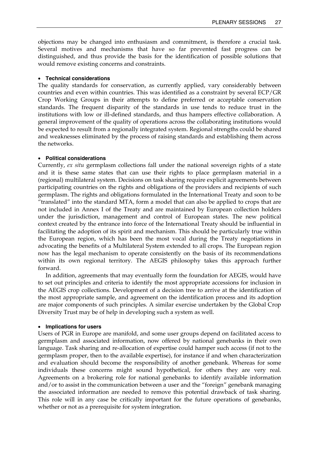objections may be changed into enthusiasm and commitment, is therefore a crucial task. Several motives and mechanisms that have so far prevented fast progress can be distinguished, and thus provide the basis for the identification of possible solutions that would remove existing concerns and constraints.

## • **Technical considerations**

The quality standards for conservation, as currently applied, vary considerably between countries and even within countries. This was identified as a constraint by several ECP/GR Crop Working Groups in their attempts to define preferred or acceptable conservation standards. The frequent disparity of the standards in use tends to reduce trust in the institutions with low or ill-defined standards, and thus hampers effective collaboration. A general improvement of the quality of operations across the collaborating institutions would be expected to result from a regionally integrated system. Regional strengths could be shared and weaknesses eliminated by the process of raising standards and establishing them across the networks.

## • **Political considerations**

Currently, *ex situ* germplasm collections fall under the national sovereign rights of a state and it is these same states that can use their rights to place germplasm material in a (regional) multilateral system. Decisions on task sharing require explicit agreements between participating countries on the rights and obligations of the providers and recipients of such germplasm. The rights and obligations formulated in the International Treaty and soon to be "translated" into the standard MTA, form a model that can also be applied to crops that are not included in Annex I of the Treaty and are maintained by European collection holders under the jurisdiction, management and control of European states. The new political context created by the entrance into force of the International Treaty should be influential in facilitating the adoption of its spirit and mechanism. This should be particularly true within the European region, which has been the most vocal during the Treaty negotiations in advocating the benefits of a Multilateral System extended to all crops. The European region now has the legal mechanism to operate consistently on the basis of its recommendations within its own regional territory. The AEGIS philosophy takes this approach further forward.

 In addition, agreements that may eventually form the foundation for AEGIS, would have to set out principles and criteria to identify the most appropriate accessions for inclusion in the AEGIS crop collections. Development of a decision tree to arrive at the identification of the most appropriate sample, and agreement on the identification process and its adoption are major components of such principles. A similar exercise undertaken by the Global Crop Diversity Trust may be of help in developing such a system as well.

### • **Implications for users**

Users of PGR in Europe are manifold, and some user groups depend on facilitated access to germplasm and associated information, now offered by national genebanks in their own language. Task sharing and re-allocation of expertise could hamper such access (if not to the germplasm proper, then to the available expertise), for instance if and when characterization and evaluation should become the responsibility of another genebank. Whereas for some individuals these concerns might sound hypothetical, for others they are very real. Agreements on a brokering role for national genebanks to identify available information and/or to assist in the communication between a user and the "foreign" genebank managing the associated information are needed to remove this potential drawback of task sharing. This role will in any case be critically important for the future operations of genebanks, whether or not as a prerequisite for system integration.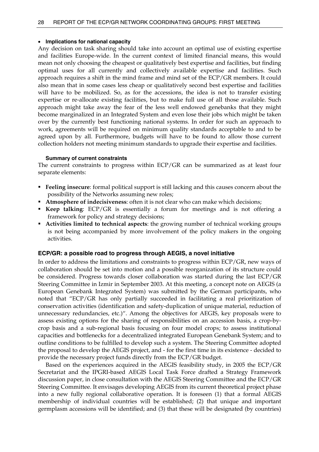## • **Implications for national capacity**

Any decision on task sharing should take into account an optimal use of existing expertise and facilities Europe-wide. In the current context of limited financial means, this would mean not only choosing the cheapest or qualitatively best expertise and facilities, but finding optimal uses for all currently and collectively available expertise and facilities. Such approach requires a shift in the mind frame and mind set of the ECP/GR members. It could also mean that in some cases less cheap or qualitatively second best expertise and facilities will have to be mobilized. So, as for the accessions, the idea is not to transfer existing expertise or re-allocate existing facilities, but to make full use of all those available. Such approach might take away the fear of the less well endowed genebanks that they might become marginalized in an Integrated System and even lose their jobs which might be taken over by the currently best functioning national systems. In order for such an approach to work, agreements will be required on minimum quality standards acceptable to and to be agreed upon by all. Furthermore, budgets will have to be found to allow those current collection holders not meeting minimum standards to upgrade their expertise and facilities.

## **Summary of current constraints**

The current constraints to progress within ECP/GR can be summarized as at least four separate elements:

- **Feeling insecure**: formal political support is still lacking and this causes concern about the possibility of the Networks assuming new roles;
- **Atmosphere of indecisiveness**: often it is not clear who can make which decisions;
- **Keep talking**: ECP/GR is essentially a forum for meetings and is not offering a framework for policy and strategy decisions;
- **Activities limited to technical aspects**: the growing number of technical working groups is not being accompanied by more involvement of the policy makers in the ongoing activities.

## **ECP/GR: a possible road to progress through AEGIS, a novel initiative**

In order to address the limitations and constraints to progress within ECP/GR, new ways of collaboration should be set into motion and a possible reorganization of its structure could be considered. Progress towards closer collaboration was started during the last ECP/GR Steering Committee in Izmir in September 2003. At this meeting, a concept note on AEGIS (a European Genebank Integrated System) was submitted by the German participants, who noted that "ECP/GR has only partially succeeded in facilitating a real prioritization of conservation activities (identification and safety-duplication of unique material, reduction of unnecessary redundancies, etc.)". Among the objectives for AEGIS, key proposals were to assess existing options for the sharing of responsibilities on an accession basis, a crop-bycrop basis and a sub-regional basis focusing on four model crops; to assess institutional capacities and bottlenecks for a decentralized integrated European Genebank System; and to outline conditions to be fulfilled to develop such a system. The Steering Committee adopted the proposal to develop the AEGIS project, and - for the first time in its existence - decided to provide the necessary project funds directly from the ECP/GR budget.

 Based on the experiences acquired in the AEGIS feasibility study, in 2005 the ECP/GR Secretariat and the IPGRI-based AEGIS Local Task Force drafted a Strategy Framework discussion paper, in close consultation with the AEGIS Steering Committee and the ECP/GR Steering Committee. It envisages developing AEGIS from its current theoretical project phase into a new fully regional collaborative operation. It is foreseen (1) that a formal AEGIS membership of individual countries will be established; (2) that unique and important germplasm accessions will be identified; and (3) that these will be designated (by countries)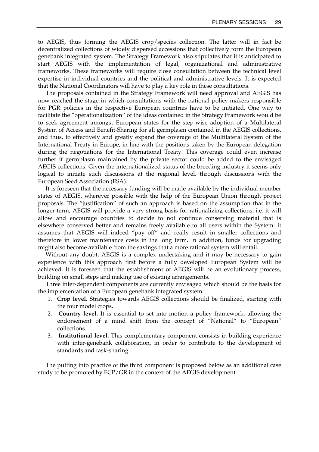to AEGIS, thus forming the AEGIS crop/species collection. The latter will in fact be decentralized collections of widely dispersed accessions that collectively form the European genebank integrated system. The Strategy Framework also stipulates that it is anticipated to start AEGIS with the implementation of legal, organizational and administrative frameworks. These frameworks will require close consultation between the technical level expertise in individual countries and the political and administrative levels. It is expected that the National Coordinators will have to play a key role in these consultations.

 The proposals contained in the Strategy Framework will need approval and AEGIS has now reached the stage in which consultations with the national policy-makers responsible for PGR policies in the respective European countries have to be initiated. One way to facilitate the "operationalization" of the ideas contained in the Strategy Framework would be to seek agreement amongst European states for the step-wise adoption of a Multilateral System of Access and Benefit-Sharing for all germplasm contained in the AEGIS collections, and thus, to effectively and greatly expand the coverage of the Multilateral System of the International Treaty in Europe, in line with the positions taken by the European delegation during the negotiations for the International Treaty. This coverage could even increase further if germplasm maintained by the private sector could be added to the envisaged AEGIS collections. Given the internationalized status of the breeding industry it seems only logical to initiate such discussions at the regional level, through discussions with the European Seed Association (ESA).

 It is foreseen that the necessary funding will be made available by the individual member states of AEGIS, wherever possible with the help of the European Union through project proposals. The "justification" of such an approach is based on the assumption that in the longer-term, AEGIS will provide a very strong basis for rationalizing collections, i.e. it will allow and encourage countries to decide to not continue conserving material that is elsewhere conserved better and remains freely available to all users within the System. It assumes that AEGIS will indeed "pay off" and really result in smaller collections and therefore in lower maintenance costs in the long term. In addition, funds for upgrading might also become available from the savings that a more rational system will entail.

 Without any doubt, AEGIS is a complex undertaking and it may be necessary to gain experience with this approach first before a fully developed European System will be achieved. It is foreseen that the establishment of AEGIS will be an evolutionary process, building on small steps and making use of existing arrangements.

 Three inter-dependent components are currently envisaged which should be the basis for the implementation of a European genebank integrated system:

- 1. **Crop level.** Strategies towards AEGIS collections should be finalized, starting with the four model crops.
- 2. **Country level.** It is essential to set into motion a policy framework, allowing the endorsement of a mind shift from the concept of "National" to "European" collections.
- 3. **Institutional level.** This complementary component consists in building experience with inter-genebank collaboration, in order to contribute to the development of standards and task-sharing.

 The putting into practice of the third component is proposed below as an additional case study to be promoted by ECP/GR in the context of the AEGIS development.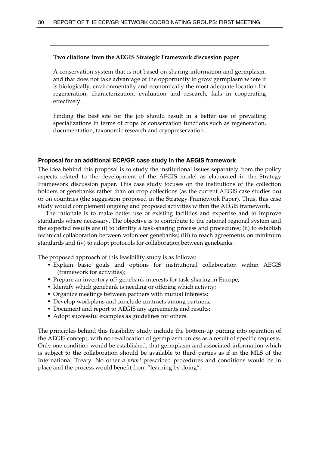#### **Two citations from the AEGIS Strategic Framework discussion paper**

A conservation system that is not based on sharing information and germplasm, and that does not take advantage of the opportunity to grow germplasm where it is biologically, environmentally and economically the most adequate location for regeneration, characterization, evaluation and research, fails in cooperating effectively.

Finding the best site for the job should result in a better use of prevailing specializations in terms of crops or conservation functions such as regeneration, documentation, taxonomic research and cryopreservation.

#### **Proposal for an additional ECP/GR case study in the AEGIS framework**

The idea behind this proposal is to study the institutional issues separately from the policy aspects related to the development of the AEGIS model as elaborated in the Strategy Framework discussion paper. This case study focuses on the institutions of the collection holders or genebanks rather than on crop collections (as the current AEGIS case studies do) or on countries (the suggestion proposed in the Strategy Framework Paper). Thus, this case study would complement ongoing and proposed activities within the AEGIS framework.

 The rationale is to make better use of existing facilities and expertise and to improve standards where necessary. The objective is to contribute to the rational regional system and the expected results are (i) to identify a task-sharing process and procedures; (ii) to establish technical collaboration between volunteer genebanks; (iii) to reach agreements on minimum standards and (iv) to adopt protocols for collaboration between genebanks.

The proposed approach of this feasibility study is as follows:

- Explain basic goals and options for institutional collaboration within AEGIS (framework for activities);
- Prepare an inventory of? genebank interests for task-sharing in Europe;
- I dentify which genebank is needing or offering which activity;
- Organize meetings between partners with mutual interests;
- Develop workplans and conclude contracts among partners;
- Document and report to AEGIS any agreements and results;
- Adopt successful examples as guidelines for others.

The principles behind this feasibility study include the bottom-up putting into operation of the AEGIS concept, with no re-allocation of germplasm unless as a result of specific requests. Only one condition would be established, that germplasm and associated information which is subject to the collaboration should be available to third parties as if in the MLS of the International Treaty. No other *a priori* prescribed procedures and conditions would be in place and the process would benefit from "learning by doing".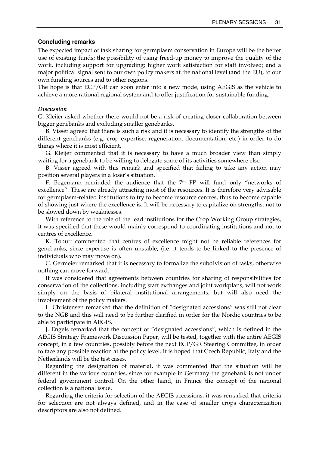#### **Concluding remarks**

The expected impact of task sharing for germplasm conservation in Europe will be the better use of existing funds; the possibility of using freed-up money to improve the quality of the work, including support for upgrading; higher work satisfaction for staff involved; and a major political signal sent to our own policy makers at the national level (and the EU), to our own funding sources and to other regions.

The hope is that ECP/GR can soon enter into a new mode, using AEGIS as the vehicle to achieve a more rational regional system and to offer justification for sustainable funding.

#### *Discussion*

G. Kleijer asked whether there would not be a risk of creating closer collaboration between bigger genebanks and excluding smaller genebanks.

 B. Visser agreed that there is such a risk and it is necessary to identify the strengths of the different genebanks (e.g. crop expertise, regeneration, documentation, etc.) in order to do things where it is most efficient.

 G. Kleijer commented that it is necessary to have a much broader view than simply waiting for a genebank to be willing to delegate some of its activities somewhere else.

 B. Visser agreed with this remark and specified that failing to take any action may position several players in a loser's situation.

F. Begemann reminded the audience that the  $7<sup>th</sup>$  FP will fund only "networks of excellence". These are already attracting most of the resources. It is therefore very advisable for germplasm-related institutions to try to become resource centres, thus to become capable of showing just where the excellence is. It will be necessary to capitalize on strengths, not to be slowed down by weaknesses.

 With reference to the role of the lead institutions for the Crop Working Group strategies, it was specified that these would mainly correspond to coordinating institutions and not to centres of excellence.

 K. Tobutt commented that centres of excellence might not be reliable references for genebanks, since expertise is often unstable, (i.e. it tends to be linked to the presence of individuals who may move on).

 C. Germeier remarked that it is necessary to formalize the subdivision of tasks, otherwise nothing can move forward.

 It was considered that agreements between countries for sharing of responsibilities for conservation of the collections, including staff exchanges and joint workplans, will not work simply on the basis of bilateral institutional arrangements, but will also need the involvement of the policy makers.

 L. Christensen remarked that the definition of "designated accessions" was still not clear to the NGB and this will need to be further clarified in order for the Nordic countries to be able to participate in AEGIS.

 J. Engels remarked that the concept of "designated accessions", which is defined in the AEGIS Strategy Framework Discussion Paper, will be tested, together with the entire AEGIS concept, in a few countries, possibly before the next ECP/GR Steering Committee, in order to face any possible reaction at the policy level. It is hoped that Czech Republic, Italy and the Netherlands will be the test cases.

 Regarding the designation of material, it was commented that the situation will be different in the various countries, since for example in Germany the genebank is not under federal government control. On the other hand, in France the concept of the national collection is a national issue.

 Regarding the criteria for selection of the AEGIS accessions, it was remarked that criteria for selection are not always defined, and in the case of smaller crops characterization descriptors are also not defined.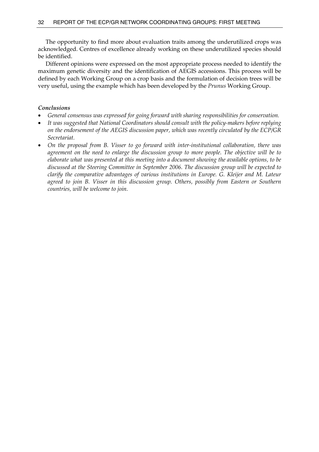The opportunity to find more about evaluation traits among the underutilized crops was acknowledged. Centres of excellence already working on these underutilized species should be identified.

 Different opinions were expressed on the most appropriate process needed to identify the maximum genetic diversity and the identification of AEGIS accessions. This process will be defined by each Working Group on a crop basis and the formulation of decision trees will be very useful, using the example which has been developed by the *Prunus* Working Group.

## *Conclusions*

- *General consensus was expressed for going forward with sharing responsibilities for conservation.*
- *It was suggested that National Coordinators should consult with the policy-makers before replying on the endorsement of the AEGIS discussion paper, which was recently circulated by the ECP/GR Secretariat.*
- *On the proposal from B. Visser to go forward with inter-institutional collaboration, there was agreement on the need to enlarge the discussion group to more people. The objective will be to elaborate what was presented at this meeting into a document showing the available options, to be discussed at the Steering Committee in September 2006. The discussion group will be expected to clarify the comparative advantages of various institutions in Europe. G. Kleijer and M. Lateur agreed to join B. Visser in this discussion group. Others, possibly from Eastern or Southern countries, will be welcome to join.*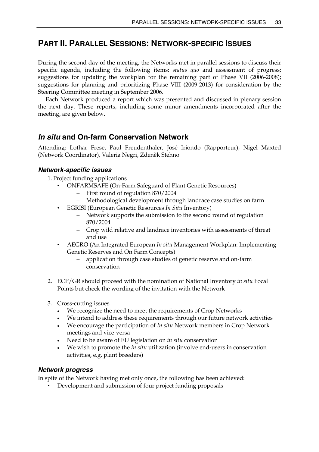# **PART II. PARALLEL SESSIONS: NETWORK-SPECIFIC ISSUES**

During the second day of the meeting, the Networks met in parallel sessions to discuss their specific agenda, including the following items: *status quo* and assessment of progress; suggestions for updating the workplan for the remaining part of Phase VII (2006-2008); suggestions for planning and prioritizing Phase VIII (2009-2013) for consideration by the Steering Committee meeting in September 2006.

 Each Network produced a report which was presented and discussed in plenary session the next day. These reports, including some minor amendments incorporated after the meeting, are given below.

# *In situ* **and On-farm Conservation Network**

Attending: Lothar Frese, Paul Freudenthaler, José Iriondo (Rapporteur), Nigel Maxted (Network Coordinator), Valeria Negri, Zdeněk Stehno

### *Network-specific issues*

- 1. Project funding applications
	- ONFARMSAFE (On-Farm Safeguard of Plant Genetic Resources)
		- First round of regulation 870/2004
		- Methodological development through landrace case studies on farm
	- EGRISI (European Genetic Resources *In Situ* Inventory)
		- Network supports the submission to the second round of regulation 870/2004
		- Crop wild relative and landrace inventories with assessments of threat and use
	- AEGRO (An Integrated European *In situ* Management Workplan: Implementing Genetic Reserves and On Farm Concepts)
		- application through case studies of genetic reserve and on-farm conservation
- 2. ECP/GR should proceed with the nomination of National Inventory *in situ* Focal Points but check the wording of the invitation with the Network
- 3. Cross-cutting issues
	- We recognize the need to meet the requirements of Crop Networks
	- We intend to address these requirements through our future network activities
	- We encourage the participation of *In situ* Network members in Crop Network meetings and vice-versa
	- Need to be aware of EU legislation on *in situ* conservation
	- We wish to promote the *in situ* utilization (involve end-users in conservation activities, e.g. plant breeders)

### *Network progress*

In spite of the Network having met only once, the following has been achieved:

• Development and submission of four project funding proposals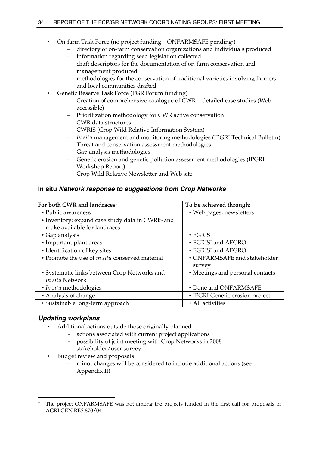- On-farm Task Force (no project funding ONFARMSAFE pending7)
	- directory of on-farm conservation organizations and individuals produced
	- information regarding seed legislation collected
	- draft descriptors for the documentation of on-farm conservation and management produced
	- methodologies for the conservation of traditional varieties involving farmers and local communities drafted
- Genetic Reserve Task Force (PGR Forum funding)
	- Creation of comprehensive catalogue of CWR + detailed case studies (Webaccessible)
	- Prioritization methodology for CWR active conservation
	- CWR data structures
	- CWRIS (Crop Wild Relative Information System)
	- *In situ* management and monitoring methodologies (IPGRI Technical Bulletin)
	- Threat and conservation assessment methodologies
	- Gap analysis methodologies
	- Genetic erosion and genetic pollution assessment methodologies (IPGRI Workshop Report)
	- Crop Wild Relative Newsletter and Web site

### **In situ** *Network response to suggestions from Crop Networks*

| For both CWR and landraces:                            | To be achieved through:          |
|--------------------------------------------------------|----------------------------------|
| • Public awareness                                     | · Web pages, newsletters         |
| • Inventory: expand case study data in CWRIS and       |                                  |
| make available for landraces                           |                                  |
| • Gap analysis                                         | $\cdot$ EGRISI                   |
| • Important plant areas                                | • EGRISI and AEGRO               |
| • Identification of key sites                          | • EGRISI and AEGRO               |
| • Promote the use of <i>in situ</i> conserved material | • ONFARMSAFE and stakeholder     |
|                                                        | survey                           |
| • Systematic links between Crop Networks and           | • Meetings and personal contacts |
| In situ Network                                        |                                  |
| • <i>In situ</i> methodologies                         | • Done and ONFARMSAFE            |
| • Analysis of change                                   | • IPGRI Genetic erosion project  |
| · Sustainable long-term approach                       | • All activities                 |

# *Updating workplans*

 $\overline{a}$ 

- Additional actions outside those originally planned
	- actions associated with current project applications
	- possibility of joint meeting with Crop Networks in 2008
	- stakeholder/user survey
- Budget review and proposals
	- minor changes will be considered to include additional actions (see Appendix II)

<sup>7</sup> The project ONFARMSAFE was not among the projects funded in the first call for proposals of AGRI GEN RES 870/04.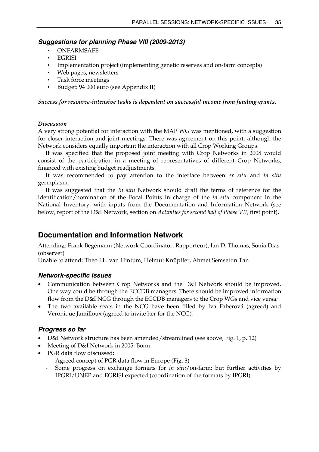### *Suggestions for planning Phase VIII (2009-2013)*

- **ONFARMSAFE**
- EGRISI
- Implementation project (implementing genetic reserves and on-farm concepts)
- Web pages, newsletters
- Task force meetings
- Budget: 94 000 euro (see Appendix II)

*Success for resource-intensive tasks is dependent on successful income from funding grants.* 

### *Discussion*

A very strong potential for interaction with the MAP WG was mentioned, with a suggestion for closer interaction and joint meetings. There was agreement on this point, although the Network considers equally important the interaction with all Crop Working Groups.

 It was specified that the proposed joint meeting with Crop Networks in 2008 would consist of the participation in a meeting of representatives of different Crop Networks, financed with existing budget readjustments.

 It was recommended to pay attention to the interface between *ex situ* and *in situ* germplasm.

 It was suggested that the *In situ* Network should draft the terms of reference for the identification/nomination of the Focal Points in charge of the *in situ* component in the National Inventory, with inputs from the Documentation and Information Network (see below, report of the D&I Network, section on *Activities for second half of Phase VII*, first point).

# **Documentation and Information Network**

Attending: Frank Begemann (Network Coordinator, Rapporteur), Ian D. Thomas, Sonia Dias (observer)

Unable to attend: Theo J.L. van Hintum, Helmut Knüpffer, Ahmet Semsettin Tan

### *Network-specific issues*

- Communication between Crop Networks and the D&I Network should be improved. One way could be through the ECCDB managers. There should be improved information flow from the D&I NCG through the ECCDB managers to the Crop WGs and vice versa*;*
- The two available seats in the NCG have been filled by Iva Faberová (agreed) and Véronique Jamilloux (agreed to invite her for the NCG)*.*

### *Progress so far*

- D&I Network structure has been amended/streamlined (see above, Fig. 1, p. 12)
- Meeting of D&I Network in 2005, Bonn
- PGR data flow discussed:
	- Agreed concept of PGR data flow in Europe (Fig. 3)
	- Some progress on exchange formats for *in situ*/on-farm; but further activities by IPGRI/UNEP and EGRISI expected (coordination of the formats by IPGRI)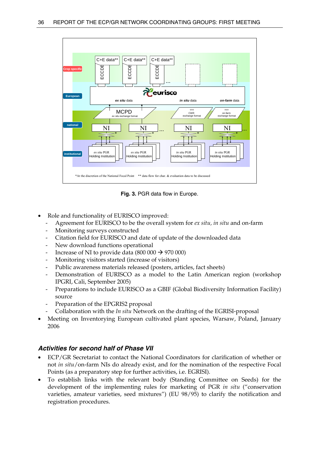

**Fig. 3.** PGR data flow in Europe.

- Role and functionality of EURISCO improved:
	- Agreement for EURISCO to be the overall system for *ex situ, in situ* and on-farm
	- Monitoring surveys constructed
	- Citation field for EURISCO and date of update of the downloaded data
	- New download functions operational
	- Increase of NI to provide data (800 000  $\rightarrow$  970 000)
	- Monitoring visitors started (increase of visitors)
	- Public awareness materials released (posters, articles, fact sheets)
	- Demonstration of EURISCO as a model to the Latin American region (workshop IPGRI, Cali, September 2005)
	- Preparations to include EURISCO as a GBIF (Global Biodiversity Information Facility) source
	- Preparation of the EPGRIS2 proposal
	- Collaboration with the *In situ* Network on the drafting of the EGRISI-proposal
- Meeting on Inventorying European cultivated plant species, Warsaw, Poland, January 2006

### *Activities for second half of Phase VII*

- ECP/GR Secretariat to contact the National Coordinators for clarification of whether or not *in situ*/on-farm NIs do already exist, and for the nomination of the respective Focal Points (as a preparatory step for further activities, i.e. EGRISI).
- To establish links with the relevant body (Standing Committee on Seeds) for the development of the implementing rules for marketing of PGR *in situ* ("conservation varieties, amateur varieties, seed mixtures") (EU 98/95) to clarify the notification and registration procedures.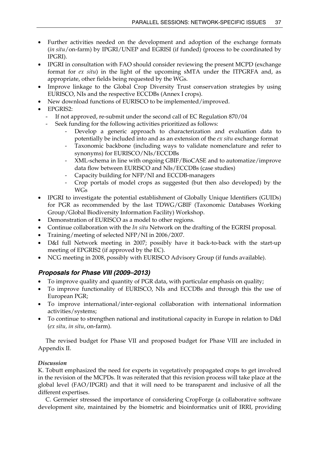- Further activities needed on the development and adoption of the exchange formats (*in situ*/on-farm) by IPGRI/UNEP and EGRISI (if funded) (process to be coordinated by IPGRI).
- IPGRI in consultation with FAO should consider reviewing the present MCPD (exchange format for *ex situ*) in the light of the upcoming sMTA under the ITPGRFA and, as appropriate, other fields being requested by the WGs.
- Improve linkage to the Global Crop Diversity Trust conservation strategies by using EURISCO, NIs and the respective ECCDBs (Annex I crops).
- New download functions of EURISCO to be implemented/improved.
- EPGRIS2:
	- If not approved, re-submit under the second call of EC Regulation 870/04
	- Seek funding for the following activities prioritized as follows:
		- Develop a generic approach to characterization and evaluation data to potentially be included into and as an extension of the *ex situ* exchange format
		- Taxonomic backbone (including ways to validate nomenclature and refer to synonyms) for EURISCO/NIs/ECCDBs
		- XML-schema in line with ongoing GBIF/BioCASE and to automatize/improve data flow between EURISCO and NIs/ECCDBs (case studies)
		- Capacity building for NFP/NI and ECCDB-managers
		- Crop portals of model crops as suggested (but then also developed) by the WGs
- IPGRI to investigate the potential establishment of Globally Unique Identifiers (GUIDs) for PGR as recommended by the last TDWG/GBIF (Taxonomic Databases Working Group/Global Biodiversity Information Facility) Workshop.
- Demonstration of EURISCO as a model to other regions.
- Continue collaboration with the *In situ* Network on the drafting of the EGRISI proposal.
- Training/meeting of selected NFP/NI in 2006/2007.
- D&I full Network meeting in 2007; possibly have it back-to-back with the start-up meeting of EPGRIS2 (if approved by the EC).
- NCG meeting in 2008, possibly with EURISCO Advisory Group (if funds available).

# *Proposals for Phase VIII (2009–2013)*

- To improve quality and quantity of PGR data, with particular emphasis on quality;
- To improve functionality of EURISCO, NIs and ECCDBs and through this the use of European PGR;
- To improve international/inter-regional collaboration with international information activities/systems;
- To continue to strengthen national and institutional capacity in Europe in relation to D&I (*ex situ, in situ*, on-farm).

 The revised budget for Phase VII and proposed budget for Phase VIII are included in Appendix II.

# *Discussion*

K. Tobutt emphasized the need for experts in vegetatively propagated crops to get involved in the revision of the MCPDs. It was reiterated that this revision process will take place at the global level (FAO/IPGRI) and that it will need to be transparent and inclusive of all the different expertises.

 C. Germeier stressed the importance of considering CropForge (a collaborative software development site, maintained by the biometric and bioinformatics unit of IRRI, providing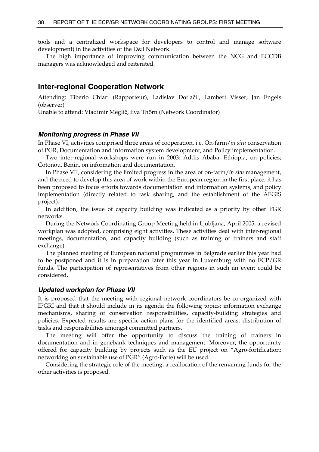tools and a centralized workspace for developers to control and manage software development) in the activities of the D&I Network.

 The high importance of improving communication between the NCG and ECCDB managers was acknowledged and reiterated.

### **Inter-regional Cooperation Network**

Attending: Tiberio Chiari (Rapporteur), Ladislav Dotlačil, Lambert Visser, Jan Engels (observer)

Unable to attend: Vladimir Meglič, Eva Thörn (Network Coordinator)

#### *Monitoring progress in Phase VII*

In Phase VI, activities comprised three areas of cooperation, i.e. On-farm/*in situ* conservation of PGR, Documentation and information system development, and Policy implementation.

 Two inter-regional workshops were run in 2003: Addis Ababa, Ethiopia, on policies; Cotonou, Benin, on information and documentation.

 In Phase VII, considering the limited progress in the area of on-farm/*in situ* management, and the need to develop this area of work within the European region in the first place, it has been proposed to focus efforts towards documentation and information systems, and policy implementation (directly related to task sharing, and the establishment of the AEGIS project).

 In addition, the issue of capacity building was indicated as a priority by other PGR networks.

 During the Network Coordinating Group Meeting held in Ljubljana, April 2005, a revised workplan was adopted, comprising eight activities. These activities deal with inter-regional meetings, documentation, and capacity building (such as training of trainers and staff exchange).

 The planned meeting of European national programmes in Belgrade earlier this year had to be postponed and it is in preparation later this year in Luxemburg with no ECP/GR funds. The participation of representatives from other regions in such an event could be considered.

#### *Updated workplan for Phase VII*

It is proposed that the meeting with regional network coordinators be co-organized with IPGRI and that it should include in its agenda the following topics: information exchange mechanisms, sharing of conservation responsibilities, capacity-building strategies and policies. Expected results are specific action plans for the identified areas, distribution of tasks and responsibilities amongst committed partners.

 The meeting will offer the opportunity to discuss the training of trainers in documentation and in genebank techniques and management. Moreover, the opportunity offered for capacity building by projects such as the EU project on "Agro-fortification: networking on sustainable use of PGR" (Agro-Forte) will be used.

 Considering the strategic role of the meeting, a reallocation of the remaining funds for the other activities is proposed.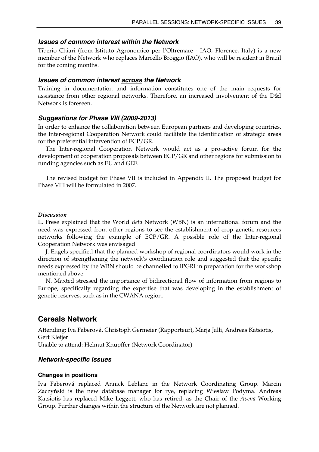#### *Issues of common interest within the Network*

Tiberio Chiari (from Istituto Agronomico per l'Oltremare - IAO, Florence, Italy) is a new member of the Network who replaces Marcello Broggio (IAO), who will be resident in Brazil for the coming months.

### *Issues of common interest across the Network*

Training in documentation and information constitutes one of the main requests for assistance from other regional networks. Therefore, an increased involvement of the D&I Network is foreseen.

### *Suggestions for Phase VIII (2009-2013)*

In order to enhance the collaboration between European partners and developing countries, the Inter-regional Cooperation Network could facilitate the identification of strategic areas for the preferential intervention of ECP/GR.

 The Inter-regional Cooperation Network would act as a pro-active forum for the development of cooperation proposals between ECP/GR and other regions for submission to funding agencies such as EU and GEF.

 The revised budget for Phase VII is included in Appendix II. The proposed budget for Phase VIII will be formulated in 2007.

#### *Discussion*

L. Frese explained that the World *Beta* Network (WBN) is an international forum and the need was expressed from other regions to see the establishment of crop genetic resources networks following the example of ECP/GR. A possible role of the Inter-regional Cooperation Network was envisaged.

 J. Engels specified that the planned workshop of regional coordinators would work in the direction of strengthening the network's coordination role and suggested that the specific needs expressed by the WBN should be channelled to IPGRI in preparation for the workshop mentioned above.

 N. Maxted stressed the importance of bidirectional flow of information from regions to Europe, specifically regarding the expertise that was developing in the establishment of genetic reserves, such as in the CWANA region.

# **Cereals Network**

Attending: Iva Faberová, Christoph Germeier (Rapporteur), Marja Jalli, Andreas Katsiotis, Gert Kleijer

Unable to attend: Helmut Knüpffer (Network Coordinator)

#### *Network-specific issues*

#### **Changes in positions**

Iva Faberová replaced Annick Leblanc in the Network Coordinating Group. Marcin Zaczyński is the new database manager for rye, replacing Wiesław Podyma. Andreas Katsiotis has replaced Mike Leggett, who has retired, as the Chair of the *Avena* Working Group. Further changes within the structure of the Network are not planned.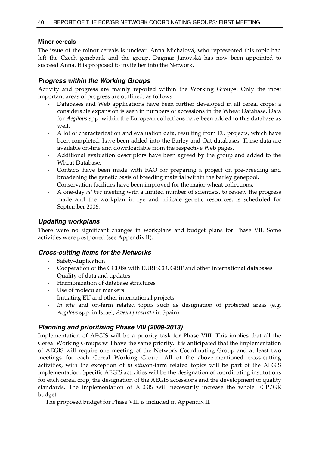### **Minor cereals**

The issue of the minor cereals is unclear. Anna Michalová, who represented this topic had left the Czech genebank and the group. Dagmar Janovská has now been appointed to succeed Anna. It is proposed to invite her into the Network.

### *Progress within the Working Groups*

Activity and progress are mainly reported within the Working Groups. Only the most important areas of progress are outlined, as follows:

- Databases and Web applications have been further developed in all cereal crops: a considerable expansion is seen in numbers of accessions in the Wheat Database. Data for *Aegilops* spp. within the European collections have been added to this database as well.
- A lot of characterization and evaluation data, resulting from EU projects, which have been completed, have been added into the Barley and Oat databases. These data are available on-line and downloadable from the respective Web pages.
- Additional evaluation descriptors have been agreed by the group and added to the Wheat Database.
- Contacts have been made with FAO for preparing a project on pre-breeding and broadening the genetic basis of breeding material within the barley genepool.
- Conservation facilities have been improved for the major wheat collections.
- A one-day *ad hoc* meeting with a limited number of scientists, to review the progress made and the workplan in rye and triticale genetic resources, is scheduled for September 2006.

### *Updating workplans*

There were no significant changes in workplans and budget plans for Phase VII. Some activities were postponed (see Appendix II).

### *Cross-cutting items for the Networks*

- Safety-duplication
- Cooperation of the CCDBs with EURISCO, GBIF and other international databases
- Quality of data and updates
- Harmonization of database structures
- Use of molecular markers
- Initiating EU and other international projects
- *In situ* and on-farm related topics such as designation of protected areas (e.g. *Aegilops* spp. in Israel, *Avena prostrata* in Spain)

# *Planning and prioritizing Phase VIII (2009-2013)*

Implementation of AEGIS will be a priority task for Phase VIII. This implies that all the Cereal Working Groups will have the same priority. It is anticipated that the implementation of AEGIS will require one meeting of the Network Coordinating Group and at least two meetings for each Cereal Working Group. All of the above-mentioned cross-cutting activities, with the exception of *in situ/*on-farm related topics will be part of the AEGIS implementation. Specific AEGIS activities will be the designation of coordinating institutions for each cereal crop, the designation of the AEGIS accessions and the development of quality standards. The implementation of AEGIS will necessarily increase the whole ECP/GR budget.

The proposed budget for Phase VIII is included in Appendix II.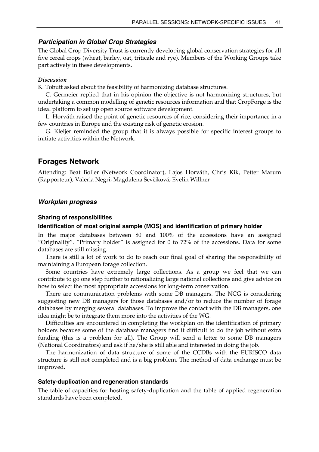### *Participation in Global Crop Strategies*

The Global Crop Diversity Trust is currently developing global conservation strategies for all five cereal crops (wheat, barley, oat, triticale and rye). Members of the Working Groups take part actively in these developments.

#### *Discussion*

K. Tobutt asked about the feasibility of harmonizing database structures.

 C. Germeier replied that in his opinion the objective is not harmonizing structures, but undertaking a common modelling of genetic resources information and that CropForge is the ideal platform to set up open source software development.

 L. Horváth raised the point of genetic resources of rice, considering their importance in a few countries in Europe and the existing risk of genetic erosion.

 G. Kleijer reminded the group that it is always possible for specific interest groups to initiate activities within the Network.

# **Forages Network**

Attending: Beat Boller (Network Coordinator), Lajos Horváth, Chris Kik, Petter Marum (Rapporteur), Valeria Negri, Magdalena Ševčíková, Evelin Willner

### *Workplan progress*

#### **Sharing of responsibilities**

#### **Identification of most original sample (MOS) and identification of primary holder**

In the major databases between 80 and 100% of the accessions have an assigned "Originality". "Primary holder" is assigned for 0 to 72% of the accessions. Data for some databases are still missing.

 There is still a lot of work to do to reach our final goal of sharing the responsibility of maintaining a European forage collection.

 Some countries have extremely large collections. As a group we feel that we can contribute to go one step further to rationalizing large national collections and give advice on how to select the most appropriate accessions for long-term conservation.

 There are communication problems with some DB managers. The NCG is considering suggesting new DB managers for those databases and/or to reduce the number of forage databases by merging several databases. To improve the contact with the DB managers, one idea might be to integrate them more into the activities of the WG.

 Difficulties are encountered in completing the workplan on the identification of primary holders because some of the database managers find it difficult to do the job without extra funding (this is a problem for all). The Group will send a letter to some DB managers (National Coordinators) and ask if he/she is still able and interested in doing the job.

 The harmonization of data structure of some of the CCDBs with the EURISCO data structure is still not completed and is a big problem. The method of data exchange must be improved.

#### **Safety-duplication and regeneration standards**

The table of capacities for hosting safety-duplication and the table of applied regeneration standards have been completed.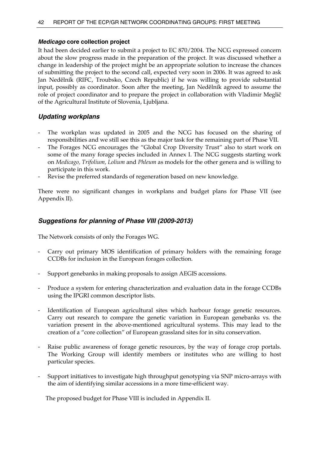### *Medicago* **core collection project**

It had been decided earlier to submit a project to EC 870/2004. The NCG expressed concern about the slow progress made in the preparation of the project. It was discussed whether a change in leadership of the project might be an appropriate solution to increase the chances of submitting the project to the second call, expected very soon in 2006. It was agreed to ask Jan Nedělník (RIFC, Troubsko, Czech Republic) if he was willing to provide substantial input, possibly as coordinator. Soon after the meeting, Jan Nedělník agreed to assume the role of project coordinator and to prepare the project in collaboration with Vladimir Meglič of the Agricultural Institute of Slovenia, Ljubljana.

### *Updating workplans*

- The workplan was updated in 2005 and the NCG has focused on the sharing of responsibilities and we still see this as the major task for the remaining part of Phase VII.
- The Forages NCG encourages the "Global Crop Diversity Trust" also to start work on some of the many forage species included in Annex I. The NCG suggests starting work on *Medicago, Trifolium, Lolium* and *Phleum* as models for the other genera and is willing to participate in this work.
- Revise the preferred standards of regeneration based on new knowledge.

There were no significant changes in workplans and budget plans for Phase VII (see Appendix II).

### *Suggestions for planning of Phase VIII (2009-2013)*

The Network consists of only the Forages WG.

- Carry out primary MOS identification of primary holders with the remaining forage CCDBs for inclusion in the European forages collection.
- Support genebanks in making proposals to assign AEGIS accessions.
- Produce a system for entering characterization and evaluation data in the forage CCDBs using the IPGRI common descriptor lists.
- Identification of European agricultural sites which harbour forage genetic resources. Carry out research to compare the genetic variation in European genebanks vs. the variation present in the above-mentioned agricultural systems. This may lead to the creation of a "core collection" of European grassland sites for in situ conservation.
- Raise public awareness of forage genetic resources, by the way of forage crop portals. The Working Group will identify members or institutes who are willing to host particular species.
- Support initiatives to investigate high throughput genotyping via SNP micro-arrays with the aim of identifying similar accessions in a more time-efficient way.

The proposed budget for Phase VIII is included in Appendix II.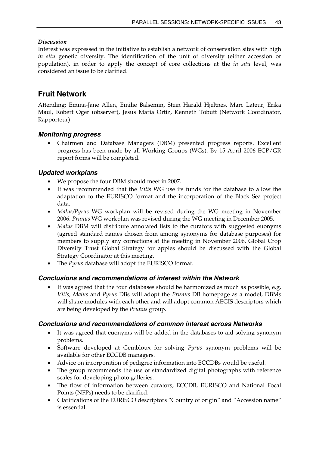# *Discussion*

Interest was expressed in the initiative to establish a network of conservation sites with high *in situ* genetic diversity. The identification of the unit of diversity (either accession or population), in order to apply the concept of core collections at the *in situ* level, was considered an issue to be clarified.

# **Fruit Network**

Attending: Emma-Jane Allen, Emilie Balsemin, Stein Harald Hjeltnes, Marc Lateur, Erika Maul, Robert Oger (observer), Jesus Maria Ortiz, Kenneth Tobutt (Network Coordinator, Rapporteur)

# *Monitoring progress*

• Chairmen and Database Managers (DBM) presented progress reports. Excellent progress has been made by all Working Groups (WGs). By 15 April 2006 ECP/GR report forms will be completed.

# *Updated workplans*

- We propose the four DBM should meet in 2007.
- It was recommended that the *Vitis* WG use its funds for the database to allow the adaptation to the EURISCO format and the incorporation of the Black Sea project data.
- *Malus/Pyrus* WG workplan will be revised during the WG meeting in November 2006. *Prunus* WG workplan was revised during the WG meeting in December 2005.
- *Malus* DBM will distribute annotated lists to the curators with suggested euonyms (agreed standard names chosen from among synonyms for database purposes) for members to supply any corrections at the meeting in November 2006. Global Crop Diversity Trust Global Strategy for apples should be discussed with the Global Strategy Coordinator at this meeting.
- The *Pyrus* database will adopt the EURISCO format.

# *Conclusions and recommendations of interest within the Network*

• It was agreed that the four databases should be harmonized as much as possible, e.g. *Vitis, Malus* and *Pyrus* DBs will adopt the *Prunus* DB homepage as a model, DBMs will share modules with each other and will adopt common AEGIS descriptors which are being developed by the *Prunus* group.

# *Conclusions and recommendations of common interest across Networks*

- It was agreed that euonyms will be added in the databases to aid solving synonym problems.
- Software developed at Gembloux for solving *Pyrus* synonym problems will be available for other ECCDB managers.
- Advice on incorporation of pedigree information into ECCDBs would be useful.
- The group recommends the use of standardized digital photographs with reference scales for developing photo galleries.
- The flow of information between curators, ECCDB, EURISCO and National Focal Points (NFPs) needs to be clarified.
- Clarifications of the EURISCO descriptors "Country of origin" and "Accession name" is essential.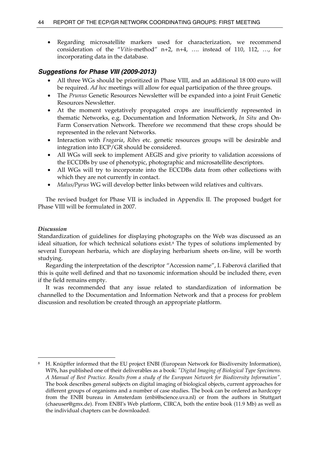Regarding microsatellite markers used for characterization, we recommend consideration of the "*Vitis*-method" n+2, n+4, …. instead of 110, 112, …, for incorporating data in the database.

### *Suggestions for Phase VIII (2009-2013)*

- All three WGs should be prioritized in Phase VIII, and an additional 18 000 euro will be required. *Ad hoc* meetings will allow for equal participation of the three groups.
- The *Prunus* Genetic Resources Newsletter will be expanded into a joint Fruit Genetic Resources Newsletter.
- At the moment vegetatively propagated crops are insufficiently represented in thematic Networks, e.g. Documentation and Information Network, *In Situ* and On-Farm Conservation Network. Therefore we recommend that these crops should be represented in the relevant Networks.
- Interaction with *Fragaria*, *Ribes* etc. genetic resources groups will be desirable and integration into ECP/GR should be considered.
- All WGs will seek to implement AEGIS and give priority to validation accessions of the ECCDBs by use of phenotypic, photographic and microsatellite descriptors.
- All WGs will try to incorporate into the ECCDBs data from other collections with which they are not currently in contact.
- *Malus/Pyrus* WG will develop better links between wild relatives and cultivars.

 The revised budget for Phase VII is included in Appendix II. The proposed budget for Phase VIII will be formulated in 2007.

#### *Discussion*

 $\ddot{\phantom{a}}$ 

Standardization of guidelines for displaying photographs on the Web was discussed as an ideal situation, for which technical solutions exist.<sup>8</sup> The types of solutions implemented by several European herbaria, which are displaying herbarium sheets on-line, will be worth studying.

 Regarding the interpretation of the descriptor "Accession name", I. Faberová clarified that this is quite well defined and that no taxonomic information should be included there, even if the field remains empty.

 It was recommended that any issue related to standardization of information be channelled to the Documentation and Information Network and that a process for problem discussion and resolution be created through an appropriate platform.

<sup>8</sup> H. Knüpffer informed that the EU project ENBI (European Network for Biodiversity Information), WP6, has published one of their deliverables as a book: *"Digital Imaging of Biological Type Specimens. A Manual of Best Practice. Results from a study of the European Network for Biodiversity Information"*. The book describes general subjects on digital imaging of biological objects, current approaches for different groups of organisms and a number of case studies. The book can be ordered as hardcopy from the ENBI bureau in Amsterdam (enbi@science.uva.nl) or from the authors in Stuttgart (chaeuser@gmx.de). From ENBI's Web platform, CIRCA, both the entire book (11.9 Mb) as well as the individual chapters can be downloaded.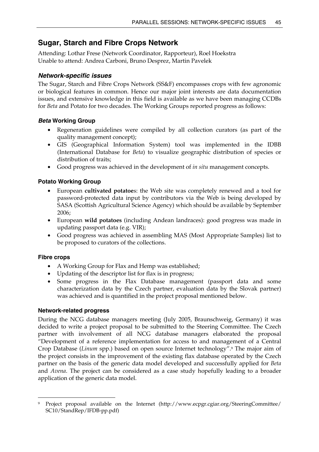# **Sugar, Starch and Fibre Crops Network**

Attending: Lothar Frese (Network Coordinator, Rapporteur), Roel Hoekstra Unable to attend: Andrea Carboni, Bruno Desprez, Martin Pavelek

# *Network-specific issues*

The Sugar, Starch and Fibre Crops Network (SS&F) encompasses crops with few agronomic or biological features in common. Hence our major joint interests are data documentation issues, and extensive knowledge in this field is available as we have been managing CCDBs for *Beta* and Potato for two decades. The Working Groups reported progress as follows:

# *Beta* **Working Group**

- Regeneration guidelines were compiled by all collection curators (as part of the quality management concept);
- GIS (Geographical Information System) tool was implemented in the IDBB (International Database for *Beta*) to visualize geographic distribution of species or distribution of traits;
- Good progress was achieved in the development of *in situ* management concepts.

# **Potato Working Group**

- European **cultivated potatoe**s: the Web site was completely renewed and a tool for password-protected data input by contributors via the Web is being developed by SASA (Scottish Agricultural Science Agency) which should be available by September 2006;
- European **wild potatoes** (including Andean landraces): good progress was made in updating passport data (e.g. VIR);
- Good progress was achieved in assembling MAS (Most Appropriate Samples) list to be proposed to curators of the collections.

# **Fibre crops**

 $\overline{a}$ 

- A Working Group for Flax and Hemp was established;
- Updating of the descriptor list for flax is in progress;
- Some progress in the Flax Database management (passport data and some characterization data by the Czech partner, evaluation data by the Slovak partner) was achieved and is quantified in the project proposal mentioned below.

# **Network-related progress**

During the NCG database managers meeting (July 2005, Braunschweig, Germany) it was decided to write a project proposal to be submitted to the Steering Committee. The Czech partner with involvement of all NCG database managers elaborated the proposal "Development of a reference implementation for access to and management of a Central Crop Database (*Linum* spp.) based on open source Internet technology".9 The major aim of the project consists in the improvement of the existing flax database operated by the Czech partner on the basis of the generic data model developed and successfully applied for *Beta* and *Avena*. The project can be considered as a case study hopefully leading to a broader application of the generic data model.

<sup>9</sup> Project proposal available on the Internet (http://www.ecpgr.cgiar.org/SteeringCommittee/ SC10/StandRep/IFDB-pp.pdf)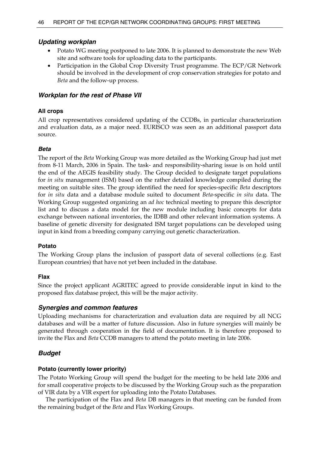# *Updating workplan*

- Potato WG meeting postponed to late 2006. It is planned to demonstrate the new Web site and software tools for uploading data to the participants.
- Participation in the Global Crop Diversity Trust programme. The ECP/GR Network should be involved in the development of crop conservation strategies for potato and *Beta* and the follow-up process.

### *Workplan for the rest of Phase VII*

### **All crops**

All crop representatives considered updating of the CCDBs, in particular characterization and evaluation data, as a major need. EURISCO was seen as an additional passport data source.

### *Beta*

The report of the *Beta* Working Group was more detailed as the Working Group had just met from 8-11 March, 2006 in Spain. The task- and responsibility-sharing issue is on hold until the end of the AEGIS feasibility study. The Group decided to designate target populations for *in situ* management (ISM) based on the rather detailed knowledge compiled during the meeting on suitable sites. The group identified the need for species-specific *Beta* descriptors for *in situ* data and a database module suited to document *Beta*-specific *in situ* data. The Working Group suggested organizing an *ad hoc* technical meeting to prepare this descriptor list and to discuss a data model for the new module including basic concepts for data exchange between national inventories, the IDBB and other relevant information systems. A baseline of genetic diversity for designated ISM target populations can be developed using input in kind from a breeding company carrying out genetic characterization.

### **Potato**

The Working Group plans the inclusion of passport data of several collections (e.g. East European countries) that have not yet been included in the database.

### **Flax**

Since the project applicant AGRITEC agreed to provide considerable input in kind to the proposed flax database project, this will be the major activity.

# *Synergies and common features*

Uploading mechanisms for characterization and evaluation data are required by all NCG databases and will be a matter of future discussion. Also in future synergies will mainly be generated through cooperation in the field of documentation. It is therefore proposed to invite the Flax and *Beta* CCDB managers to attend the potato meeting in late 2006.

# *Budget*

### **Potato (currently lower priority)**

The Potato Working Group will spend the budget for the meeting to be held late 2006 and for small cooperative projects to be discussed by the Working Group such as the preparation of VIR data by a VIR expert for uploading into the Potato Databases.

 The participation of the Flax and *Beta* DB managers in that meeting can be funded from the remaining budget of the *Beta* and Flax Working Groups.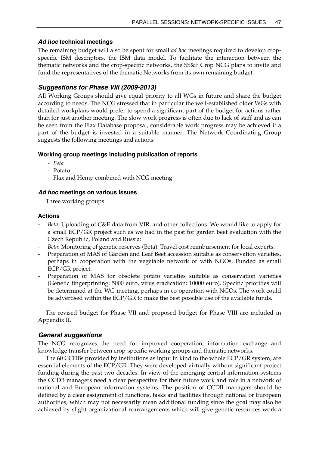# *Ad hoc* **technical meetings**

The remaining budget will also be spent for small *ad hoc* meetings required to develop cropspecific ISM descriptors, the ISM data model. To facilitate the interaction between the thematic networks and the crop-specific networks, the SS&F Crop NCG plans to invite and fund the representatives of the thematic Networks from its own remaining budget.

# *Suggestions for Phase VIII (2009-2013)*

All Working Groups should give equal priority to all WGs in future and share the budget according to needs. The NCG stressed that in particular the well-established older WGs with detailed workplans would prefer to spend a significant part of the budget for actions rather than for just another meeting. The slow work progress is often due to lack of staff and as can be seen from the Flax Database proposal, considerable work progress may be achieved if a part of the budget is invested in a suitable manner. The Network Coordinating Group suggests the following meetings and actions:

# **Working group meetings including publication of reports**

- *Beta*
- Potato
- Flax and Hemp combined with NCG meeting

### *Ad hoc* **meetings on various issues**

Three working groups

### **Actions**

- *Beta*: Uploading of C&E data from VIR, and other collections. We would like to apply for a small ECP/GR project such as we had in the past for garden beet evaluation with the Czech Republic, Poland and Russia:
- *Beta*: Monitoring of genetic reserves (Beta). Travel cost reimbursement for local experts.
- Preparation of MAS of Garden and Leaf Beet accession suitable as conservation varieties, perhaps in cooperation with the vegetable network or with NGOs. Funded as small ECP/GR project.
- Preparation of MAS for obsolete potato varieties suitable as conservation varieties (Genetic fingerprinting: 5000 euro, virus eradication: 10000 euro). Specific priorities will be determined at the WG meeting, perhaps in co-operation with NGOs. The work could be advertised within the ECP/GR to make the best possible use of the available funds.

 The revised budget for Phase VII and proposed budget for Phase VIII are included in Appendix II.

# *General suggestions*

The NCG recognizes the need for improved cooperation, information exchange and knowledge transfer between crop-specific working groups and thematic networks.

 The 60 CCDBs provided by institutions as input in kind to the whole ECP/GR system, are essential elements of the ECP/GR. They were developed virtually without significant project funding during the past two decades. In view of the emerging central information systems the CCDB managers need a clear perspective for their future work and role in a network of national and European information systems. The position of CCDB managers should be defined by a clear assignment of functions, tasks and facilities through national or European authorities, which may not necessarily mean additional funding since the goal may also be achieved by slight organizational rearrangements which will give genetic resources work a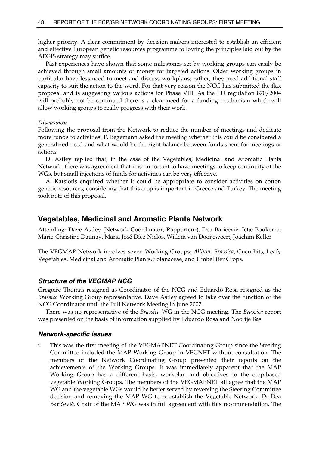higher priority. A clear commitment by decision-makers interested to establish an efficient and effective European genetic resources programme following the principles laid out by the AEGIS strategy may suffice.

 Past experiences have shown that some milestones set by working groups can easily be achieved through small amounts of money for targeted actions. Older working groups in particular have less need to meet and discuss workplans; rather, they need additional staff capacity to suit the action to the word. For that very reason the NCG has submitted the flax proposal and is suggesting various actions for Phase VIII. As the EU regulation 870/2004 will probably not be continued there is a clear need for a funding mechanism which will allow working groups to really progress with their work.

#### *Discussion*

Following the proposal from the Network to reduce the number of meetings and dedicate more funds to activities, F. Begemann asked the meeting whether this could be considered a generalized need and what would be the right balance between funds spent for meetings or actions.

 D. Astley replied that, in the case of the Vegetables, Medicinal and Aromatic Plants Network, there was agreement that it is important to have meetings to keep continuity of the WGs, but small injections of funds for activities can be very effective.

 A. Katsiotis enquired whether it could be appropriate to consider activities on cotton genetic resources, considering that this crop is important in Greece and Turkey. The meeting took note of this proposal.

# **Vegetables, Medicinal and Aromatic Plants Network**

Attending: Dave Astley (Network Coordinator, Rapporteur), Dea Baričevič, Ietje Boukema, Marie-Christine Daunay, Maria José Díez Niclós, Willem van Dooijeweert, Joachim Keller

The VEGMAP Network involves seven Working Groups: *Allium, Brassica*, Cucurbits, Leafy Vegetables, Medicinal and Aromatic Plants, Solanaceae, and Umbellifer Crops.

### *Structure of the VEGMAP NCG*

Grégoire Thomas resigned as Coordinator of the NCG and Eduardo Rosa resigned as the *Brassica* Working Group representative. Dave Astley agreed to take over the function of the NCG Coordinator until the Full Network Meeting in June 2007.

 There was no representative of the *Brassica* WG in the NCG meeting. The *Brassica* report was presented on the basis of information supplied by Eduardo Rosa and Noortje Bas.

#### *Network-specific issues*

i. This was the first meeting of the VEGMAPNET Coordinating Group since the Steering Committee included the MAP Working Group in VEGNET without consultation. The members of the Network Coordinating Group presented their reports on the achievements of the Working Groups. It was immediately apparent that the MAP Working Group has a different basis, workplan and objectives to the crop-based vegetable Working Groups. The members of the VEGMAPNET all agree that the MAP WG and the vegetable WGs would be better served by reversing the Steering Committee decision and removing the MAP WG to re-establish the Vegetable Network. Dr Dea Baričevič, Chair of the MAP WG was in full agreement with this recommendation. The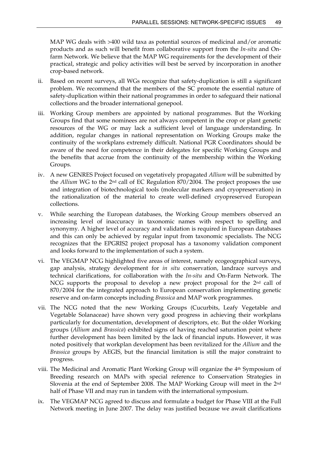MAP WG deals with >400 wild taxa as potential sources of medicinal and/or aromatic products and as such will benefit from collaborative support from the *In-situ* and Onfarm Network. We believe that the MAP WG requirements for the development of their practical, strategic and policy activities will best be served by incorporation in another crop-based network.

- ii. Based on recent surveys, all WGs recognize that safety-duplication is still a significant problem. We recommend that the members of the SC promote the essential nature of safety-duplication within their national programmes in order to safeguard their national collections and the broader international genepool.
- iii. Working Group members are appointed by national programmes. But the Working Groups find that some nominees are not always competent in the crop or plant genetic resources of the WG or may lack a sufficient level of language understanding. In addition, regular changes in national representation on Working Groups make the continuity of the workplans extremely difficult. National PGR Coordinators should be aware of the need for competence in their delegates for specific Working Groups and the benefits that accrue from the continuity of the membership within the Working Groups.
- iv. A new GENRES Project focused on vegetatively propagated *Allium* will be submitted by the *Allium* WG to the 2nd call of EC Regulation 870/2004. The project proposes the use and integration of biotechnological tools (molecular markers and cryopreservation) in the rationalization of the material to create well-defined cryopreserved European collections.
- v. While searching the European databases, the Working Group members observed an increasing level of inaccuracy in taxonomic names with respect to spelling and synonymy. A higher level of accuracy and validation is required in European databases and this can only be achieved by regular input from taxonomic specialists. The NCG recognizes that the EPGRIS2 project proposal has a taxonomy validation component and looks forward to the implementation of such a system.
- vi. The VEGMAP NCG highlighted five areas of interest, namely ecogeographical surveys, gap analysis, strategy development for *in situ* conservation, landrace surveys and technical clarifications, for collaboration with the *In-situ* and On-Farm Network. The NCG supports the proposal to develop a new project proposal for the  $2<sup>nd</sup>$  call of 870/2004 for the integrated approach to European conservation implementing genetic reserve and on-farm concepts including *Brassica* and MAP work programmes.
- vii. The NCG noted that the new Working Groups (Cucurbits, Leafy Vegetable and Vegetable Solanaceae) have shown very good progress in achieving their workplans particularly for documentation, development of descriptors, etc. But the older Working groups (*Allium* and *Brassica*) exhibited signs of having reached saturation point where further development has been limited by the lack of financial inputs. However, it was noted positively that workplan development has been revitalized for the *Allium* and the *Brassica* groups by AEGIS, but the financial limitation is still the major constraint to progress.
- viii. The Medicinal and Aromatic Plant Working Group will organize the 4th Symposium of Breeding research on MAPs with special reference to Conservation Strategies in Slovenia at the end of September 2008. The MAP Working Group will meet in the 2nd half of Phase VII and may run in tandem with the international symposium.
- ix. The VEGMAP NCG agreed to discuss and formulate a budget for Phase VIII at the Full Network meeting in June 2007. The delay was justified because we await clarifications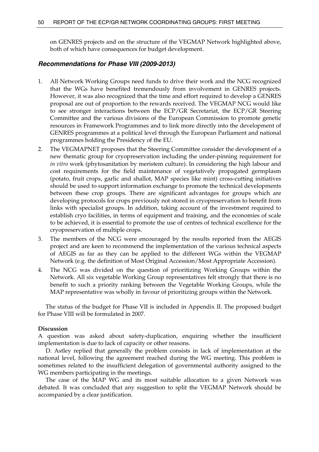on GENRES projects and on the structure of the VEGMAP Network highlighted above, both of which have consequences for budget development.

#### *Recommendations for Phase VIII (2009-2013)*

- 1. All Network Working Groups need funds to drive their work and the NCG recognized that the WGs have benefited tremendously from involvement in GENRES projects. However, it was also recognized that the time and effort required to develop a GENRES proposal are out of proportion to the rewards received. The VEGMAP NCG would like to see stronger interactions between the ECP/GR Secretariat, the ECP/GR Steering Committee and the various divisions of the European Commission to promote genetic resources in Framework Programmes and to link more directly into the development of GENRES programmes at a political level through the European Parliament and national programmes holding the Presidency of the EU.
- 2. The VEGMAPNET proposes that the Steering Committee consider the development of a new thematic group for cryopreservation including the under-pinning requirement for *in vitro* work (phytosanitation by meristem culture). In considering the high labour and cost requirements for the field maintenance of vegetatively propagated germplasm (potato, fruit crops, garlic and shallot, MAP species like mint) cross-cutting initiatives should be used to support information exchange to promote the technical developments between these crop groups. There are significant advantages for groups which are developing protocols for crops previously not stored in cryopreservation to benefit from links with specialist groups. In addition, taking account of the investment required to establish cryo facilities, in terms of equipment and training, and the economies of scale to be achieved, it is essential to promote the use of centres of technical excellence for the cryopreservation of multiple crops.
- 3. The members of the NCG were encouraged by the results reported from the AEGIS project and are keen to recommend the implementation of the various technical aspects of AEGIS as far as they can be applied to the different WGs within the VEGMAP Network (e.g. the definition of Most Original Accession/Most Appropriate Accession).
- 4. The NCG was divided on the question of prioritizing Working Groups within the Network. All six vegetable Working Group representatives felt strongly that there is no benefit to such a priority ranking between the Vegetable Working Groups, while the MAP representative was wholly in favour of prioritizing groups within the Network.

 The status of the budget for Phase VII is included in Appendix II. The proposed budget for Phase VIII will be formulated in 2007.

#### **Discussion**

A question was asked about safety-duplication, enquiring whether the insufficient implementation is due to lack of capacity or other reasons.

 D. Astley replied that generally the problem consists in lack of implementation at the national level, following the agreement reached during the WG meeting. This problem is sometimes related to the insufficient delegation of governmental authority assigned to the WG members participating in the meetings.

 The case of the MAP WG and its most suitable allocation to a given Network was debated. It was concluded that any suggestion to split the VEGMAP Network should be accompanied by a clear justification.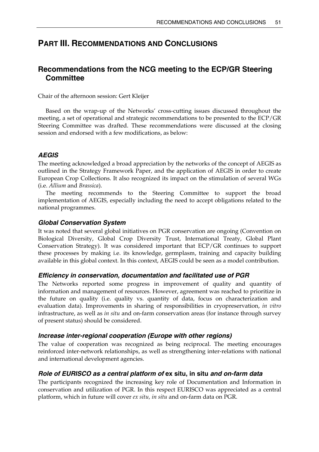# **PART III. RECOMMENDATIONS AND CONCLUSIONS**

# **Recommendations from the NCG meeting to the ECP/GR Steering Committee**

Chair of the afternoon session: Gert Kleijer

 Based on the wrap-up of the Networks' cross-cutting issues discussed throughout the meeting, a set of operational and strategic recommendations to be presented to the ECP/GR Steering Committee was drafted. These recommendations were discussed at the closing session and endorsed with a few modifications, as below:

# *AEGIS*

The meeting acknowledged a broad appreciation by the networks of the concept of AEGIS as outlined in the Strategy Framework Paper, and the application of AEGIS in order to create European Crop Collections. It also recognized its impact on the stimulation of several WGs (i.e. *Allium* and *Brassica*).

 The meeting recommends to the Steering Committee to support the broad implementation of AEGIS, especially including the need to accept obligations related to the national programmes.

# *Global Conservation System*

It was noted that several global initiatives on PGR conservation are ongoing (Convention on Biological Diversity, Global Crop Diversity Trust, International Treaty, Global Plant Conservation Strategy). It was considered important that ECP/GR continues to support these processes by making i.e. its knowledge, germplasm, training and capacity building available in this global context. In this context, AEGIS could be seen as a model contribution.

# *Efficiency in conservation, documentation and facilitated use of PGR*

The Networks reported some progress in improvement of quality and quantity of information and management of resources. However, agreement was reached to prioritize in the future on quality (i.e. quality vs. quantity of data, focus on characterization and evaluation data). Improvements in sharing of responsibilities in cryopreservation, *in vitro* infrastructure, as well as *in situ* and on-farm conservation areas (for instance through survey of present status) should be considered.

# *Increase inter-regional cooperation (Europe with other regions)*

The value of cooperation was recognized as being reciprocal. The meeting encourages reinforced inter-network relationships, as well as strengthening inter-relations with national and international development agencies.

# *Role of EURISCO as a central platform of* **ex situ, in situ** *and on-farm data*

The participants recognized the increasing key role of Documentation and Information in conservation and utilization of PGR. In this respect EURISCO was appreciated as a central platform, which in future will cover *ex situ, in situ* and on-farm data on PGR.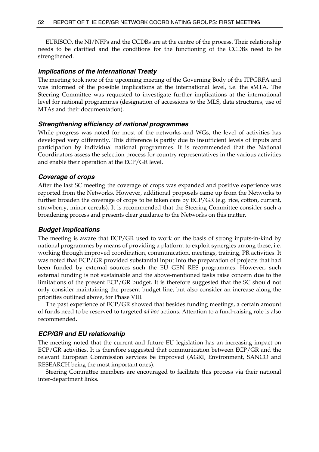EURISCO, the NI/NFPs and the CCDBs are at the centre of the process. Their relationship needs to be clarified and the conditions for the functioning of the CCDBs need to be strengthened.

### *Implications of the International Treaty*

The meeting took note of the upcoming meeting of the Governing Body of the ITPGRFA and was informed of the possible implications at the international level, i.e. the sMTA. The Steering Committee was requested to investigate further implications at the international level for national programmes (designation of accessions to the MLS, data structures, use of MTAs and their documentation).

#### *Strengthening efficiency of national programmes*

While progress was noted for most of the networks and WGs, the level of activities has developed very differently. This difference is partly due to insufficient levels of inputs and participation by individual national programmes. It is recommended that the National Coordinators assess the selection process for country representatives in the various activities and enable their operation at the ECP/GR level.

#### *Coverage of crops*

After the last SC meeting the coverage of crops was expanded and positive experience was reported from the Networks. However, additional proposals came up from the Networks to further broaden the coverage of crops to be taken care by  $ECP/GR$  (e.g. rice, cotton, currant, strawberry, minor cereals). It is recommended that the Steering Committee consider such a broadening process and presents clear guidance to the Networks on this matter.

#### *Budget implications*

The meeting is aware that ECP/GR used to work on the basis of strong inputs-in-kind by national programmes by means of providing a platform to exploit synergies among these, i.e. working through improved coordination, communication, meetings, training, PR activities. It was noted that ECP/GR provided substantial input into the preparation of projects that had been funded by external sources such the EU GEN RES programmes. However, such external funding is not sustainable and the above-mentioned tasks raise concern due to the limitations of the present ECP/GR budget. It is therefore suggested that the SC should not only consider maintaining the present budget line, but also consider an increase along the priorities outlined above, for Phase VIII.

 The past experience of ECP/GR showed that besides funding meetings, a certain amount of funds need to be reserved to targeted *ad hoc* actions. Attention to a fund-raising role is also recommended.

#### *ECP/GR and EU relationship*

The meeting noted that the current and future EU legislation has an increasing impact on ECP/GR activities. It is therefore suggested that communication between ECP/GR and the relevant European Commission services be improved (AGRI, Environment, SANCO and RESEARCH being the most important ones).

 Steering Committee members are encouraged to facilitate this process via their national inter-department links.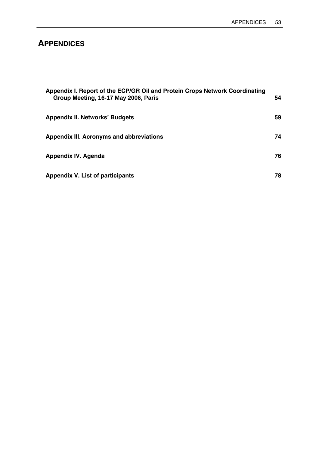# **APPENDICES**

| Appendix I. Report of the ECP/GR Oil and Protein Crops Network Coordinating<br>Group Meeting, 16-17 May 2006, Paris | 54 |
|---------------------------------------------------------------------------------------------------------------------|----|
| <b>Appendix II. Networks' Budgets</b>                                                                               | 59 |
| Appendix III. Acronyms and abbreviations                                                                            | 74 |
| <b>Appendix IV. Agenda</b>                                                                                          | 76 |
| Appendix V. List of participants                                                                                    | 78 |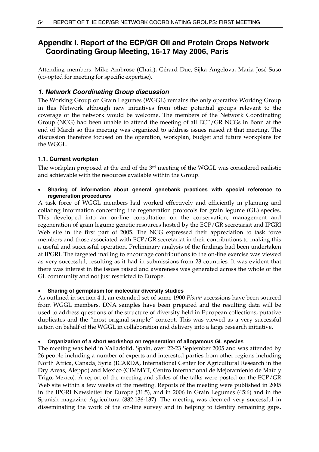# **Appendix I. Report of the ECP/GR Oil and Protein Crops Network Coordinating Group Meeting, 16-17 May 2006, Paris**

Attending members: Mike Ambrose (Chair), Gérard Duc, Sijka Angelova, Maria José Suso (co-opted for meeting for specific expertise).

# *1. Network Coordinating Group discussion*

The Working Group on Grain Legumes (WGGL) remains the only operative Working Group in this Network although new initiatives from other potential groups relevant to the coverage of the network would be welcome. The members of the Network Coordinating Group (NCG) had been unable to attend the meeting of all ECP/GR NCGs in Bonn at the end of March so this meeting was organized to address issues raised at that meeting. The discussion therefore focused on the operation, workplan, budget and future workplans for the WGGL.

# **1.1. Current workplan**

The workplan proposed at the end of the 3rd meeting of the WGGL was considered realistic and achievable with the resources available within the Group.

• **Sharing of information about general genebank practices with special reference to regeneration procedures** 

A task force of WGGL members had worked effectively and efficiently in planning and collating information concerning the regeneration protocols for grain legume (GL) species. This developed into an on-line consultation on the conservation, management and regeneration of grain legume genetic resources hosted by the ECP/GR secretariat and IPGRI Web site in the first part of 2005. The NCG expressed their appreciation to task force members and those associated with ECP/GR secretariat in their contributions to making this a useful and successful operation. Preliminary analysis of the findings had been undertaken at IPGRI. The targeted mailing to encourage contributions to the on-line exercise was viewed as very successful, resulting as it had in submissions from 23 countries. It was evident that there was interest in the issues raised and awareness was generated across the whole of the GL community and not just restricted to Europe.

# • **Sharing of germplasm for molecular diversity studies**

As outlined in section 4.1, an extended set of some 1900 *Pisum* accessions have been sourced from WGGL members. DNA samples have been prepared and the resulting data will be used to address questions of the structure of diversity held in European collections, putative duplicates and the "most original sample" concept. This was viewed as a very successful action on behalf of the WGGL in collaboration and delivery into a large research initiative.

# • **Organization of a short workshop on regeneration of allogamous GL species**

The meeting was held in Valladolid, Spain, over 22-23 September 2005 and was attended by 26 people including a number of experts and interested parties from other regions including North Africa, Canada, Syria (ICARDA, International Center for Agricultural Research in the Dry Areas, Aleppo) and Mexico (CIMMYT, Centro Internacional de Mejoramiento de Maíz y Trigo, Mexico). A report of the meeting and slides of the talks were posted on the ECP/GR Web site within a few weeks of the meeting. Reports of the meeting were published in 2005 in the IPGRI Newsletter for Europe (31:5), and in 2006 in Grain Legumes (45:6) and in the Spanish magazine Agricultura (882:136-137). The meeting was deemed very successful in disseminating the work of the on-line survey and in helping to identify remaining gaps.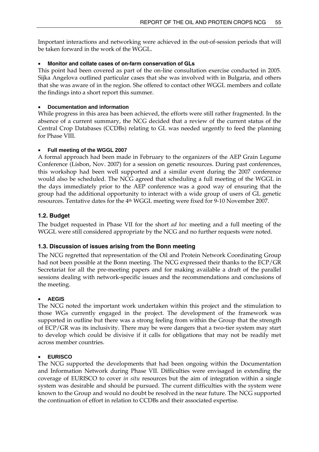Important interactions and networking were achieved in the out-of-session periods that will be taken forward in the work of the WGGL.

### • **Monitor and collate cases of on-farm conservation of GLs**

This point had been covered as part of the on-line consultation exercise conducted in 2005. Sijka Angelova outlined particular cases that she was involved with in Bulgaria, and others that she was aware of in the region. She offered to contact other WGGL members and collate the findings into a short report this summer.

### • **Documentation and information**

While progress in this area has been achieved, the efforts were still rather fragmented. In the absence of a current summary, the NCG decided that a review of the current status of the Central Crop Databases (CCDBs) relating to GL was needed urgently to feed the planning for Phase VIII.

### • **Full meeting of the WGGL 2007**

A formal approach had been made in February to the organizers of the AEP Grain Legume Conference (Lisbon, Nov. 2007) for a session on genetic resources. During past conferences, this workshop had been well supported and a similar event during the 2007 conference would also be scheduled. The NCG agreed that scheduling a full meeting of the WGGL in the days immediately prior to the AEP conference was a good way of ensuring that the group had the additional opportunity to interact with a wide group of users of GL genetic resources. Tentative dates for the 4th WGGL meeting were fixed for 9-10 November 2007.

# **1.2. Budget**

The budget requested in Phase VII for the short *ad hoc* meeting and a full meeting of the WGGL were still considered appropriate by the NCG and no further requests were noted.

# **1.3. Discussion of issues arising from the Bonn meeting**

The NCG regretted that representation of the Oil and Protein Network Coordinating Group had not been possible at the Bonn meeting. The NCG expressed their thanks to the ECP/GR Secretariat for all the pre-meeting papers and for making available a draft of the parallel sessions dealing with network-specific issues and the recommendations and conclusions of the meeting.

# • **AEGIS**

The NCG noted the important work undertaken within this project and the stimulation to those WGs currently engaged in the project. The development of the framework was supported in outline but there was a strong feeling from within the Group that the strength of ECP/GR was its inclusivity. There may be were dangers that a two-tier system may start to develop which could be divisive if it calls for obligations that may not be readily met across member countries.

### • **EURISCO**

The NCG supported the developments that had been ongoing within the Documentation and Information Network during Phase VII. Difficulties were envisaged in extending the coverage of EURISCO to cover *in situ* resources but the aim of integration within a single system was desirable and should be pursued. The current difficulties with the system were known to the Group and would no doubt be resolved in the near future. The NCG supported the continuation of effort in relation to CCDBs and their associated expertise.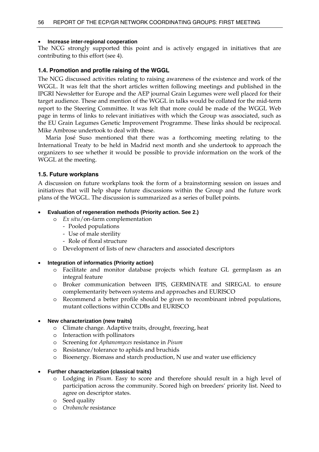#### • **Increase inter-regional cooperation**

The NCG strongly supported this point and is actively engaged in initiatives that are contributing to this effort (see 4).

### **1.4. Promotion and profile raising of the WGGL**

The NCG discussed activities relating to raising awareness of the existence and work of the WGGL. It was felt that the short articles written following meetings and published in the IPGRI Newsletter for Europe and the AEP journal Grain Legumes were well placed for their target audience. These and mention of the WGGL in talks would be collated for the mid-term report to the Steering Committee. It was felt that more could be made of the WGGL Web page in terms of links to relevant initiatives with which the Group was associated, such as the EU Grain Legumes Genetic Improvement Programme. These links should be reciprocal. Mike Ambrose undertook to deal with these.

 Maria José Suso mentioned that there was a forthcoming meeting relating to the International Treaty to be held in Madrid next month and she undertook to approach the organizers to see whether it would be possible to provide information on the work of the WGGL at the meeting.

#### **1.5. Future workplans**

A discussion on future workplans took the form of a brainstorming session on issues and initiatives that will help shape future discussions within the Group and the future work plans of the WGGL. The discussion is summarized as a series of bullet points.

#### • **Evaluation of regeneration methods (Priority action. See 2.)**

- o *Ex situ*/on-farm complementation
	- Pooled populations
	- Use of male sterility
	- Role of floral structure
- o Development of lists of new characters and associated descriptors

#### • **Integration of informatics (Priority action)**

- o Facilitate and monitor database projects which feature GL germplasm as an integral feature
- o Broker communication between IPIS, GERMINATE and SIREGAL to ensure complementarity between systems and approaches and EURISCO
- o Recommend a better profile should be given to recombinant inbred populations, mutant collections within CCDBs and EURISCO

#### • **New characterization (new traits)**

- o Climate change. Adaptive traits, drought, freezing, heat
- o Interaction with pollinators
- o Screening for *Aphanomyces* resistance in *Pisum*
- o Resistance/tolerance to aphids and bruchids
- o Bioenergy. Biomass and starch production, N use and water use efficiency

#### • **Further characterization (classical traits)**

- o Lodging in *Pisum*. Easy to score and therefore should result in a high level of participation across the community. Scored high on breeders' priority list. Need to agree on descriptor states.
- o Seed quality
- o *Orobanche* resistance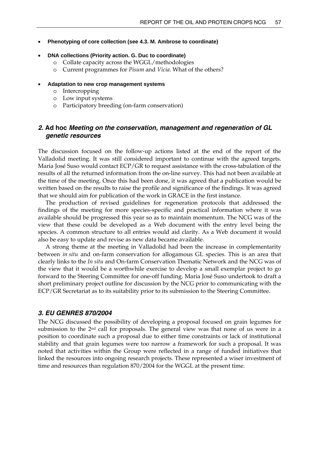- **Phenotyping of core collection (see 4.3. M. Ambrose to coordinate)**
- **DNA collections (Priority action. G. Duc to coordinate)** 
	- o Collate capacity across the WGGL/methodologies
	- o Current programmes for *Pisum* and *Vicia*. What of the others?
- **Adaptation to new crop management systems** 
	- o Intercropping
	- o Low input systems
	- o Participatory breeding (on-farm conservation)

### *2.* **Ad hoc** *Meeting on the conservation, management and regeneration of GL genetic resources*

The discussion focused on the follow-up actions listed at the end of the report of the Valladolid meeting. It was still considered important to continue with the agreed targets. Maria José Suso would contact ECP/GR to request assistance with the cross-tabulation of the results of all the returned information from the on-line survey. This had not been available at the time of the meeting. Once this had been done, it was agreed that a publication would be written based on the results to raise the profile and significance of the findings. It was agreed that we should aim for publication of the work in GRACE in the first instance.

 The production of revised guidelines for regeneration protocols that addressed the findings of the meeting for more species-specific and practical information where it was available should be progressed this year so as to maintain momentum. The NCG was of the view that these could be developed as a Web document with the entry level being the species. A common structure to all entries would aid clarity. As a Web document it would also be easy to update and revise as new data became available.

 A strong theme at the meeting in Valladolid had been the increase in complementarity between *in situ* and on-farm conservation for allogamous GL species. This is an area that clearly links to the *In situ* and On-farm Conservation Thematic Network and the NCG was of the view that it would be a worthwhile exercise to develop a small exemplar project to go forward to the Steering Committee for one-off funding. Maria José Suso undertook to draft a short preliminary project outline for discussion by the NCG prior to communicating with the ECP/GR Secretariat as to its suitability prior to its submission to the Steering Committee.

#### *3. EU GENRES 870/2004*

The NCG discussed the possibility of developing a proposal focused on grain legumes for submission to the  $2<sup>nd</sup>$  call for proposals. The general view was that none of us were in a position to coordinate such a proposal due to either time constraints or lack of institutional stability and that grain legumes were too narrow a framework for such a proposal. It was noted that activities within the Group were reflected in a range of funded initiatives that linked the resources into ongoing research projects. These represented a wiser investment of time and resources than regulation 870/2004 for the WGGL at the present time.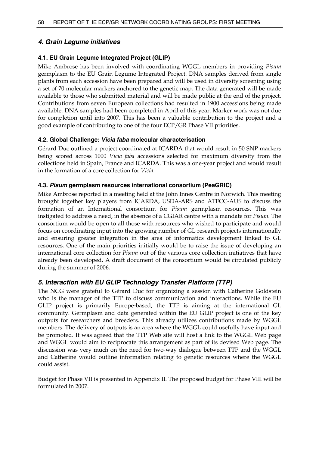# *4. Grain Legume initiatives*

### **4.1. EU Grain Legume Integrated Project (GLIP)**

Mike Ambrose has been involved with coordinating WGGL members in providing *Pisum* germplasm to the EU Grain Legume Integrated Project. DNA samples derived from single plants from each accession have been prepared and will be used in diversity screening using a set of 70 molecular markers anchored to the genetic map. The data generated will be made available to those who submitted material and will be made public at the end of the project. Contributions from seven European collections had resulted in 1900 accessions being made available. DNA samples had been completed in April of this year. Marker work was not due for completion until into 2007. This has been a valuable contribution to the project and a good example of contributing to one of the four ECP/GR Phase VII priorities.

### **4.2. Global Challenge:** *Vicia faba* **molecular characterisation**

Gérard Duc outlined a project coordinated at ICARDA that would result in 50 SNP markers being scored across 1000 *Vicia faba* accessions selected for maximum diversity from the collections held in Spain, France and ICARDA. This was a one-year project and would result in the formation of a core collection for *Vicia.*

### **4.3.** *Pisum* **germplasm resources international consortium (PeaGRIC)**

Mike Ambrose reported in a meeting held at the John Innes Centre in Norwich. This meeting brought together key players from ICARDA, USDA-ARS and ATFCC-AUS to discuss the formation of an International consortium for *Pisum* germplasm resources. This was instigated to address a need, in the absence of a CGIAR centre with a mandate for *Pisum.* The consortium would be open to all those with resources who wished to participate and would focus on coordinating input into the growing number of GL research projects internationally and ensuring greater integration in the area of informatics development linked to GL resources. One of the main priorities initially would be to raise the issue of developing an international core collection for *Pisum* out of the various core collection initiatives that have already been developed. A draft document of the consortium would be circulated publicly during the summer of 2006.

# *5. Interaction with EU GLIP Technology Transfer Platform (TTP)*

The NCG were grateful to Gérard Duc for organizing a session with Catherine Goldstein who is the manager of the TTP to discuss communication and interactions. While the EU GLIP project is primarily Europe-based, the TTP is aiming at the international GL community. Germplasm and data generated within the EU GLIP project is one of the key outputs for researchers and breeders. This already utilizes contributions made by WGGL members. The delivery of outputs is an area where the WGGL could usefully have input and be promoted. It was agreed that the TTP Web site will host a link to the WGGL Web page and WGGL would aim to reciprocate this arrangement as part of its devised Web page. The discussion was very much on the need for two-way dialogue between TTP and the WGGL and Catherine would outline information relating to genetic resources where the WGGL could assist.

Budget for Phase VII is presented in Appendix II. The proposed budget for Phase VIII will be formulated in 2007.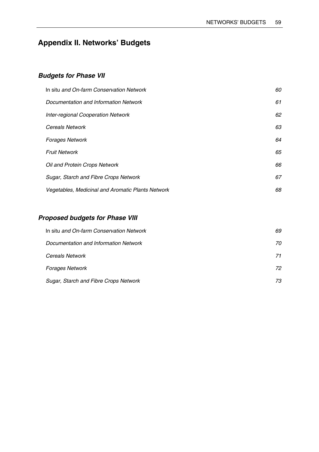# **Appendix II. Networks' Budgets**

# *Budgets for Phase VII*

| In situ and On-farm Conservation Network                 | 60 |
|----------------------------------------------------------|----|
| Documentation and Information Network                    | 61 |
| Inter-regional Cooperation Network                       | 62 |
| <b>Cereals Network</b>                                   | 63 |
| <b>Forages Network</b>                                   | 64 |
| <b>Fruit Network</b>                                     | 65 |
| Oil and Protein Crops Network                            | 66 |
| Sugar, Starch and Fibre Crops Network                    | 67 |
| <b>Vegetables, Medicinal and Aromatic Plants Network</b> | 68 |

# *Proposed budgets for Phase VIII*

| In situ and On-farm Conservation Network | 69 |
|------------------------------------------|----|
| Documentation and Information Network    | 70 |
| <b>Cereals Network</b>                   | 71 |
| <b>Forages Network</b>                   | 72 |
| Sugar, Starch and Fibre Crops Network    | 73 |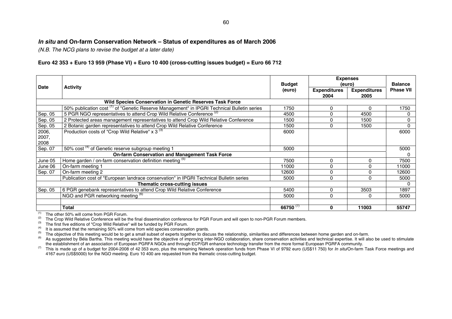# *In situ* **and On-farm Conservation Network – Status of expenditures as of March 2006**

*(N.B. The NCG plans to revise the budget at a later date)* 

### **Euro 42 353 + Euro 13 959 (Phase VI) + Euro 10 400 (cross-cutting issues budget) = Euro 66 712**

| <b>Date</b> | <b>Activity</b>                                                                                        |             | <b>Expenses</b><br>(euro)   |                             | <b>Balance</b>   |
|-------------|--------------------------------------------------------------------------------------------------------|-------------|-----------------------------|-----------------------------|------------------|
|             |                                                                                                        | (euro)      | <b>Expenditures</b><br>2004 | <b>Expenditures</b><br>2005 | <b>Phase VII</b> |
|             | Wild Species Conservation in Genetic Reserves Task Force                                               |             |                             |                             |                  |
|             | 50% publication cost <sup>(1)</sup> of "Genetic Reserve Management" in IPGRI Technical Bulletin series | 1750        | 0                           | <sup>0</sup>                | 1750             |
| Sep. 05     | 5 PGR NGO representatives to attend Crop Wild Relative Conference <sup>(2)</sup>                       | 4500        | 0                           | 4500                        |                  |
| Sep. 05     | 2 Protected areas management representatives to attend Crop Wild Relative Conference                   | 1500        | 0                           | 1500                        |                  |
| Sep. 05     | 2 Botanic garden representatives to attend Crop Wild Relative Conference                               | 1500        | 0                           | 1500                        | $\Omega$         |
| 2006,       | Production costs of "Crop Wild Relative" x 3 <sup>(3)</sup>                                            | 6000        |                             |                             | 6000             |
| 2007,       |                                                                                                        |             |                             |                             |                  |
| 2008        |                                                                                                        |             |                             |                             |                  |
| Sep. 07     | 50% cost <sup>(4)</sup> of Genetic reserve subgroup meeting 1                                          | 5000        |                             |                             | 5000             |
|             | <b>On-farm Conservation and Management Task Force</b>                                                  |             |                             |                             |                  |
| June 05     | Home garden / on-farm conservation definition meeting (5)                                              | 7500        | 0                           | 0                           | 7500             |
| June 06     | On-farm meeting 1                                                                                      | 11000       | 0                           | O                           | 11000            |
| Sep. 07     | On-farm meeting 2                                                                                      | 12600       | 0                           | 0                           | 12600            |
|             | Publication cost of "European landrace conservation" in IPGRI Technical Bulletin series                | 5000        | 0                           | $\Omega$                    | 5000             |
|             | Thematic cross-cutting issues                                                                          |             |                             |                             | 0                |
| Sep. 05     | 6 PGR genebank representatives to attend Crop Wild Relative Conference                                 | 5400        | 0                           | 3503                        | 1897             |
|             | NGO and PGR networking meeting (6)                                                                     | 5000        | 0                           | O                           | 5000             |
|             |                                                                                                        |             |                             |                             |                  |
|             | Total                                                                                                  | 66750 $(7)$ | 0                           | 11003                       | 55747            |

(1) The other 50% will come from PGR Forum.<br>(2) The Crop Wild Belative Conference will be t

The Crop Wild Relative Conference will be the final dissemination conference for PGR Forum and will open to non-PGR Forum members.

<sup>(3)</sup> The first five editions of "Crop Wild Relative" will be funded by PGR Forum.<br>
<sup>(4)</sup> It is assumed that the remaining 50% will come from wild species conservation grants.<br>
<sup>(4)</sup> The objective of this meeting would be

<sup>(7)</sup> This is made up of a budget for 2004-2008 of 42 353 euro, plus the remaining Network operation funds from Phase VI of 9792 euro (US\$11 750) for *In situl* On-farm Task Force meetings and 4167 euro (US\$5000) for the NGO meeting. Euro 10 400 are requested from the thematic cross-cutting budget.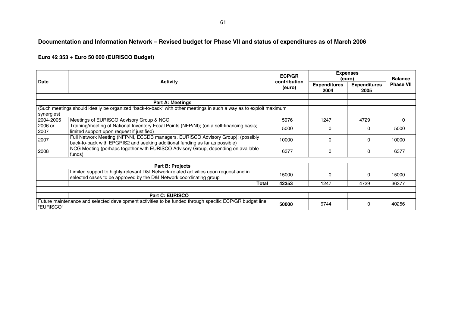# **Documentation and Information Network – Revised budget for Phase VII and status of expenditures as of March 2006**

| <b>Date</b> |                                                                                                                   | <b>ECP/GR</b><br>contribution | (euro)                      | <b>Expenses</b>             | <b>Balance</b>   |  |
|-------------|-------------------------------------------------------------------------------------------------------------------|-------------------------------|-----------------------------|-----------------------------|------------------|--|
|             | <b>Activity</b>                                                                                                   | (euro)                        | <b>Expenditures</b><br>2004 | <b>Expenditures</b><br>2005 | <b>Phase VII</b> |  |
|             |                                                                                                                   |                               |                             |                             |                  |  |
|             | <b>Part A: Meetings</b>                                                                                           |                               |                             |                             |                  |  |
|             | (Such meetings should ideally be organized "back-to-back" with other meetings in such a way as to exploit maximum |                               |                             |                             |                  |  |
| synergies)  |                                                                                                                   |                               |                             |                             |                  |  |
| 2004-2005   | Meetings of EURISCO Advisory Group & NCG                                                                          | 5976                          | 1247                        | 4729                        | 0                |  |
| 2006 or     | Training/meeting of National Inventory Focal Points (NFP/NI); (on a self-financing basis;                         | 5000                          | 0                           | 0                           | 5000             |  |
| 2007        | limited support upon request if justified)                                                                        |                               |                             |                             |                  |  |
| 2007        | Full Network Meeting (NFP/NI, ECCDB managers, EURISCO Advisory Group); (possibly                                  | 10000                         | 0                           | 0                           | 10000            |  |
|             | back-to-back with EPGRIS2 and seeking additional funding as far as possible)                                      |                               |                             |                             |                  |  |
| 2008        | NCG Meeting (perhaps together with EURISCO Advisory Group, depending on available                                 | 6377                          | 0                           | 0                           | 6377             |  |
|             | funds)                                                                                                            |                               |                             |                             |                  |  |
|             |                                                                                                                   |                               |                             |                             |                  |  |
|             | Part B: Projects                                                                                                  |                               |                             |                             |                  |  |
|             | Limited support to highly-relevant D&I Network-related activities upon request and in                             | 15000                         | $\Omega$                    | 0                           | 15000            |  |
|             | selected cases to be approved by the D&I Network coordinating group                                               |                               |                             |                             |                  |  |
|             | Total                                                                                                             | 42353                         | 1247                        | 4729                        | 36377            |  |
|             |                                                                                                                   |                               |                             |                             |                  |  |
|             | <b>Part C: EURISCO</b>                                                                                            |                               |                             |                             |                  |  |
|             | Future maintenance and selected development activities to be funded through specific ECP/GR budget line           | 50000                         | 9744                        | 0                           | 40256            |  |
| "EURISCO"   |                                                                                                                   |                               |                             |                             |                  |  |

# **Euro 42 353 + Euro 50 000 (EURISCO Budget)**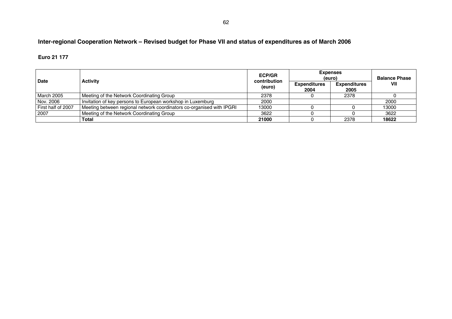# **Inter-regional Cooperation Network – Revised budget for Phase VII and status of expenditures as of March 2006**

#### **Euro 21 177**

| <b>Date</b>        | <b>Activity</b>                                                       | <b>ECP/GR</b><br>contribution | <b>Expenses</b><br>(euro)   | <b>Balance Phase</b>        |       |
|--------------------|-----------------------------------------------------------------------|-------------------------------|-----------------------------|-----------------------------|-------|
|                    |                                                                       | (euro)                        | <b>Expenditures</b><br>2004 | <b>Expenditures</b><br>2005 | VII   |
| <b>March 2005</b>  | Meeting of the Network Coordinating Group                             | 2378                          |                             | 2378                        |       |
| Nov. 2006          | Invitation of key persons to European workshop in Luxemburg           | 2000                          |                             |                             | 2000  |
| First half of 2007 | Meeting between regional network coordinators co-organised with IPGRI | 13000                         |                             |                             | 13000 |
| 2007               | Meeting of the Network Coordinating Group                             | 3622                          |                             |                             | 3622  |
|                    | <b>Total</b>                                                          | 21000                         |                             | 2378                        | 18622 |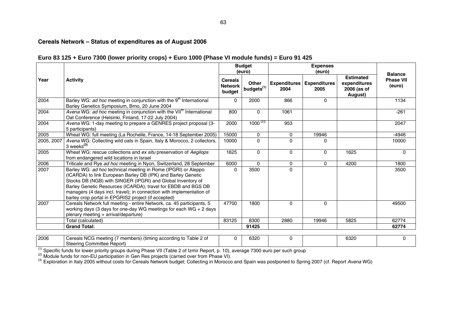# **Cereals Network – Status of expenditures as of August 2006**

### **Euro 83 125 + Euro 7300 (lower priority crops) + Euro 1000 (Phase VI module funds) = Euro 91 425**

|            |                                                                                                                                                                                                                                                                                                                                                                                              |                                            | <b>Budget</b><br>(euro)                |                             | <b>Expenses</b><br>(euro)   |                                                            |                                              |  |
|------------|----------------------------------------------------------------------------------------------------------------------------------------------------------------------------------------------------------------------------------------------------------------------------------------------------------------------------------------------------------------------------------------------|--------------------------------------------|----------------------------------------|-----------------------------|-----------------------------|------------------------------------------------------------|----------------------------------------------|--|
| Year       | <b>Activity</b>                                                                                                                                                                                                                                                                                                                                                                              | <b>Cereals</b><br><b>Network</b><br>budget | <b>Other</b><br>budgets <sup>(1)</sup> | <b>Expenditures</b><br>2004 | <b>Expenditures</b><br>2005 | <b>Estimated</b><br>expenditures<br>2006 (as of<br>August) | <b>Balance</b><br><b>Phase VII</b><br>(euro) |  |
| 2004       | Barley WG: ad hoc meeting in conjunction with the 9 <sup>th</sup> International<br>Barley Genetics Symposium, Brno, 20 June 2004                                                                                                                                                                                                                                                             | 0                                          | 2000                                   | 866                         | 0                           |                                                            | 1134                                         |  |
| 2004       | Avena WG: ad hoc meeting in conjunction with the VII <sup>th</sup> International<br>Oat Conference (Helsinki, Finland, 17-22 July 2004)                                                                                                                                                                                                                                                      | 800                                        | $\Omega$                               | 1061                        |                             |                                                            | $-261$                                       |  |
| 2004       | Avena WG: 1-day meeting to prepare a GENRES project proposal (3-<br>5 participants)                                                                                                                                                                                                                                                                                                          | 2000                                       | $1000^{(2)}$                           | 953                         |                             |                                                            | 2047                                         |  |
| 2005       | Wheat WG: full meeting (La Rochelle, France, 14-18 September 2005)                                                                                                                                                                                                                                                                                                                           | 15000                                      | 0                                      | $\mathbf 0$                 | 19946                       |                                                            | $-4946$                                      |  |
| 2005, 2007 | Avena WG: Collecting wild oats in Spain, Italy & Morocco, 2 collectors,<br>3 weeks <sup>(3)</sup>                                                                                                                                                                                                                                                                                            | 10000                                      | $\Omega$                               | $\Omega$                    | 0                           |                                                            | 10000                                        |  |
| 2005       | Wheat WG: rescue collections and ex situ preservation of Aegilops<br>from endangered wild locations in Israel                                                                                                                                                                                                                                                                                | 1625                                       | $\mathbf{0}$                           | $\mathbf 0$                 | 0                           | 1625                                                       | 0                                            |  |
| 2006       | Triticale and Rye ad hoc meeting in Nyon, Switzerland, 28 September                                                                                                                                                                                                                                                                                                                          | 6000                                       | $\Omega$                               | 0                           | $\Omega$                    | 4200                                                       | 1800                                         |  |
| 2007       | Barley WG: ad hoc technical meeting in Rome (IPGRI) or Aleppo<br>(ICARDA) to link European Barley DB (IPK) and Barley Genetic<br>Stocks DB (NGB) with SINGER (IPGRI) and Global Inventory of<br>Barley Genetic Resources (ICARDA), travel for EBDB and BGS DB<br>managers (4 days incl. travel); in connection with implementation of<br>barley crop portal in EPGRIS2 project (if accepted) |                                            | 3500                                   | 0                           |                             |                                                            | 3500                                         |  |
| 2007       | Cereals Network full meeting - entire Network, ca. 45 participants, 5<br>working days (3 days for one-day WG meetings for each WG $+$ 2 days<br>plenary meeting + arrival/departure)                                                                                                                                                                                                         | 47700                                      | 1800                                   | 0                           | 0                           |                                                            | 49500                                        |  |
|            | Total (calculated)                                                                                                                                                                                                                                                                                                                                                                           | 83125                                      | 8300                                   | 2880                        | 19946                       | 5825                                                       | 62774                                        |  |
|            | <b>Grand Total:</b>                                                                                                                                                                                                                                                                                                                                                                          |                                            | 91425                                  |                             |                             |                                                            | 62774                                        |  |
| 2006       | Cereals NCG meeting (7 members) (timing according to Table 2 of                                                                                                                                                                                                                                                                                                                              | 0                                          | 6320                                   | 0                           |                             | 6320                                                       | $\mathbf{0}$                                 |  |

Steering Committee Report)

(1) Specific funds for lower priority groups during Phase VII (Table 2 of Izmir Report, p. 10), average 7300 euro per such group<br>(2) Module funds for non-EU participation in Gen Res projects (carried over from Phase VI).<br>(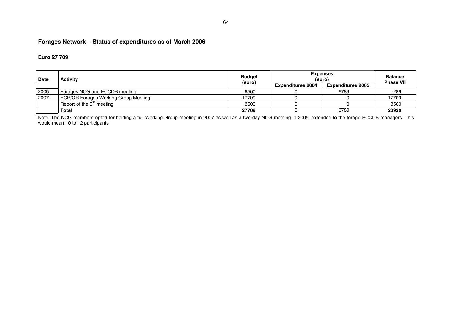# **Forages Network – Status of expenditures as of March 2006**

#### **Euro 27 709**

| <b>Date</b> | <b>Activity</b>                             | <b>Budget</b><br>(euro) | <b>Expenses</b><br>(euro) | <b>Balance</b><br><b>Phase VII</b> |       |
|-------------|---------------------------------------------|-------------------------|---------------------------|------------------------------------|-------|
|             |                                             |                         | <b>Expenditures 2004</b>  | <b>Expenditures 2005</b>           |       |
| 2005        | Forages NCG and ECCDB meeting               | 6500                    |                           | 6789                               | -289  |
| 2007        | <b>ECP/GR Forages Working Group Meeting</b> | 17709                   |                           |                                    | 17709 |
|             | Report of the $9m$ meeting                  | 3500                    |                           |                                    | 3500  |
|             | <b>Total</b>                                | 27709                   |                           | 6789                               | 20920 |

Note: The NCG members opted for holding a full Working Group meeting in 2007 as well as a two-day NCG meeting in 2005, extended to the forage ECCDB managers. This would mean 10 to 12 participants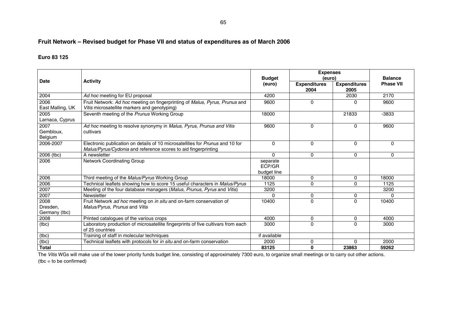# **Fruit Network – Revised budget for Phase VII and status of expenditures as of March 2006**

#### **Euro 83 125**

|                                   |                                                                                                                                                 | <b>Budget</b>        | <b>Expenses</b><br>(euro)   | <b>Balance</b>              |                  |
|-----------------------------------|-------------------------------------------------------------------------------------------------------------------------------------------------|----------------------|-----------------------------|-----------------------------|------------------|
| <b>Date</b>                       | <b>Activity</b>                                                                                                                                 | (euro)               | <b>Expenditures</b><br>2004 | <b>Expenditures</b><br>2005 | <b>Phase VII</b> |
| 2004                              | Ad hoc meeting for EU proposal                                                                                                                  | 4200                 |                             | 2030                        | 2170             |
| 2006<br>East Malling, UK          | Fruit Network: Ad hoc meeting on fingerprinting of Malus, Pyrus, Prunus and<br>Vitis microsatellite markers and genotyping)                     |                      | 0                           | 0                           | 9600             |
| 2005<br>Larnaca, Cyprus           | Seventh meeting of the Prunus Working Group                                                                                                     |                      |                             | 21833                       | -3833            |
| 2007<br>Gembloux.<br>Belgium      | Ad hoc meeting to resolve synonymy in Malus, Pyrus, Prunus and Vitis<br>cultivars                                                               |                      | $\mathbf{0}$                | 0                           | 9600             |
| 2006-2007                         | Electronic publication on details of 10 microsatellites for Prunus and 10 for<br>Malus/Pyrus/Cydonia and reference scores to aid fingerprinting | $\Omega$             | $\Omega$                    | $\Omega$                    | $\Omega$         |
| 2006 (tbc)                        | A newsletter                                                                                                                                    | $\Omega$             | $\mathbf{0}$                | 0                           | 0                |
| 2006                              | Network Coordinating Group                                                                                                                      | separate<br>ECP/GR   |                             |                             |                  |
| 2006                              | Third meeting of the Malus/Pyrus Working Group                                                                                                  | budget line<br>18000 | $\mathbf 0$                 | 0                           | 18000            |
| 2006                              | Technical leaflets showing how to score 15 useful characters in Malus/Pyrus                                                                     | 1125                 | $\Omega$                    | $\Omega$                    | 1125             |
| 2007                              | Meeting of the four database managers (Malus, Prunus, Pyrus and Vitis)                                                                          | 3200                 |                             |                             | 3200             |
| 2007                              | Newsletter                                                                                                                                      | $\Omega$             | 0                           | 0                           | $\Omega$         |
| 2008<br>Dresden,<br>Germany (tbc) | Fruit Network ad hoc meeting on in situ and on-farm conservation of<br>Malus/Pyrus, Prunus and Vitis                                            |                      | $\Omega$                    | $\Omega$                    | 10400            |
| 2008                              | Printed catalogues of the various crops                                                                                                         | 4000                 | 0                           | 0                           | 4000             |
| (tbc)                             | Laboratory production of microsatellite fingerprints of five cultivars from each<br>of 25 countries                                             |                      | $\Omega$                    | $\Omega$                    | 3000             |
| (tbc)                             | Training of staff in molecular techniques                                                                                                       | if available         |                             |                             |                  |
| (tbc)                             | Technical leaflets with protocols for in situ and on-farm conservation                                                                          | 2000                 | 0                           | $\Omega$                    | 2000             |
| <b>Total</b>                      |                                                                                                                                                 | 83125                | $\mathbf{0}$                | 23863                       | 59262            |

The *Vitis* WGs will make use of the lower priority funds budget line, consisting of approximately 7300 euro, to organize small meetings or to carry out other actions. (tbc = to be confirmed)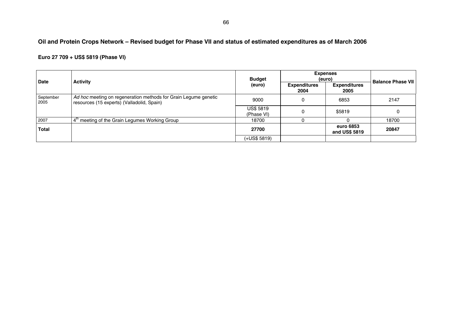# **Oil and Protein Crops Network – Revised budget for Phase VII and status of estimated expenditures as of March 2006**

# **Euro 27 709 + US\$ 5819 (Phase VI)**

| <b>Date</b>       | <b>Activity</b>                                                                                               | <b>Budget</b>                  | <b>Expenses</b><br>(euro)   | <b>Balance Phase VII</b>    |       |
|-------------------|---------------------------------------------------------------------------------------------------------------|--------------------------------|-----------------------------|-----------------------------|-------|
|                   |                                                                                                               | (euro)                         | <b>Expenditures</b><br>2004 | <b>Expenditures</b><br>2005 |       |
| September<br>2005 | Ad hoc meeting on regeneration methods for Grain Legume genetic<br>resources (15 experts) (Valladolid, Spain) | 9000                           | 0                           | 6853                        | 2147  |
|                   |                                                                                                               | <b>US\$ 5819</b><br>(Phase VI) | 0                           | \$5819                      |       |
| 2007              | meeting of the Grain Legumes Working Group<br>4'                                                              | 18700                          |                             | 0                           | 18700 |
| <b>Total</b>      |                                                                                                               | 27700                          |                             | euro 6853<br>and US\$ 5819  | 20847 |
|                   |                                                                                                               | $(+US$5819)$                   |                             |                             |       |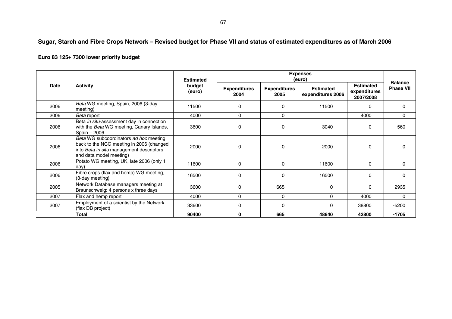# **Sugar, Starch and Fibre Crops Network – Revised budget for Phase VII and status of estimated expenditures as of March 2006**

# **Euro 83 125+ 7300 lower priority budget**

|      |                                                                                                                                                           | <b>Estimated</b> | <b>Expenses</b><br>(euro)   |                             |                                       |                                               |                                    |
|------|-----------------------------------------------------------------------------------------------------------------------------------------------------------|------------------|-----------------------------|-----------------------------|---------------------------------------|-----------------------------------------------|------------------------------------|
| Date | <b>Activity</b><br>budget<br>(euro)                                                                                                                       |                  | <b>Expenditures</b><br>2004 | <b>Expenditures</b><br>2005 | <b>Estimated</b><br>expenditures 2006 | <b>Estimated</b><br>expenditures<br>2007/2008 | <b>Balance</b><br><b>Phase VII</b> |
| 2006 | Beta WG meeting, Spain, 2006 (3-day<br>meeting)                                                                                                           | 11500            | 0                           | $\Omega$                    | 11500                                 | $\Omega$                                      | $\Omega$                           |
| 2006 | Beta report                                                                                                                                               | 4000             | $\Omega$                    | $\mathbf{0}$                |                                       | 4000                                          | $\Omega$                           |
| 2006 | Beta in situ-assessment day in connection<br>with the Beta WG meeting, Canary Islands,<br>Spain - 2006                                                    | 3600             | $\Omega$                    | $\Omega$                    | 3040                                  | $\Omega$                                      | 560                                |
| 2006 | Beta WG subcoordinators ad hoc meeting<br>back to the NCG meeting in 2006 (changed<br>into Beta in situ management descriptors<br>and data model meeting) | 2000             | $\Omega$                    | $\Omega$                    | 2000                                  | $\Omega$                                      | $\Omega$                           |
| 2006 | Potato WG meeting, UK, late 2006 (only 1<br>dav)                                                                                                          | 11600            | 0                           | $\Omega$                    | 11600                                 | $\Omega$                                      | $\mathbf{0}$                       |
| 2006 | Fibre crops (flax and hemp) WG meeting,<br>(3-day meeting)                                                                                                | 16500            | 0                           | $\Omega$                    | 16500                                 | $\mathbf{0}$                                  | 0                                  |
| 2005 | Network Database managers meeting at<br>Braunschweig: 4 persons x three days                                                                              | 3600             | 0                           | 665                         | 0                                     | $\Omega$                                      | 2935                               |
| 2007 | Flax and hemp report                                                                                                                                      | 4000             | 0                           | $\Omega$                    | 0                                     | 4000                                          | $\mathbf{0}$                       |
| 2007 | Employment of a scientist by the Network<br>(flax DB project)                                                                                             | 33600            | 0                           | $\Omega$                    | 0                                     | 38800                                         | $-5200$                            |
|      | Total                                                                                                                                                     | 90400            | 0                           | 665                         | 48640                                 | 42800                                         | $-1705$                            |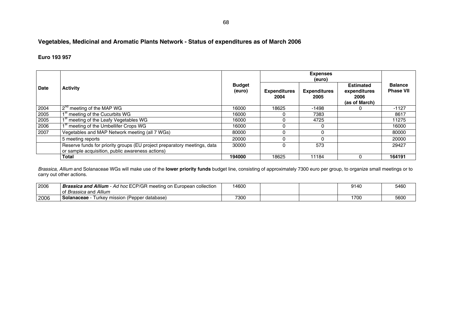# **Vegetables, Medicinal and Aromatic Plants Network - Status of expenditures as of March 2006**

#### **Euro 193 957**

| <b>Date</b> | <b>Activity</b>                                                                                                              | <b>Budget</b><br>(euro) |                             |                             |                                                           |                                    |
|-------------|------------------------------------------------------------------------------------------------------------------------------|-------------------------|-----------------------------|-----------------------------|-----------------------------------------------------------|------------------------------------|
|             |                                                                                                                              |                         | <b>Expenditures</b><br>2004 | <b>Expenditures</b><br>2005 | <b>Estimated</b><br>expenditures<br>2006<br>(as of March) | <b>Balance</b><br><b>Phase VII</b> |
| 2004        | meeting of the MAP WG                                                                                                        | 16000                   | 18625                       | -1498                       |                                                           | $-1127$                            |
| 2005        | meeting of the Cucurbits WG                                                                                                  | 16000                   |                             | 7383                        |                                                           | 8617                               |
| 2005        | meeting of the Leafy Vegetables WG                                                                                           | 16000                   |                             | 4725                        |                                                           | 11275                              |
| 2006        | <sup>t</sup> meeting of the Umbellifer Crops WG                                                                              | 16000                   |                             | 0                           |                                                           | 16000                              |
| 2007        | Vegetables and MAP Network meeting (all 7 WGs)                                                                               | 80000                   |                             | 0                           |                                                           | 80000                              |
|             | 5 meeting reports                                                                                                            | 20000                   |                             |                             |                                                           | 20000                              |
|             | Reserve funds for priority groups (EU project preparatory meetings, data<br>or sample acquisition, public awareness actions) | 30000                   |                             | 573                         |                                                           | 29427                              |
|             | <b>Total</b>                                                                                                                 | 194000                  | 18625                       | 11184                       |                                                           | 164191                             |

*Brassica*, *Allium* and Solanaceae WGs will make use of the **lower priority funds** budget line, consisting of approximately 7300 euro per group, to organize small meetings or to carry out other actions.

| 2006 | Ad hoc ECP/GR<br>Brassica and Allium<br>र meetina on<br>european collection ו | 14600 |  | 9140 | 5460 |
|------|-------------------------------------------------------------------------------|-------|--|------|------|
|      | Brassica and Allium                                                           |       |  |      |      |
| 2006 | Turkey mission (Pepper database)<br>Solanaceae                                | 7300  |  | 1700 | 5600 |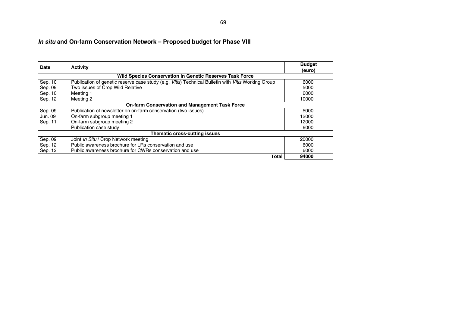# *In situ* **and On-farm Conservation Network – Proposed budget for Phase VIII**

| Date    | <b>Activity</b>                                                                                    | <b>Budget</b><br>(euro) |
|---------|----------------------------------------------------------------------------------------------------|-------------------------|
|         | <b>Wild Species Conservation in Genetic Reserves Task Force</b>                                    |                         |
| Sep. 10 | Publication of genetic reserve case study (e.g. Vitis) Technical Bulletin with Vitis Working Group | 6000                    |
| Sep. 09 | Two issues of Crop Wild Relative                                                                   | 5000                    |
| Sep. 10 | Meeting 1                                                                                          | 6000                    |
| Sep. 12 | Meeting 2                                                                                          | 10000                   |
|         | <b>On-farm Conservation and Management Task Force</b>                                              |                         |
| Sep. 09 | Publication of newsletter on on-farm conservation (two issues)                                     | 5000                    |
| Jun. 09 | On-farm subgroup meeting 1                                                                         | 12000                   |
| Sep. 11 | On-farm subgroup meeting 2                                                                         | 12000                   |
|         | Publication case study                                                                             | 6000                    |
|         | Thematic cross-cutting issues                                                                      |                         |
| Sep. 09 | Joint In Situ / Crop Network meeting                                                               | 20000                   |
| Sep. 12 | Public awareness brochure for LRs conservation and use                                             | 6000                    |
| Sep. 12 | Public awareness brochure for CWRs conservation and use                                            | 6000                    |
|         | Total                                                                                              | 94000                   |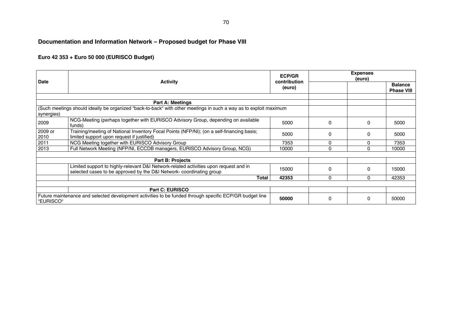# **Documentation and Information Network – Proposed budget for Phase VIII**

# **Euro 42 353 + Euro 50 000 (EURISCO Budget)**

| Date                                                                                                                 | <b>Activity</b>                                                                                                                                              | <b>ECP/GR</b><br>contribution<br>(euro) |              | <b>Expenses</b><br>(euro) |                                     |
|----------------------------------------------------------------------------------------------------------------------|--------------------------------------------------------------------------------------------------------------------------------------------------------------|-----------------------------------------|--------------|---------------------------|-------------------------------------|
|                                                                                                                      |                                                                                                                                                              |                                         |              |                           | <b>Balance</b><br><b>Phase VIII</b> |
|                                                                                                                      |                                                                                                                                                              |                                         |              |                           |                                     |
|                                                                                                                      | <b>Part A: Meetings</b>                                                                                                                                      |                                         |              |                           |                                     |
| synergies)                                                                                                           | (Such meetings should ideally be organized "back-to-back" with other meetings in such a way as to exploit maximum                                            |                                         |              |                           |                                     |
| 2009                                                                                                                 | NCG-Meeting (perhaps together with EURISCO Advisory Group, depending on available<br>funds)                                                                  | 5000                                    | $\Omega$     | 0                         | 5000                                |
| 2009 or<br>2010                                                                                                      | Training/meeting of National Inventory Focal Points (NFP/NI); (on a self-financing basis;<br>limited support upon request if justified)                      | 5000                                    | $\Omega$     | 0                         | 5000                                |
| 2011                                                                                                                 | NCG Meeting together with EURISCO Advisory Group                                                                                                             | 7353                                    | $\mathbf{0}$ | 0                         | 7353                                |
| 2013                                                                                                                 | Full Network Meeting (NFP/NI, ECCDB managers, EURISCO Advisory Group, NCG)                                                                                   | 10000                                   | $\Omega$     | $\Omega$                  | 10000                               |
|                                                                                                                      |                                                                                                                                                              |                                         |              |                           |                                     |
|                                                                                                                      | <b>Part B: Projects</b>                                                                                                                                      |                                         |              |                           |                                     |
|                                                                                                                      | Limited support to highly-relevant D&I Network-related activities upon request and in<br>selected cases to be approved by the D&I Network-coordinating group | 15000                                   | $\Omega$     | $\Omega$                  | 15000                               |
|                                                                                                                      | Total                                                                                                                                                        | 42353                                   | $\Omega$     | 0                         | 42353                               |
|                                                                                                                      |                                                                                                                                                              |                                         |              |                           |                                     |
|                                                                                                                      | Part C: EURISCO                                                                                                                                              |                                         |              |                           |                                     |
| Future maintenance and selected development activities to be funded through specific ECP/GR budget line<br>"EURISCO" |                                                                                                                                                              | 50000                                   | $\Omega$     | 0                         | 50000                               |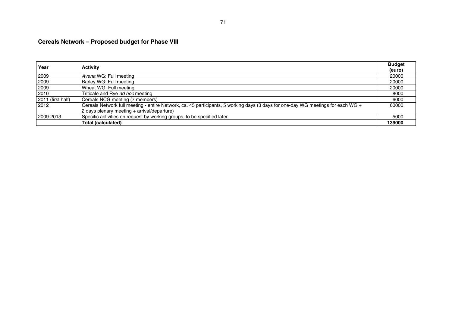# **Cereals Network – Proposed budget for Phase VIII**

| Year              | <b>Activity</b>                                                                                                                  | <b>Budget</b> |
|-------------------|----------------------------------------------------------------------------------------------------------------------------------|---------------|
|                   |                                                                                                                                  | (euro)        |
| 2009              | Avena WG: Full meeting                                                                                                           | 20000         |
| 2009              | Barley WG: Full meeting                                                                                                          | 20000         |
| 2009              | Wheat WG: Full meeting                                                                                                           | 20000         |
| 2010              | Triticale and Rye ad hoc meeting                                                                                                 | 8000          |
| 2011 (first half) | Cereals NCG meeting (7 members)                                                                                                  | 6000          |
| 2012              | Cereals Network full meeting - entire Network, ca. 45 participants, 5 working days (3 days for one-day WG meetings for each WG + | 60000         |
|                   | 2 days plenary meeting + arrival/departure)                                                                                      |               |
| 2009-2013         | Specific activities on request by working groups, to be specified later                                                          | 5000          |
|                   | <b>Total (calculated)</b>                                                                                                        | 139000        |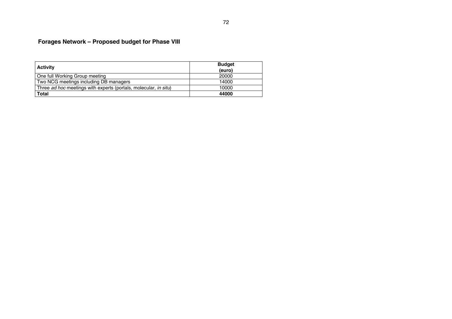# **Forages Network – Proposed budget for Phase VIII**

| <b>Activity</b>                                                           | <b>Budget</b><br>(euro) |
|---------------------------------------------------------------------------|-------------------------|
| l One full Working Group meeting                                          | 20000                   |
| Two NCG meetings including DB managers                                    | 14000                   |
| Three ad hoc meetings with experts (portals, molecular, in situ)<br>10000 |                         |
| <b>Total</b>                                                              | 44000                   |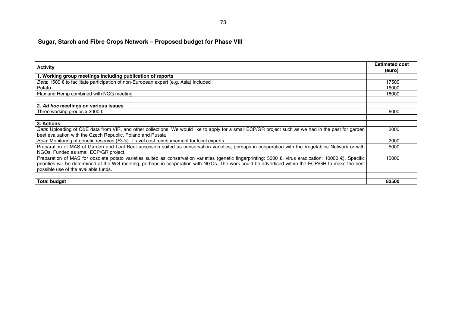# **Sugar, Starch and Fibre Crops Network – Proposed budget for Phase VIII**

| <b>Activity</b>                                                                                                                                          | <b>Estimated cost</b> |
|----------------------------------------------------------------------------------------------------------------------------------------------------------|-----------------------|
|                                                                                                                                                          | (euro)                |
| 1. Working group meetings including publication of reports                                                                                               |                       |
| Beta: 1500 € to facilitate participation of non-European expert (e.g. Asia) included                                                                     | 17500                 |
| Potato                                                                                                                                                   | 16000                 |
| Flax and Hemp combined with NCG meeting                                                                                                                  | 18000                 |
|                                                                                                                                                          |                       |
| 2. Ad hoc meetings on various issues                                                                                                                     |                       |
| Three working groups x 2000 $\epsilon$                                                                                                                   | 6000                  |
|                                                                                                                                                          |                       |
| 3. Actions                                                                                                                                               |                       |
| Beta: Uploading of C&E data from VIR, and other collections. We would like to apply for a small ECP/GR project such as we had in the past for garden     | 3000                  |
| beet evaluation with the Czech Republic, Poland and Russia                                                                                               |                       |
| Beta: Monitoring of genetic reserves (Beta). Travel cost reimbursement for local experts.                                                                | 2000                  |
| Preparation of MAS of Garden and Leaf Beet accession suited as conservation varieties, perhaps in cooperation with the Vegetables Network or with        | 5000                  |
| NGOs. Funded as small ECP/GR project.                                                                                                                    |                       |
| Preparation of MAS for obsolete potato varieties suited as conservation varieties (genetic fingerprinting: 5000 €, virus eradication: 10000 €). Specific | 15000                 |
| priorities will be determined at the WG meeting, perhaps in cooperation with NGOs. The work could be advertised within the ECP/GR to make the best       |                       |
| possible use of the available funds.                                                                                                                     |                       |
|                                                                                                                                                          |                       |
| <b>Total budget</b>                                                                                                                                      | 82500                 |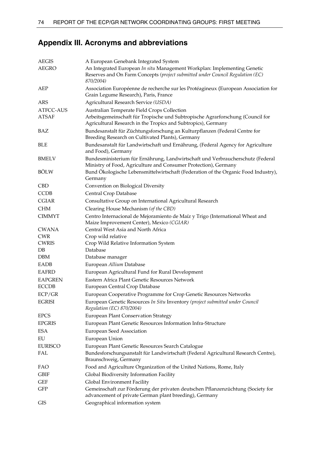# **Appendix III. Acronyms and abbreviations**

| <b>AEGIS</b><br>AEGRO | A European Genebank Integrated System<br>An Integrated European In situ Management Workplan: Implementing Genetic<br>Reserves and On Farm Concepts (project submitted under Council Regulation (EC)<br>870/2004) |
|-----------------------|------------------------------------------------------------------------------------------------------------------------------------------------------------------------------------------------------------------|
| AEP                   | Association Européenne de recherche sur les Protéagineux (European Association for<br>Grain Legume Research), Paris, France                                                                                      |
| ARS                   | Agricultural Research Service (USDA)                                                                                                                                                                             |
| ATFCC-AUS             | Australian Temperate Field Crops Collection                                                                                                                                                                      |
| <b>ATSAF</b>          | Arbeitsgemeinschaft für Tropische und Subtropische Agrarforschung (Council for<br>Agricultural Research in the Tropics and Subtropics), Germany                                                                  |
| BAZ                   | Bundesanstalt für Züchtungsforschung an Kulturpflanzen (Federal Centre for<br>Breeding Research on Cultivated Plants), Germany                                                                                   |
| <b>BLE</b>            | Bundesanstalt für Landwirtschaft und Ernährung, (Federal Agency for Agriculture<br>and Food), Germany                                                                                                            |
| <b>BMELV</b>          | Bundesministerium für Ernährung, Landwirtschaft und Verbraucherschutz (Federal<br>Ministry of Food, Agriculture and Consumer Protection), Germany                                                                |
| <b>BÖLW</b>           | Bund Ökologische Lebensmittelwirtschaft (Federation of the Organic Food Industry),<br>Germany                                                                                                                    |
| <b>CBD</b>            | Convention on Biological Diversity                                                                                                                                                                               |
| <b>CCDB</b>           | Central Crop Database                                                                                                                                                                                            |
| <b>CGIAR</b>          | Consultative Group on International Agricultural Research                                                                                                                                                        |
| <b>CHM</b>            | Clearing House Mechanism (of the CBD)                                                                                                                                                                            |
| <b>CIMMYT</b>         | Centro Internacional de Mejoramiento de Maíz y Trigo (International Wheat and<br>Maize Improvement Center), Mexico (CGIAR)                                                                                       |
| <b>CWANA</b>          | Central West Asia and North Africa                                                                                                                                                                               |
| <b>CWR</b>            | Crop wild relative                                                                                                                                                                                               |
| <b>CWRIS</b>          | Crop Wild Relative Information System                                                                                                                                                                            |
| DB                    | Database                                                                                                                                                                                                         |
| <b>DBM</b>            | Database manager                                                                                                                                                                                                 |
| EADB                  | European Allium Database                                                                                                                                                                                         |
| <b>EAFRD</b>          | European Agricultural Fund for Rural Development                                                                                                                                                                 |
| <b>EAPGREN</b>        | Eastern Africa Plant Genetic Resources Network                                                                                                                                                                   |
| <b>ECCDB</b>          | European Central Crop Database                                                                                                                                                                                   |
| ECP/GR                | European Cooperative Programme for Crop Genetic Resources Networks                                                                                                                                               |
| <b>EGRISI</b>         | European Genetic Resources In Situ Inventory (project submitted under Council<br>Regulation (EC) 870/2004)                                                                                                       |
| <b>EPCS</b>           | <b>European Plant Conservation Strategy</b>                                                                                                                                                                      |
| <b>EPGRIS</b>         | European Plant Genetic Resources Information Infra-Structure                                                                                                                                                     |
| ESA                   | European Seed Association                                                                                                                                                                                        |
| ${\rm EU}$            | European Union                                                                                                                                                                                                   |
| <b>EURISCO</b>        | European Plant Genetic Resources Search Catalogue                                                                                                                                                                |
| FAL                   | Bundesforschungsanstalt für Landwirtschaft (Federal Agricultural Research Centre),<br>Braunschweig, Germany                                                                                                      |
| FAO                   | Food and Agriculture Organization of the United Nations, Rome, Italy                                                                                                                                             |
| <b>GBIF</b>           | Global Biodiversity Information Facility                                                                                                                                                                         |
| <b>GEF</b>            | Global Environment Facility                                                                                                                                                                                      |
| GFP                   | Gemeinschaft zur Förderung der privaten deutschen Pflanzenzüchtung (Society for<br>advancement of private German plant breeding), Germany                                                                        |
| GIS                   | Geographical information system                                                                                                                                                                                  |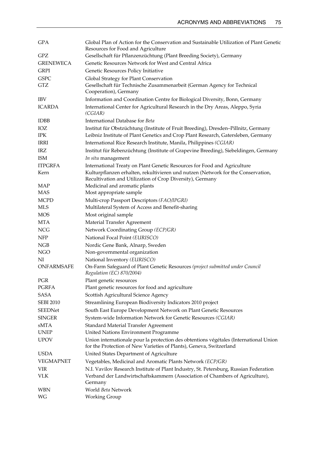| <b>GPA</b>       | Global Plan of Action for the Conservation and Sustainable Utilization of Plant Genetic<br>Resources for Food and Agriculture                 |
|------------------|-----------------------------------------------------------------------------------------------------------------------------------------------|
| GPZ              | Gesellschaft für Pflanzenzüchtung (Plant Breeding Society), Germany                                                                           |
| <b>GRENEWECA</b> | Genetic Resources Network for West and Central Africa                                                                                         |
| <b>GRPI</b>      | Genetic Resources Policy Initiative                                                                                                           |
| <b>GSPC</b>      | Global Strategy for Plant Conservation                                                                                                        |
| GTZ              | Gesellschaft für Technische Zusammenarbeit (German Agency for Technical<br>Cooperation), Germany                                              |
| <b>IBV</b>       | Information and Coordination Centre for Biological Diversity, Bonn, Germany                                                                   |
| <b>ICARDA</b>    | International Center for Agricultural Research in the Dry Areas, Aleppo, Syria<br>(CGIAR)                                                     |
| <b>IDBB</b>      | International Database for Beta                                                                                                               |
| IOZ              | Institut für Obstzüchtung (Institute of Fruit Breeding), Dresden-Pillnitz, Germany                                                            |
| <b>IPK</b>       | Leibniz Institute of Plant Genetics and Crop Plant Research, Gatersleben, Germany                                                             |
| IRRI             | International Rice Research Institute, Manila, Philippines (CGIAR)                                                                            |
| <b>IRZ</b>       | Institut für Rebenzüchtung (Institute of Grapevine Breeding), Siebeldingen, Germany                                                           |
| <b>ISM</b>       | In situ management                                                                                                                            |
| <b>ITPGRFA</b>   | International Treaty on Plant Genetic Resources for Food and Agriculture                                                                      |
| Kern             | Kulturpflanzen erhalten, rekultivieren und nutzen (Network for the Conservation,<br>Recultivation and Utilization of Crop Diversity), Germany |
| MAP              | Medicinal and aromatic plants                                                                                                                 |
| <b>MAS</b>       | Most appropriate sample                                                                                                                       |
| <b>MCPD</b>      | Multi-crop Passport Descriptors (FAO/IPGRI)                                                                                                   |
| MLS              | Multilateral System of Access and Benefit-sharing                                                                                             |
| <b>MOS</b>       | Most original sample                                                                                                                          |
| <b>MTA</b>       | Material Transfer Agreement                                                                                                                   |
| <b>NCG</b>       | Network Coordinating Group (ECP/GR)                                                                                                           |
| <b>NFP</b>       | National Focal Point (EURISCO)                                                                                                                |
| <b>NGB</b>       | Nordic Gene Bank, Alnarp, Sweden                                                                                                              |
| <b>NGO</b>       | Non-governmental organization                                                                                                                 |
| NI               | National Inventory (EURISCO)                                                                                                                  |
| ONFARMSAFE       | On-Farm Safeguard of Plant Genetic Resources (project submitted under Council<br>Regulation (EC) 870/2004)                                    |
| PGR              | Plant genetic resources                                                                                                                       |
| <b>PGRFA</b>     | Plant genetic resources for food and agriculture                                                                                              |
| <b>SASA</b>      | Scottish Agricultural Science Agency                                                                                                          |
| <b>SEBI 2010</b> | Streamlining European Biodiversity Indicators 2010 project                                                                                    |
| SEEDNet          | South East Europe Development Network on Plant Genetic Resources                                                                              |
| <b>SINGER</b>    | System-wide Information Network for Genetic Resources (CGIAR)                                                                                 |
| <b>sMTA</b>      | Standard Material Transfer Agreement                                                                                                          |
| <b>UNEP</b>      | United Nations Environment Programme                                                                                                          |
| <b>UPOV</b>      | Union internationale pour la protection des obtentions végétales (International Union                                                         |
|                  | for the Protection of New Varieties of Plants), Geneva, Switzerland                                                                           |
| <b>USDA</b>      | United States Department of Agriculture                                                                                                       |
| VEGMAPNET        | Vegetables, Medicinal and Aromatic Plants Network (ECP/GR)                                                                                    |
| VIR              | N.I. Vavilov Research Institute of Plant Industry, St. Petersburg, Russian Federation                                                         |
| <b>VLK</b>       | Verband der Landwirtschaftskammern (Association of Chambers of Agriculture),<br>Germany                                                       |
| WBN              | World Beta Network                                                                                                                            |
| WG               | Working Group                                                                                                                                 |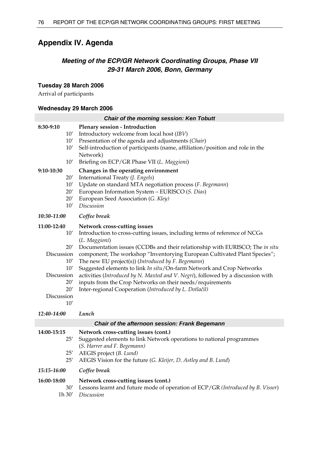# **Appendix IV. Agenda**

## *Meeting of the ECP/GR Network Coordinating Groups, Phase VII 29-31 March 2006, Bonn, Germany*

### **Tuesday 28 March 2006**

Arrival of participants

### **Wednesday 29 March 2006**

| <b>Chair of the morning session: Ken Tobutt</b>                                                        |                                                                                                                                                                                                                                                                                                                                                                                                                                                                                                                                                                                                                                   |  |  |
|--------------------------------------------------------------------------------------------------------|-----------------------------------------------------------------------------------------------------------------------------------------------------------------------------------------------------------------------------------------------------------------------------------------------------------------------------------------------------------------------------------------------------------------------------------------------------------------------------------------------------------------------------------------------------------------------------------------------------------------------------------|--|--|
| 8:30-9:10<br>10'<br>10'<br>10'<br>10'                                                                  | Plenary session - Introduction<br>Introductory welcome from local host (IBV)<br>Presentation of the agenda and adjustments (Chair)<br>Self-introduction of participants (name, affiliation/position and role in the<br>Network)<br>Briefing on ECP/GR Phase VII (L. Maggioni)                                                                                                                                                                                                                                                                                                                                                     |  |  |
| 9:10-10:30<br>20'<br>10'<br>20'<br>20'<br>10'                                                          | Changes in the operating environment<br>International Treaty (J. Engels)<br>Update on standard MTA negotiation process (F. Begemann)<br>European Information System - EURISCO (S. Dias)<br>European Seed Association (G. Kley)<br>Discussion                                                                                                                                                                                                                                                                                                                                                                                      |  |  |
| 10:30-11:00                                                                                            | Coffee break                                                                                                                                                                                                                                                                                                                                                                                                                                                                                                                                                                                                                      |  |  |
| 11:00-12:40<br>10'<br>20'<br>Discussion<br>10'<br>10'<br>Discussion<br>20'<br>20'<br>Discussion<br>10' | Network cross-cutting issues<br>Introduction to cross-cutting issues, including terms of reference of NCGs<br>(L. Maggioni)<br>Documentation issues (CCDBs and their relationship with EURISCO; The in situ<br>component; The workshop "Inventorying European Cultivated Plant Species";<br>The new EU project(s)) (Introduced by F. Begemann)<br>Suggested elements to link In situ/On-farm Network and Crop Networks<br>activities (Introduced by N. Maxted and V. Negri), followed by a discussion with<br>inputs from the Crop Networks on their needs/requirements<br>Inter-regional Cooperation (Introduced by L. Dotlačil) |  |  |
| 12:40-14:00                                                                                            | Lunch                                                                                                                                                                                                                                                                                                                                                                                                                                                                                                                                                                                                                             |  |  |
|                                                                                                        | Chair of the afternoon session: Frank Begemann                                                                                                                                                                                                                                                                                                                                                                                                                                                                                                                                                                                    |  |  |
| 14:00-15:15<br>25'<br>25'<br>25'                                                                       | Network cross-cutting issues (cont.)<br>Suggested elements to link Network operations to national programmes<br>(S. Harrer and F. Begemann)<br>AEGIS project (B. Lund)<br>AEGIS Vision for the future (G. Kleijer, D. Astley and B. Lund)                                                                                                                                                                                                                                                                                                                                                                                         |  |  |

*15:15-16:00 Coffee break* 

| 16:00-18:00 | Network cross-cutting issues (cont.)                                                |
|-------------|-------------------------------------------------------------------------------------|
|             | 30' Lessons learnt and future mode of operation of ECP/GR (Introduced by B. Visser) |
|             | 1h 30' Discussion                                                                   |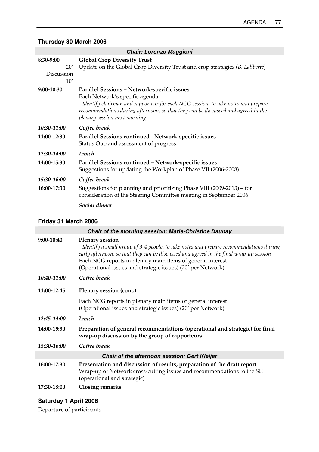## **Thursday 30 March 2006**

| <b>Chair: Lorenzo Maggioni</b>        |                                                                                                                                                                                                                                                                                            |  |  |
|---------------------------------------|--------------------------------------------------------------------------------------------------------------------------------------------------------------------------------------------------------------------------------------------------------------------------------------------|--|--|
| 8:30-9:00<br>20'<br>Discussion<br>10' | <b>Global Crop Diversity Trust</b><br>Update on the Global Crop Diversity Trust and crop strategies (B. Laliberté)                                                                                                                                                                         |  |  |
| 9:00-10:30                            | Parallel Sessions - Network-specific issues<br>Each Network's specific agenda<br>- Identify chairman and rapporteur for each NCG session, to take notes and prepare<br>recommendations during afternoon, so that they can be discussed and agreed in the<br>plenary session next morning - |  |  |
| 10:30-11:00                           | Coffee break                                                                                                                                                                                                                                                                               |  |  |
| 11:00-12:30                           | Parallel Sessions continued - Network-specific issues<br>Status Quo and assessment of progress                                                                                                                                                                                             |  |  |
| 12:30-14:00                           | Lunch                                                                                                                                                                                                                                                                                      |  |  |
| 14:00-15:30                           | Parallel Sessions continued - Network-specific issues<br>Suggestions for updating the Workplan of Phase VII (2006-2008)                                                                                                                                                                    |  |  |
| 15:30-16:00                           | Coffee break                                                                                                                                                                                                                                                                               |  |  |
| 16:00-17:30                           | Suggestions for planning and prioritizing Phase VIII (2009-2013) – for<br>consideration of the Steering Committee meeting in September 2006                                                                                                                                                |  |  |
|                                       | Social dinner                                                                                                                                                                                                                                                                              |  |  |

## **Friday 31 March 2006**

| <b>Chair of the morning session: Marie-Christine Daunay</b> |                                                                                                                                                                                                                                                                                                                                             |  |
|-------------------------------------------------------------|---------------------------------------------------------------------------------------------------------------------------------------------------------------------------------------------------------------------------------------------------------------------------------------------------------------------------------------------|--|
| 9:00-10:40                                                  | <b>Plenary session</b><br>- Identify a small group of 3-4 people, to take notes and prepare recommendations during<br>early afternoon, so that they can be discussed and agreed in the final wrap-up session -<br>Each NCG reports in plenary main items of general interest<br>(Operational issues and strategic issues) (20' per Network) |  |
| 10:40-11:00                                                 | Coffee break                                                                                                                                                                                                                                                                                                                                |  |
| 11:00-12:45                                                 | Plenary session (cont.)                                                                                                                                                                                                                                                                                                                     |  |
|                                                             | Each NCG reports in plenary main items of general interest<br>(Operational issues and strategic issues) (20' per Network)                                                                                                                                                                                                                   |  |
| 12:45-14:00                                                 | Lunch                                                                                                                                                                                                                                                                                                                                       |  |
| 14:00-15:30                                                 | Preparation of general recommendations (operational and strategic) for final<br>wrap-up discussion by the group of rapporteurs                                                                                                                                                                                                              |  |
| 15:30-16:00                                                 | Coffee break                                                                                                                                                                                                                                                                                                                                |  |
| <b>Chair of the afternoon session: Gert Kleijer</b>         |                                                                                                                                                                                                                                                                                                                                             |  |
| 16:00-17:30                                                 | Presentation and discussion of results, preparation of the draft report<br>Wrap-up of Network cross-cutting issues and recommendations to the SC<br>(operational and strategic)                                                                                                                                                             |  |
| 17:30-18:00                                                 | <b>Closing remarks</b>                                                                                                                                                                                                                                                                                                                      |  |

## **Saturday 1 April 2006**

Departure of participants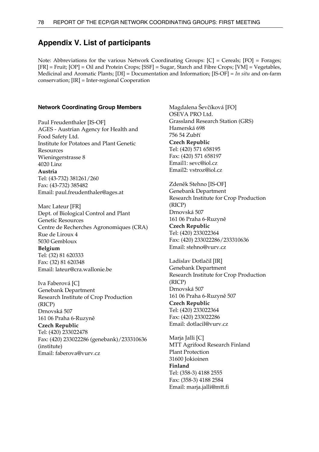## **Appendix V. List of participants**

Note: Abbreviations for the various Network Coordinating Groups:  $[C]$  = Cereals;  $[FO]$  = Forages; [FR] = Fruit; [OP] = Oil and Protein Crops; [SSF] = Sugar, Starch and Fibre Crops; [VM] = Vegetables, Medicinal and Aromatic Plants; [DI] = Documentation and Information; [IS-OF] = *In situ* and on-farm conservation; [IR] = Inter-regional Cooperation

#### **Network Coordinating Group Members**

Paul Freudenthaler [IS-OF] AGES - Austrian Agency for Health and Food Safety Ltd. Institute for Potatoes and Plant Genetic Resources Wieningerstrasse 8 4020 Linz **Austria**  Tel: (43-732) 381261/260 Fax: (43-732) 385482 Email: paul.freudenthaler@ages.at

Marc Lateur [FR] Dept. of Biological Control and Plant Genetic Resources Centre de Recherches Agronomiques (CRA) Rue de Liroux 4 5030 Gembloux **Belgium**  Tel: (32) 81 620333 Fax: (32) 81 620348 Email: lateur@cra.wallonie.be

Iva Faberová [C] Genebank Department Research Institute of Crop Production (RICP) Drnovská 507 161 06 Praha 6-Ruzyně **Czech Republic**  Tel: (420) 233022478 Fax: (420) 233022286 (genebank)/233310636 (institute) Email: faberova@vurv.cz

Magdalena Ševčíková [FO] OSEVA PRO Ltd. Grassland Research Station (GRS) Hamerská 698 756 54 Zubří **Czech Republic**  Tel: (420) 571 658195 Fax: (420) 571 658197 Email1: sevc@iol.cz Email2: vstroz@iol.cz

Zdeněk Stehno [IS-OF] Genebank Department Research Institute for Crop Production (RICP) Drnovská 507 161 06 Praha 6-Ruzyně **Czech Republic**  Tel: (420) 233022364 Fax: (420) 233022286/233310636 Email: stehno@vurv.cz

Ladislav Dotlačil [IR] Genebank Department Research Institute for Crop Production (RICP) Drnovská 507 161 06 Praha 6-Ruzyně 507 **Czech Republic**  Tel: (420) 233022364 Fax: (420) 233022286 Email: dotlacil@vurv.cz

Marja Jalli [C] MTT Agrifood Research Finland Plant Protection 31600 Jokioinen **Finland**  Tel: (358-3) 4188 2555 Fax: (358-3) 4188 2584 Email: marja.jalli@mtt.fi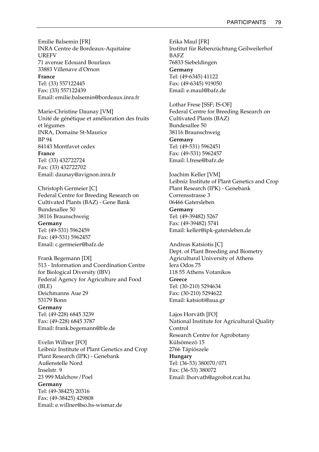Emilie Balsemin [FR] INRA Centre de Bordeaux-Aquitaine UREFV 71 avenue Edouard Bourlaux 33883 Villenave d'Ornon **France**  Tel: (33) 557122445 Fax: (33) 557122439 Email: emilie.balsemin@bordeaux.inra.fr

Marie-Christine Daunay [VM] Unité de génétique et amélioration des fruits et légumes INRA, Domaine St-Maurice BP 94 84143 Montfavet cedex **France**  Tel: (33) 432722724 Fax: (33) 432722702 Email: daunay@avignon.inra.fr

Christoph Germeier [C] Federal Centre for Breeding Research on Cultivated Plants (BAZ) - Gene Bank Bundesallee 50 38116 Braunschweig **Germany**  Tel: (49-531) 5962459

Fax: (49-531) 5962457 Email: c.germeier@bafz.de

Frank Begemann [DI] 513 - Information and Coordination Centre for Biological Diversity (IBV) Federal Agency for Agriculture and Food (BLE) Deichmanns Aue 29 53179 Bonn **Germany**  Tel: (49-228) 6845 3239 Fax: (49-228) 6845 3787 Email: frank.begemann@ble.de

Evelin Willner [FO] Leibniz Institute of Plant Genetics and Crop Plant Research (IPK) - Genebank Außenstelle Nord Inselstr. 9 23 999 Malchow/Poel **Germany**  Tel: (49-38425) 20316 Fax: (49-38425) 429808 Email: e.willner@so.hs-wismar.de

Erika Maul [FR] Institut für Rebenzüchtung Geilweilerhof BAFZ 76833 Siebeldingen **Germany**  Tel: (49-6345) 41122 Fax: (49-6345) 919050 Email: e.maul@bafz.de

Lothar Frese [SSF; IS-OF] Federal Centre for Breeding Research on Cultivated Plants (BAZ) Bundesallee 50 38116 Braunschweig **Germany**  Tel: (49-531) 5962451 Fax: (49-531) 5962457 Email: l.frese@bafz.de

Joachim Keller [VM] Leibniz Institute of Plant Genetics and Crop Plant Research (IPK) - Genebank Corrensstrasse 3 06466 Gatersleben **Germany**  Tel: (49-39482) 5267 Fax: (49-39482) 5741 Email: keller@ipk-gatersleben.de

Andreas Katsiotis [C] Dept. of Plant Breeding and Biometry Agricultural University of Athens Iera Odos 75 118 55 Athens Votanikos **Greece**  Tel: (30-210) 5294634 Fax: (30-210) 5294622 Email: katsioti@aua.gr

Lajos Horváth [FO] National Institute for Agricultural Quality Control Research Centre for Agrobotany Külsömezö 15 2766 Tápiószele **Hungary**  Tel: (36-53) 380070/071 Fax: (36-53) 380072 Email: lhorvath@agrobot.rcat.hu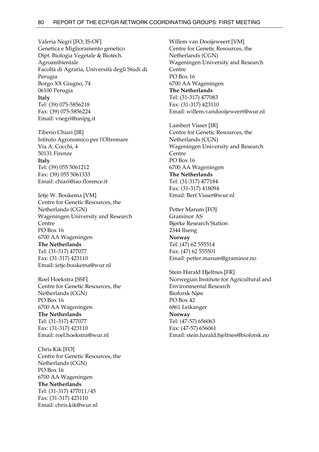Valeria Negri [FO; IS-OF] Genetica e Miglioramento genetico Dipt. Biologia Vegetale & Biotech. Agroambientale Facoltà di Agraria, Università degli Studi di Perugia Borgo XX Giugno, 74 06100 Perugia **Italy**  Tel: (39) 075-5856218 Fax: (39) 075-5856224 Email: vnegri@unipg.it

Tiberio Chiari [IR] Istituto Agronomico per l'Oltremare Via A. Cocchi, 4 50131 Firenze **Italy**  Tel: (39) 055 5061212 Fax: (39) 055 5061333 Email: chiari@iao.florence.it

Ietje W. Boukema [VM] Centre for Genetic Resources, the Netherlands (CGN) Wageningen University and Research Centre PO Box 16 6700 AA Wageningen **The Netherlands**  Tel: (31-317) 477077 Fax: (31-317) 423110 Email: ietje.boukema@wur.nl

Roel Hoekstra [SSF] Centre for Genetic Resources, the Netherlands (CGN) PO Box 16 6700 AA Wageningen **The Netherlands**  Tel: (31-317) 477077 Fax: (31-317) 423110 Email: roel.hoekstra@wur.nl

Chris Kik [FO] Centre for Genetic Resources, the Netherlands (CGN) PO Box 16 6700 AA Wageningen **The Netherlands**  Tel: (31-317) 477011/45 Fax: (31-317) 423110 Email: chris.kik@wur.nl

Willem van Dooijeweert [VM] Centre for Genetic Resources, the Netherlands (CGN) Wageningen University and Research **Centre** PO Box 16 6700 AA Wageningen **The Netherlands**  Tel: (31-317) 477083 Fax: (31-317) 423110 Email: willem.vandooijeweert@wur.nl

Lambert Visser [IR] Centre for Genetic Resources, the Netherlands (CGN) Wageningen University and Research Centre PO Box 16 6700 AA Wageningen **The Netherlands**  Tel: (31-317) 477184 Fax: (31-317) 418094 Email: Bert.Visser@wur.nl

Petter Marum [FO] Graminor AS Bjørke Research Station 2344 Ilseng **Norway**  Tel: (47) 62 555514 Fax: (47) 62 555501 Email: petter.marum@graminor.no

Stein Harald Hjeltnes [FR] Norwegian Institute for Agricultural and Environmental Research Bioforsk Njøs PO Box 42 6861 Leikanger **Norway**  Tel: (47-57) 656063 Fax: (47-57) 656061 Email: stein.harald.hjeltnes@bioforsk.no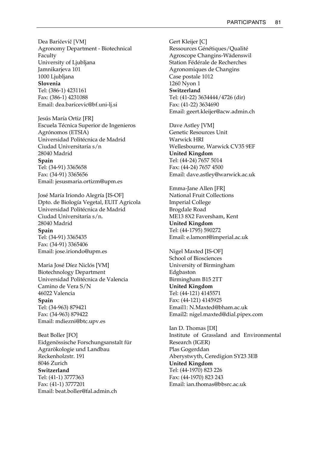Dea Baričevič [VM] Agronomy Department - Biotechnical Faculty University of Ljubljana Jamnikarjeva 101 1000 Ljubljana **Slovenia**  Tel: (386-1) 4231161 Fax: (386-1) 4231088 Email: dea.baricevic@bf.uni-lj.si

Jesús María Ortiz [FR] Escuela Técnica Superior de Ingenieros Agrónomos (ETSIA) Universidad Politécnica de Madrid Ciudad Universitaria s/n 28040 Madrid **Spain**  Tel: (34-91) 3365658 Fax: (34-91) 3365656 Email: jesusmaria.ortizm@upm.es

José María Iriondo Alegría [IS-OF] Dpto. de Biología Vegetal, EUIT Agricola Universidad Politécnica de Madrid Ciudad Universitaria s/n. 28040 Madrid **Spain**  Tel: (34-91) 3365435 Fax: (34-91) 3365406 Email: jose.iriondo@upm.es

Maria José Díez Niclós [VM] Biotechnology Department Universidad Politécnica de Valencia Camino de Vera S/N 46022 Valencia **Spain**  Tel: (34-963) 879421 Fax: (34-963) 879422 Email: mdiezni@btc.upv.es

Beat Boller [FO] Eidgenössische Forschungsanstalt für Agrarökologie und Landbau Reckenholzstr. 191 8046 Zurich **Switzerland**  Tel: (41-1) 3777363 Fax: (41-1) 3777201 Email: beat.boller@fal.admin.ch

Gert Kleijer [C] Ressources Génétiques/Qualité Agroscope Changins-Wädenswil Station Fédérale de Recherches Agronomiques de Changins Case postale 1012 1260 Nyon 1 **Switzerland**  Tel: (41-22) 3634444/4726 (dir) Fax: (41-22) 3634690 Email: geert.kleijer@acw.admin.ch

Dave Astley [VM] Genetic Resources Unit Warwick HRI Wellesbourne, Warwick CV35 9EF **United Kingdom**  Tel: (44-24) 7657 5014 Fax: (44-24) 7657 4500 Email: dave.astley@warwick.ac.uk

Emma-Jane Allen [FR] National Fruit Collections Imperial College Brogdale Road ME13 8X2 Faversham, Kent **United Kingdom**  Tel: (44-1795) 590272 Email: e.lamont@imperial.ac.uk

Nigel Maxted [IS-OF] School of Biosciences University of Birmingham Edgbaston Birmingham B15 2TT **United Kingdom**  Tel: (44-121) 4145571 Fax: (44-121) 4145925 Email1: N.Maxted@bham.ac.uk Email2: nigel.maxted@dial.pipex.com

Ian D. Thomas [DI] Institute of Grassland and Environmental Research (IGER) Plas Gogerddan Aberystwyth, Ceredigion SY23 3EB **United Kingdom**  Tel: (44-1970) 823 226 Fax: (44-1970) 823 243 Email: ian.thomas@bbsrc.ac.uk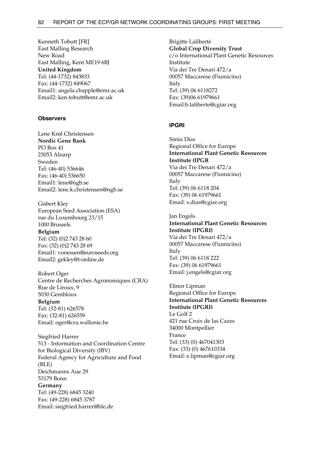Kenneth Tobutt [FR] East Malling Research New Road East Malling, Kent ME19 6BJ **United Kingdom**  Tel: (44-1732) 843833 Fax: (44-1732) 849067 Email1: angela.chapple@emr.ac.uk Email2: ken.tobutt@emr.ac.uk

### **Observers**

Lene Krøl Christensen **Nordic Gene Bank**  PO Box 41 23053 Alnarp Sweden Tel: (46-40) 536646 Fax: (46-40) 536650 Email1: lene@ngb.se Email2: lene.k.christensen@ngb.se

Gisbert Kley European Seed Association (ESA) rue du Luxembourg 23/15 1000 Brussels **Belgium**  Tel: (32) (0)2 743 28 60 Fax: (32) (0)2 743 28 69 Email1: vonessen@euroseeds.org Email2: gekley@t-online.de

Robert Oger Centre de Recherches Agronomiques (CRA) Rue de Liroux, 9 5030 Gembloux **Belgium**  Tel: (32-81) 626578 Fax: (32-81) 626559 Email: oger@cra.wallonie.be

Siegfried Harrer 513 - Information and Coordination Centre for Biological Diversity (IBV) Federal Agency for Agriculture and Food (BLE) Deichmanns Aue 29 53179 Bonn **Germany**  Tel: (49-228) 6845 3240 Fax: (49-228) 6845 3787 Email: siegfried.harrer@ble.de

Brigitte Laliberté **Global Crop Diversity Trust**  c/o International Plant Genetic Resources Institute Via dei Tre Denari 472/a 00057 Maccarese (Fiumicino) Italy Tel: (39) 06 6118272 Fax: (39)06 61979661 Email:b.laliberte@cgiar.org

### **IPGRI**

Sónia Dias Regional Office for Europe **International Plant Genetic Resources Institute (IPGR** Via dei Tre Denari 472/a 00057 Maccarese (Fiumicino) Italy Tel: (39) 06 6118 204 Fax: (39) 06 61979661 Email: s.dias@cgiar.org

Jan Engels **International Plant Genetic Resources Institute (IPGRI)**  Via dei Tre Denari 472/a 00057 Maccarese (Fiumicino) Italy Tel: (39) 06 6118 222 Fax: (39) 06 61979661 Email: j.engels@cgiar.org

Elinor Lipman Regional Office for Europe **International Plant Genetic Resources Institute (IPGRI)**  Le Golf 2 421 rue Croix de las Cazes 34000 Montpellier France Tel: (33) (0) 467041303 Fax: (33) (0) 467610334 Email: e.lipman@cgiar.org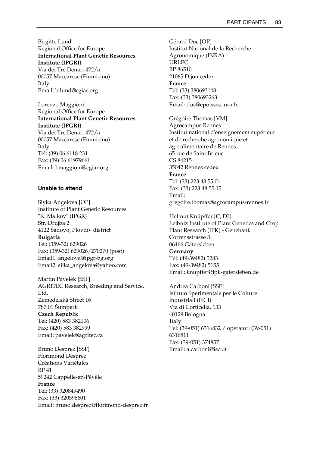Birgitte Lund Regional Office for Europe **International Plant Genetic Resources Institute (IPGRI)**  Via dei Tre Denari 472/a 00057 Maccarese (Fiumicino) Italy

Email: b.lund@cgiar.org

Lorenzo Maggioni Regional Office for Europe **International Plant Genetic Resources Institute (IPGRI)**  Via dei Tre Denari 472/a 00057 Maccarese (Fiumicino) Italy Tel: (39) 06 6118 231 Fax: (39) 06 61979661 Email: l.maggioni@cgiar.org

#### **Unable to attend**

Siyka Angelova [OP] Institute of Plant Genetic Resources "K. Malkov" (IPGR) Str. Drujba 2 4122 Sadovo, Plovdiv district **Bulgaria**  Tel: (359-32) 629026 Fax: (359-32) 629026/270270 (post) Email1: angelova@ipgr-bg.org Email2: siika\_angelova@yahoo.com

Martin Pavelek [SSF] AGRITEC Research, Breeding and Service, Ltd. Zemedelská Street 16 787 01 Šumperk **Czech Republic**  Tel: (420) 583 382106 Fax: (420) 583 382999 Email: pavelek@agritec.cz

Bruno Desprez [SSF] Florimond Desprez Créations Variétales BP 41 59242 Cappelle-en-Pévèle **France**  Tel: (33) 320849490 Fax: (33) 320596601 Email: bruno.desprez@florimond-desprez.fr Gérard Duc [OP] Institut National de la Recherche Agronomique (INRA) URLEG BP 86510 21065 Dijon cedex **France**  Tel: (33) 380693148 Fax: (33) 380693263 Email: duc@epoisses.inra.fr

Grégoire Thomas [VM] Agrocampus Rennes Institut national d'enseignement supérieur et de recherche agronomique et agroalimentaire de Rennes 65 rue de Saint Brieuc CS 84215 35042 Rennes cedex **France**  Tel: (33) 223 48 55 01 Fax: (33) 223 48 55 15 Email: gregoire.thomas@agrocampus-rennes.fr

Helmut Knüpffer [C; DI] Leibniz Institute of Plant Genetics and Crop Plant Research (IPK) - Genebank Corrensstrasse 3 06466 Gatersleben **Germany**  Tel: (49-39482) 5283 Fax: (49-39482) 5155 Email: knupffer@ipk-gatersleben.de

Andrea Carboni [SSF] Istituto Sperimentale per le Colture Industriali (ISCI) Via di Corticella, 133 40129 Bologna **Italy**  Tel: (39-051) 6316832 / operator: (39-051) 6316811 Fax: (39-051) 374857 Email: a.carboni@isci.it